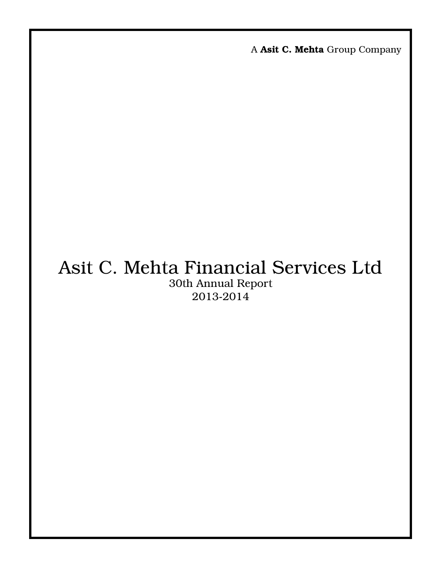A Asit C. Mehta Group Company

# Asit C. Mehta Financial Services Ltd 30th Annual Report 2013-2014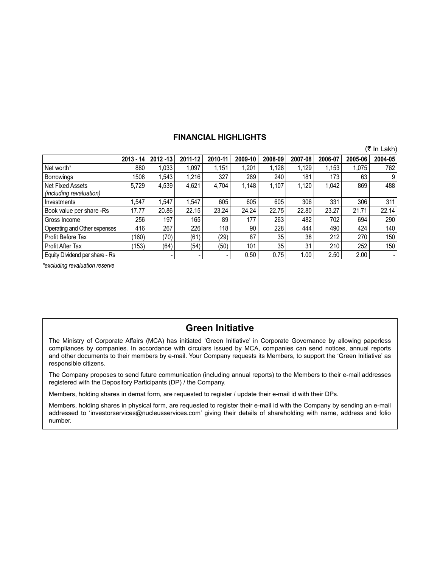# **FINANCIAL HIGHLIGHTS**

 $\sqrt{2}$  In Lakh

|                                                    |             |           |         |         |         |         |         |         |         | (KTN Lakn) |
|----------------------------------------------------|-------------|-----------|---------|---------|---------|---------|---------|---------|---------|------------|
|                                                    | $2013 - 14$ | 2012 - 13 | 2011-12 | 2010-11 | 2009-10 | 2008-09 | 2007-08 | 2006-07 | 2005-06 | 2004-05    |
| Net worth*                                         | 880         | 1.033     | 1.097   | 1.151   | 1.201   | 1.128   | 1,129   | 1,153   | 1,075   | 762        |
| <b>Borrowings</b>                                  | 1508        | 1.543     | 1.216   | 327     | 289     | 240     | 181     | 173     | 63      | 9          |
| Net Fixed Assets<br><i>(including revaluation)</i> | 5,729       | 4,539     | 4,621   | 4,704   | 1.148   | 1.107   | 1,120   | 1,042   | 869     | 488        |
| Investments                                        | .547        | .547      | .547    | 605     | 605     | 605     | 306     | 331     | 306     | 311        |
| Book value per share -Rs                           | 17.77       | 20.86     | 22.15   | 23.24   | 24.24   | 22.75   | 22.80   | 23.27   | 21.71   | 22.14      |
| Gross Income                                       | 256         | 197       | 165     | 89      | 177     | 263     | 482     | 702     | 694     | 290        |
| Operating and Other expenses                       | 416         | 267       | 226     | 118     | 90      | 228     | 444     | 490     | 424     | 140        |
| Profit Before Tax                                  | (160)       | (70)      | (61)    | (29)    | 87      | 35      | 38      | 212     | 270     | 150        |
| <b>Profit After Tax</b>                            | (153)       | (64)      | (54)    | (50)    | 101     | 35      | 31      | 210     | 252     | 150        |
| Equity Dividend per share - Rs                     |             |           |         |         | 0.50    | 0.75    | 1.00    | 2.50    | 2.00    |            |

*\*excluding revaluation reserve*

# **Green Initiative**

The Ministry of Corporate Affairs (MCA) has initiated 'Green Initiative' in Corporate Governance by allowing paperless compliances by companies. In accordance with circulars issued by MCA, companies can send notices, annual reports and other documents to their members by e-mail. Your Company requests its Members, to support the 'Green Initiative' as responsible citizens.

The Company proposes to send future communication (including annual reports) to the Members to their e-mail addresses registered with the Depository Participants (DP) / the Company.

Members, holding shares in demat form, are requested to register / update their e-mail id with their DPs.

Members, holding shares in physical form, are requested to register their e-mail id with the Company by sending an e-mail addressed to 'investorservices@nucleusservices.com' giving their details of shareholding with name, address and folio number.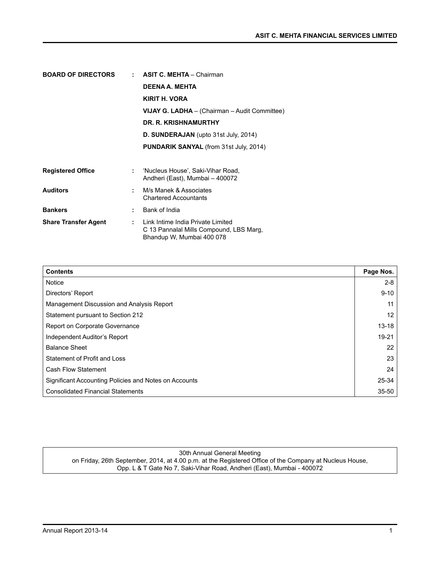| <b>BOARD OF DIRECTORS</b>   | ٠  | <b>ASIT C. MEHTA - Chairman</b>                                                                             |  |  |  |  |
|-----------------------------|----|-------------------------------------------------------------------------------------------------------------|--|--|--|--|
|                             |    | <b>DEENA A. MEHTA</b>                                                                                       |  |  |  |  |
|                             |    | <b>KIRIT H. VORA</b>                                                                                        |  |  |  |  |
|                             |    | VIJAY G. LADHA - (Chairman - Audit Committee)                                                               |  |  |  |  |
|                             |    | DR. R. KRISHNAMURTHY                                                                                        |  |  |  |  |
|                             |    | D. SUNDERAJAN (upto 31st July, 2014)                                                                        |  |  |  |  |
|                             |    | <b>PUNDARIK SANYAL (from 31st July, 2014)</b>                                                               |  |  |  |  |
|                             |    |                                                                                                             |  |  |  |  |
| <b>Registered Office</b>    | ÷. | 'Nucleus House', Saki-Vihar Road,<br>Andheri (East), Mumbai - 400072                                        |  |  |  |  |
| <b>Auditors</b>             | ÷. | M/s Manek & Associates<br><b>Chartered Accountants</b>                                                      |  |  |  |  |
| <b>Bankers</b>              | ÷  | Bank of India                                                                                               |  |  |  |  |
| <b>Share Transfer Agent</b> |    | : Link Intime India Private Limited<br>C 13 Pannalal Mills Compound, LBS Marg,<br>Bhandup W, Mumbai 400 078 |  |  |  |  |

| <b>Contents</b>                                       | Page Nos. |
|-------------------------------------------------------|-----------|
| Notice                                                | $2 - 8$   |
| Directors' Report                                     | $9 - 10$  |
| Management Discussion and Analysis Report             | 11        |
| Statement pursuant to Section 212                     | 12        |
| Report on Corporate Governance                        | $13 - 18$ |
| Independent Auditor's Report                          | 19-21     |
| <b>Balance Sheet</b>                                  | 22        |
| Statement of Profit and Loss                          | 23        |
| Cash Flow Statement                                   | 24        |
| Significant Accounting Policies and Notes on Accounts | 25-34     |
| <b>Consolidated Financial Statements</b>              | $35 - 50$ |

30th Annual General Meeting on Friday, 26th September, 2014, at 4.00 p.m. at the Registered Office of the Company at Nucleus House, Opp. L & T Gate No 7, Saki-Vihar Road, Andheri (East), Mumbai - 400072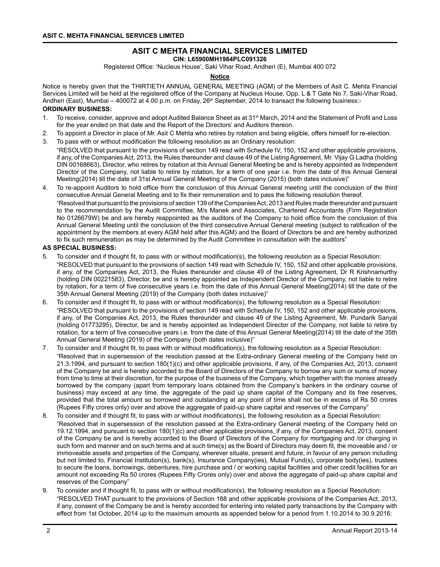# **ASIT C MEHTA FINANCIAL SERVICES LIMITED**

## **CIN: L65900MH1984PLC091326**

Registered Office: 'Nucleus House', Saki Vihar Road, Andheri (E), Mumbai 400 072

#### **Notice**

Notice is hereby given that the THIRTIETH ANNUAL GENERAL MEETING (AGM) of the Members of Asit C. Mehta Financial Services Limited will be held at the registered office of the Company at Nucleus House, Opp. L & T Gate No 7, Saki-Vihar Road, Andheri (East), Mumbai – 400072 at 4.00 p.m. on Friday, 26<sup>th</sup> September, 2014 to transact the following business:-**ORDINARY BUSINESS:**

#### 1. To receive, consider, approve and adopt Audited Balance Sheet as at 31<sup>st</sup> March, 2014 and the Statement of Profit and Loss for the year ended on that date and the Report of the Directors' and Auditors thereon.

- 2. To appoint a Director in place of Mr. Asit C Mehta who retires by rotation and being eligible, offers himself for re-election.
- 3. To pass with or without modification the following resolution as an Ordinary resolution: "RESOLVED that pursuant to the provisions of section 149 read with Schedule IV, 150, 152 and other applicable provisions,

if any, of the Companies Act, 2013, the Rules thereunder and clause 49 of the Listing Agreement, Mr. Vijay G Ladha (holding DIN 00168663), Director, who retires by rotation at this Annual General Meeting be and is hereby appointed as Independent Director of the Company, not liable to retire by rotation, for a term of one year i.e. from the date of this Annual General Meeting(2014) till the date of 31st Annual General Meeting of the Company (2015) (both dates inclusive)"

4. To re-appoint Auditors to hold office from the conclusion of this Annual General meeting until the conclusion of the third consecutive Annual General Meeting and to fix their remuneration and to pass the following resolution thereof. "Resolved that pursuant to the provisions of section 139 of the Companies Act, 2013 and Rules made thereunder and pursuant to the recommendation by the Audit Committee, M/s Manek and Associates, Chartered Accountants (Firm Registration No 0126679W) be and are hereby reappointed as the auditors of the Company to hold office from the conclusion of this Annual General Meeting until the conclusion of the third consecutive Annual General meeting (subject to ratification of the appointment by the members at every AGM held after this AGM) and the Board of Directors be and are hereby authorized to fix such remuneration as may be determined by the Audit Committee in consultation with the auditors"

#### **AS SPECIAL BUSINESS:**

- 5. To consider and if thought fit, to pass with or without modification(s), the following resolution as a Special Resolution: "RESOLVED that pursuant to the provisions of section 149 read with Schedule IV, 150, 152 and other applicable provisions, if any, of the Companies Act, 2013, the Rules thereunder and clause 49 of the Listing Agreement, Dr R Krishnamurthy (holding DIN 00221583), Director, be and is hereby appointed as Independent Director of the Company, not liable to retire by rotation, for a term of five consecutive years i.e. from the date of this Annual General Meeting(2014) till the date of the 35th Annual General Meeting (2019) of the Company (both dates inclusive)"
- 6. To consider and if thought fit, to pass with or without modification(s), the following resolution as a Special Resolution: "RESOLVED that pursuant to the provisions of section 149 read with Schedule IV, 150, 152 and other applicable provisions, if any, of the Companies Act, 2013, the Rules thereunder and clause 49 of the Listing Agreement, Mr. Pundarik Sanyal (holding 01773295), Director, be and is hereby appointed as Independent Director of the Company, not liable to retire by rotation, for a term of five consecutive years i.e. from the date of this Annual General Meeting(2014) till the date of the 35th Annual General Meeting (2019) of the Company (both dates inclusive)"
- 7. To consider and if thought fit, to pass with or without modification(s), the following resolution as a Special Resolution: "Resolved that in supersession of the resolution passed at the Extra-ordinary General meeting of the Company held on 21.3.1994, and pursuant to section 180(1)(c) and other applicable provisions, if any, of the Companies Act, 2013, consent of the Company be and is hereby accorded to the Board of Directors of the Company to borrow any sum or sums of money from time to time at their discretion, for the purpose of the business of the Company, which together with the monies already borrowed by the company (apart from temporary loans obtained from the Company's bankers in the ordinary course of business) may exceed at any time, the aggregate of the paid up share capital of the Company and its free reserves, provided that the total amount so borrowed and outstanding at any point of time shall not be in excess of Rs 50 crores (Rupees Fifty crores only) over and above the aggregate of paid-up share capital and reserves of the Company"
- 8. To consider and if thought fit, to pass with or without modification(s), the following resolution as a Special Resolution: "Resolved that in supersession of the resolution passed at the Extra-ordinary General meeting of the Company held on 19.12.1994, and pursuant to section 180(1)(c) and other applicable provisions, if any, of the Companies Act, 2013, consent of the Company be and is hereby accorded to the Board of Directors of the Company for mortgaging and /or charging in such form and manner and on such terms and at such time(s) as the Board of Directors may deem fit, the moveable and / or immoveable assets and properties of the Company, wherever situate, present and future, in favour of any person including but not limited to, Financial Institution(s), bank(s), Insurance Company(ies), Mutual Fund(s), corporate body(ies), trustees to secure the loans, borrowings, debentures, hire purchase and / or working capital facilities and other credit facilities for an amount not exceeding Rs 50 crores (Rupees Fifty Crores only) over and above the aggregate of paid-up share capital and reserves of the Company"
- 9. To consider and if thought fit, to pass with or without modification(s), the following resolution as a Special Resolution: "RESOLVED THAT pursuant to the provisions of Section 188 and other applicable provisions of the Companies Act, 2013, if any, consent of the Company be and is hereby accorded for entering into related party transactions by the Company with effect from 1st October, 2014 up to the maximum amounts as appended below for a period from 1.10.2014 to 30.9.2016: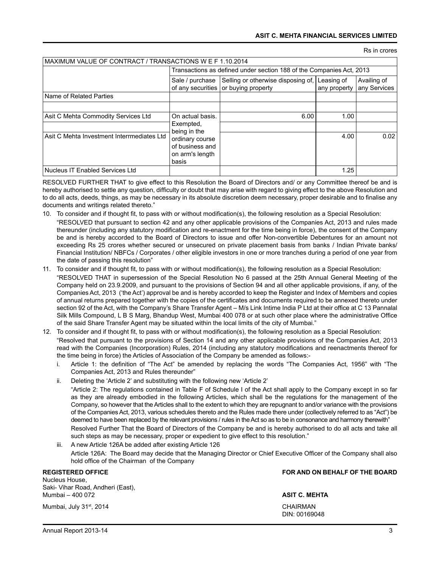Rs in crores

| MAXIMUM VALUE OF CONTRACT / TRANSACTIONS W E F 1.10.2014 |                                                                |                                                                            |                            |                             |  |  |
|----------------------------------------------------------|----------------------------------------------------------------|----------------------------------------------------------------------------|----------------------------|-----------------------------|--|--|
|                                                          |                                                                | Transactions as defined under section 188 of the Companies Act, 2013       |                            |                             |  |  |
|                                                          | Sale / purchase                                                | Selling or otherwise disposing of,<br>of any securities or buying property | Leasing of<br>any property | Availing of<br>any Services |  |  |
| Name of Related Parties                                  |                                                                |                                                                            |                            |                             |  |  |
|                                                          |                                                                |                                                                            |                            |                             |  |  |
| Asit C Mehta Commodity Services Ltd                      | On actual basis.                                               | 6.00                                                                       | 1.00                       |                             |  |  |
|                                                          | Exempted,<br>being in the                                      |                                                                            |                            |                             |  |  |
| Asit C Mehta Investment Interrmediates Ltd               | ordinary course<br>of business and<br>on arm's length<br>basis |                                                                            | 4.00                       | 0.02                        |  |  |
| Nucleus IT Enabled Services Ltd                          |                                                                |                                                                            | 1.25                       |                             |  |  |

RESOLVED FURTHER THAT to give effect to this Resolution the Board of Directors and/ or any Committee thereof be and is hereby authorised to settle any question, difficulty or doubt that may arise with regard to giving effect to the above Resolution and to do all acts, deeds, things, as may be necessary in its absolute discretion deem necessary, proper desirable and to finalise any documents and writings related thereto."

- 10. To consider and if thought fit, to pass with or without modification(s), the following resolution as a Special Resolution: "RESOLVED that pursuant to section 42 and any other applicable provisions of the Companies Act, 2013 and rules made thereunder (including any statutory modification and re-enactment for the time being in force), the consent of the Company be and is hereby accorded to the Board of Directors to issue and offer Non-convertible Debentures for an amount not exceeding Rs 25 crores whether secured or unsecured on private placement basis from banks / Indian Private banks/ Financial Institution/ NBFCs / Corporates / other eligible investors in one or more tranches during a period of one year from the date of passing this resolution"
- 11. To consider and if thought fit, to pass with or without modification(s), the following resolution as a Special Resolution: "RESOLVED THAT in supersession of the Special Resolution No 6 passed at the 25th Annual General Meeting of the Company held on 23.9.2009, and pursuant to the provisions of Section 94 and all other applicable provisions, if any, of the Companies Act, 2013 ('the Act') approval be and is hereby accorded to keep the Register and Index of Members and copies of annual returns prepared together with the copies of the certificates and documents required to be annexed thereto under section 92 of the Act, with the Company's Share Transfer Agent – M/s Link Intime India P Ltd at their office at C 13 Pannalal Silk Mills Compound, L B S Marg, Bhandup West, Mumbai 400 078 or at such other place where the administrative Office of the said Share Transfer Agent may be situated within the local limits of the city of Mumbai."
- 12. To consider and if thought fit, to pass with or without modification(s), the following resolution as a Special Resolution: "Resolved that pursuant to the provisions of Section 14 and any other applicable provisions of the Companies Act, 2013 read with the Companies (Incorporation) Rules, 2014 (including any statutory modifications and reenactments thereof for the time being in force) the Articles of Association of the Company be amended as follows:
	- i. Article 1: the definition of "The Act" be amended by replacing the words "The Companies Act, 1956" with "The Companies Act, 2013 and Rules thereunder"
	- ii. Deleting the 'Article 2' and substituting with the following new 'Article 2' "Article 2: The regulations contained in Table F of Schedule I of the Act shall apply to the Company except in so far as they are already embodied in the following Articles, which shall be the regulations for the management of the Company, so however that the Articles shall to the extent to which they are repugnant to and/or variance with the provisions of the Companies Act, 2013, various schedules thereto and the Rules made there under (collectively referred to as "Act") be deemed to have been replaced by the relevant provisions / rules in the Act so as to be in consonance and harmony therewith" Resolved Further That the Board of Directors of the Company be and is hereby authorised to do all acts and take all such steps as may be necessary, proper or expedient to give effect to this resolution."
	- iii. A new Article 126A be added after existing Article 126 Article 126A: The Board may decide that the Managing Director or Chief Executive Officer of the Company shall also hold office of the Chairman of the Company

| <b>REGISTERED OFFICE</b><br>Nucleus House,            | FOR AND ON BEHALF OF THE BOARD |
|-------------------------------------------------------|--------------------------------|
| Saki- Vihar Road, Andheri (East),<br>Mumbai – 400 072 | <b>ASIT C. MEHTA</b>           |
| Mumbai, July 31 <sup>st</sup> , 2014                  | CHAIRMAN<br>DIN: 00169048      |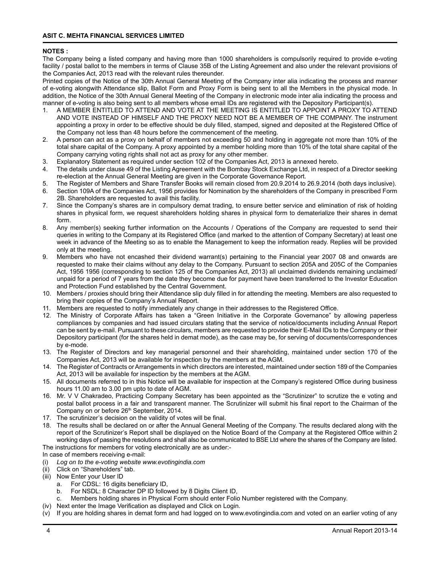#### **NOTES :**

The Company being a listed company and having more than 1000 shareholders is compulsorily required to provide e-voting facility / postal ballot to the members in terms of Clause 35B of the Listing Agreement and also under the relevant provisions of the Companies Act, 2013 read with the relevant rules thereunder.

Printed copies of the Notice of the 30th Annual General Meeting of the Company inter alia indicating the process and manner of e-voting alongwith Attendance slip, Ballot Form and Proxy Form is being sent to all the Members in the physical mode. In addition, the Notice of the 30th Annual General Meeting of the Company in electronic mode inter alia indicating the process and manner of e-voting is also being sent to all members whose email IDs are registered with the Depository Participant(s).

- 1. A MEMBER ENTITLED TO ATTEND AND VOTE AT THE MEETING IS ENTITLED TO APPOINT A PROXY TO ATTEND AND VOTE INSTEAD OF HIMSELF AND THE PROXY NEED NOT BE A MEMBER OF THE COMPANY. The instrument appointing a proxy in order to be effective should be duly filled, stamped, signed and deposited at the Registered Office of the Company not less than 48 hours before the commencement of the meeting.
- 2. A person can act as a proxy on behalf of members not exceeding 50 and holding in aggregate not more than 10% of the total share capital of the Company. A proxy appointed by a member holding more than 10% of the total share capital of the Company carrying voting rights shall not act as proxy for any other member.
- 3. Explanatory Statement as required under section 102 of the Companies Act, 2013 is annexed hereto.
- 4. The details under clause 49 of the Listing Agreement with the Bombay Stock Exchange Ltd, in respect of a Director seeking re-election at the Annual General Meeting are given in the Corporate Governance Report.
- 5. The Register of Members and Share Transfer Books will remain closed from 20.9.2014 to 26.9.2014 (both days inclusive).
- 6. Section 109A of the Companies Act, 1956 provides for Nomination by the shareholders of the Company in prescribed Form 2B. Shareholders are requested to avail this facility.
- 7. Since the Company's shares are in compulsory demat trading, to ensure better service and elimination of risk of holding shares in physical form, we request shareholders holding shares in physical form to dematerialize their shares in demat form.
- 8. Any member(s) seeking further information on the Accounts / Operations of the Company are requested to send their queries in writing to the Company at its Registered Office (and marked to the attention of Company Secretary) at least one week in advance of the Meeting so as to enable the Management to keep the information ready. Replies will be provided only at the meeting.
- 9. Members who have not encashed their dividend warrant(s) pertaining to the Financial year 2007 08 and onwards are requested to make their claims without any delay to the Company. Pursuant to section 205A and 205C of the Companies Act, 1956 1956 (corresponding to section 125 of the Companies Act, 2013) all unclaimed dividends remaining unclaimed/ unpaid for a period of 7 years from the date they become due for payment have been transferred to the Investor Education and Protection Fund established by the Central Government.
- 10. Members / proxies should bring their Attendance slip duly filled in for attending the meeting. Members are also requested to bring their copies of the Company's Annual Report.
- 11. Members are requested to notify immediately any change in their addresses to the Registered Office.
- 12. The Ministry of Corporate Affairs has taken a "Green Initiative in the Corporate Governance" by allowing paperless compliances by companies and had issued circulars stating that the service of notice/documents including Annual Report can be sent by e-mail. Pursuant to these circulars, members are requested to provide their E-Mail IDs to the Company or their Depository participant (for the shares held in demat mode), as the case may be, for serving of documents/correspondences by e-mode.
- 13. The Register of Directors and key managerial personnel and their shareholding, maintained under section 170 of the Companies Act, 2013 will be available for inspection by the members at the AGM.
- 14. The Register of Contracts or Arrangements in which directors are interested, maintained under section 189 of the Companies Act, 2013 will be available for inspection by the members at the AGM.
- 15. All documents referred to in this Notice will be available for inspection at the Company's registered Office during business hours 11.00 am to 3.00 pm upto to date of AGM.
- 16. Mr. V V Chakradeo, Practicing Company Secretary has been appointed as the "Scrutinizer" to scrutize the e voting and postal ballot process in a fair and transparent manner. The Scrutinizer will submit his final report to the Chairman of the Company on or before 26<sup>th</sup> September, 2014.
- 17. The scrutinizer's decision on the validity of votes will be final.
- 18. The results shall be declared on or after the Annual General Meeting of the Company. The results declared along with the report of the Scrutinizer's Report shall be displayed on the Notice Board of the Company at the Registered Office within 2 working days of passing the resolutions and shall also be communicated to BSE Ltd where the shares of the Company are listed. The instructions for members for voting electronically are as under:-
- In case of members receiving e-mail:
- (i) *Log on to the e-voting website www.evotingindia.com*
- (ii) Click on "Shareholders" tab.
- (iii) Now Enter your User ID
	- a. For CDSL: 16 digits beneficiary ID,
	- b. For NSDL: 8 Character DP ID followed by 8 Digits Client ID,
- c. Members holding shares in Physical Form should enter Folio Number registered with the Company.
- (iv) Next enter the Image Verification as displayed and Click on Login.
- (v) If you are holding shares in demat form and had logged on to www.evotingindia.com and voted on an earlier voting of any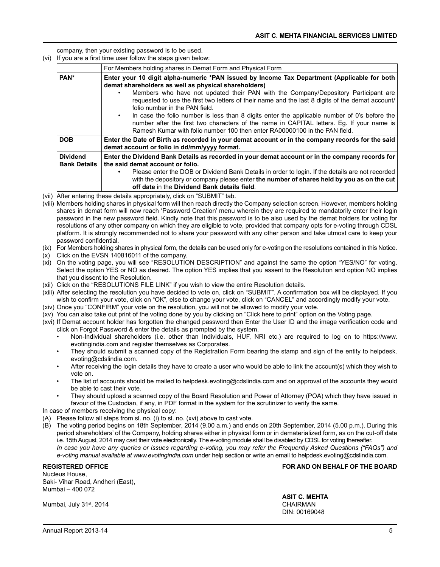company, then your existing password is to be used.

|  |  | .                                                               |  |  |
|--|--|-----------------------------------------------------------------|--|--|
|  |  | (vi) If you are a first time user follow the steps given below: |  |  |

|                                        | For Members holding shares in Demat Form and Physical Form                                                                                                                                                                                                                                                                                                                                                                                                                                                                                                                                                                                                      |  |  |  |  |  |
|----------------------------------------|-----------------------------------------------------------------------------------------------------------------------------------------------------------------------------------------------------------------------------------------------------------------------------------------------------------------------------------------------------------------------------------------------------------------------------------------------------------------------------------------------------------------------------------------------------------------------------------------------------------------------------------------------------------------|--|--|--|--|--|
| PAN*                                   | Enter your 10 digit alpha-numeric *PAN issued by Income Tax Department (Applicable for both<br>demat shareholders as well as physical shareholders)<br>Members who have not updated their PAN with the Company/Depository Participant are<br>٠<br>requested to use the first two letters of their name and the last 8 digits of the demat account/<br>folio number in the PAN field.<br>In case the folio number is less than 8 digits enter the applicable number of 0's before the<br>number after the first two characters of the name in CAPITAL letters. Eg. If your name is<br>Ramesh Kumar with folio number 100 then enter RA00000100 in the PAN field. |  |  |  |  |  |
| <b>DOB</b>                             | Enter the Date of Birth as recorded in your demat account or in the company records for the said<br>demat account or folio in dd/mm/yyyy format.                                                                                                                                                                                                                                                                                                                                                                                                                                                                                                                |  |  |  |  |  |
| <b>Dividend</b><br><b>Bank Details</b> | Enter the Dividend Bank Details as recorded in your demat account or in the company records for<br>the said demat account or folio.<br>Please enter the DOB or Dividend Bank Details in order to login. If the details are not recorded<br>with the depository or company please enter the number of shares held by you as on the cut<br>off date in the Dividend Bank details field.                                                                                                                                                                                                                                                                           |  |  |  |  |  |

(vii) After entering these details appropriately, click on "SUBMIT" tab.

(viii) Members holding shares in physical form will then reach directly the Company selection screen. However, members holding shares in demat form will now reach 'Password Creation' menu wherein they are required to mandatorily enter their login password in the new password field. Kindly note that this password is to be also used by the demat holders for voting for resolutions of any other company on which they are eligible to vote, provided that company opts for e-voting through CDSL platform. It is strongly recommended not to share your password with any other person and take utmost care to keep your password confidential.

- (ix) For Members holding shares in physical form, the details can be used only for e-voting on the resolutions contained in this Notice.
- (x) Click on the EVSN 140816011 of the company.
- (xi) On the voting page, you will see "RESOLUTION DESCRIPTION" and against the same the option "YES/NO" for voting. Select the option YES or NO as desired. The option YES implies that you assent to the Resolution and option NO implies that you dissent to the Resolution.
- (xii) Click on the "RESOLUTIONS FILE LINK" if you wish to view the entire Resolution details.
- (xiii) After selecting the resolution you have decided to vote on, click on "SUBMIT". A confirmation box will be displayed. If you wish to confirm your vote, click on "OK", else to change your vote, click on "CANCEL" and accordingly modify your vote.
- (xiv) Once you "CONFIRM" your vote on the resolution, you will not be allowed to modify your vote.
- (xv) You can also take out print of the voting done by you by clicking on "Click here to print" option on the Voting page.
- (xvi) If Demat account holder has forgotten the changed password then Enter the User ID and the image verification code and click on Forgot Password & enter the details as prompted by the system.
	- Non-Individual shareholders (i.e. other than Individuals, HUF, NRI etc.) are required to log on to https://www. evotingindia.com and register themselves as Corporates.
	- They should submit a scanned copy of the Registration Form bearing the stamp and sign of the entity to helpdesk. evoting@cdslindia.com.
	- After receiving the login details they have to create a user who would be able to link the account(s) which they wish to vote on.
	- The list of accounts should be mailed to helpdesk.evoting@cdslindia.com and on approval of the accounts they would be able to cast their vote.
	- They should upload a scanned copy of the Board Resolution and Power of Attorney (POA) which they have issued in favour of the Custodian, if any, in PDF format in the system for the scrutinizer to verify the same.
- In case of members receiving the physical copy:
- (A) Please follow all steps from sl. no. (i) to sl. no. (xvi) above to cast vote.
- (B) The voting period begins on 18th September, 2014 (9.00 a.m.) and ends on 20th September, 2014 (5.00 p.m.). During this period shareholders' of the Company, holding shares either in physical form or in dematerialized form, as on the cut-off date i.e. 15th August, 2014 may cast their vote electronically. The e-voting module shall be disabled by CDSL for voting thereafter. *In case you have any queries or issues regarding e-voting, you may refer the Frequently Asked Questions ("FAQs") and e-voting manual available at www.evotingindia.com* under help section or write an email to helpdesk.evoting@cdslindia.com.

**REGISTERED OFFICE FOR AND ON BEHALF OF THE BOARD**

Nucleus House, Saki- Vihar Road, Andheri (East), Mumbai – 400 072

Mumbai, July 31<sup>st</sup>, 2014

**ASIT C. MEHTA** DIN: 00169048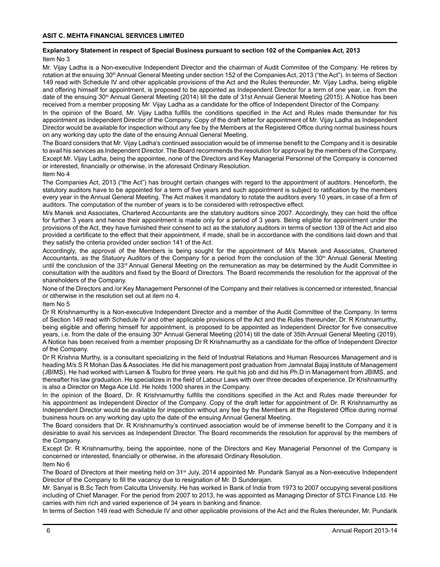# **Explanatory Statement in respect of Special Business pursuant to section 102 of the Companies Act, 2013**

#### Item No 3

Mr. Vijay Ladha is a Non-executive Independent Director and the chairman of Audit Commitee of the Company. He retires by rotation at the ensuing 30<sup>th</sup> Annual General Meeting under section 152 of the Companies Act, 2013 ("the Act"). In terms of Section 149 read with Schedule IV and other applicable provisions of the Act and the Rules thereunder, Mr. Vijay Ladha, being eligible and offering himself for appointment, is proposed to be appointed as Independent Director for a term of one year, i.e. from the date of the ensuing 30<sup>th</sup> Annual General Meeting (2014) till the date of 31st Annual General Meeting (2015). A Notice has been received from a member proposing Mr. Vijay Ladha as a candidate for the office of Independent Director of the Company.

In the opinion of the Board, Mr. Vijay Ladha fulfills the conditions specified in the Act and Rules made thereunder for his appointment as Independent Director of the Company. Copy of the draft letter for appointment of Mr. Vijay Ladha as Independent Director would be available for inspection without any fee by the Members at the Registered Office during normal business hours on any working day upto the date of the ensuing Annual General Meeting.

The Board considers that Mr. Vijay Ladha's continued association would be of immense benefit to the Company and it is desirable to avail his services as Independent Director. The Board recommends the resolution for approval by the members of the Company. Except Mr. Vijay Ladha, being the appointee, none of the Directors and Key Managerial Personnel of the Company is concerned or interested, financially or otherwise, in the aforesaid Ordinary Resolution.

#### Item No 4

The Companies Act, 2013 ("the Act") has brought certain changes with regard to the appointment of auditors. Henceforth, the statutory auditors have to be appointed for a term of five years and such appointment is subject to ratification by the members every year in the Annual General Meeting. The Act makes it mandatory to rotate the auditors every 10 years, in case of a firm of auditors. The computation of the number of years is to be considered with retrospective effect.

M/s Manek and Associates, Chartered Accountants are the statutory auditors since 2007. Accordingly, they can hold the office for further 3 years and hence their appointment is made only for a period of 3 years. Being eligible for appointment under the provisions of the Act, they have furnished their consent to act as the statutory auditors in terms of section 139 of the Act and also provided a certificate to the effect that their appointment, if made, shall be in accordance with the conditions laid down and that they satisfy the criteria provided under section 141 of the Act.

Accordingly, the approval of the Members is being sought for the appointment of M/s Manek and Associates, Chartered Accountants, as the Statuory Auditors of the Company for a period from the conclusion of the 30<sup>th</sup> Annual General Meeting until the conclusion of the 33<sup>rd</sup> Annual General Meeting on the remuneration as may be determined by the Audit Committee in consultation with the auditors and fixed by the Board of Directors. The Board recommends the resolution for the approval of the shareholders of the Company.

None of the Directors and /or Key Management Personnel of the Company and their relatives is concerned or interested, financial or otherwise in the resolution set out at item no 4.

Item No 5

Dr R Krishnamurthy is a Non-executive Independent Director and a member of the Audit Committee of the Company. In terms of Section 149 read with Schedule IV and other applicable provisions of the Act and the Rules thereunder, Dr. R Krishnamurthy, being eligible and offering himself for appointment, is proposed to be appointed as Independent Director for five consecutive years, i.e. from the date of the ensuing 30<sup>th</sup> Annual General Meeting (2014) till the date of 35th Annual General Meeting (2019). A Notice has been received from a member proposing Dr R Krishnamurthy as a candidate for the office of Independent Director of the Company.

Dr R Krishna Murthy, is a consultant specializing in the field of Industrial Relations and Human Resources Management and is heading M/s S R Mohan Das & Associates. He did his management post graduation from Jamnalal Bajaj Institute of Management (JBIMS). He had worked with Larsen & Toubro for three years. He quit his job and did his Ph.D in Management from JBIMS, and thereafter his law graduation. He specializes in the field of Labour Laws with over three decades of experience. Dr Krishnamurthy is also a Director on Mega Ace Ltd. He holds 1000 shares in the Company.

In the opinion of the Board, Dr. R Krishnamurthy fulfills the conditions specified in the Act and Rules made thereunder for his appointment as Independent Director of the Company. Copy of the draft letter for appointment of Dr. R Krishnamurthy as Independent Director would be available for inspection without any fee by the Members at the Registered Office during normal business hours on any working day upto the date of the ensuing Annual General Meeting.

The Board considers that Dr. R Krishnamurthy's continued association would be of immense benefit to the Company and it is desirable to avail his services as Independent Director. The Board recommends the resolution for approval by the members of the Company.

Except Dr. R Krishnamurthy, being the appointee, none of the Directors and Key Managerial Personnel of the Company is concerned or interested, financially or otherwise, in the aforesaid Ordinary Resolution.

Item No 6

The Board of Directors at their meeting held on 31st July, 2014 appointed Mr. Pundarik Sanyal as a Non-executive Independent Director of the Company to fill the vacancy due to resignation of Mr. D Sunderajan.

Mr. Sanyal is B.Sc Tech from Calcutta University. He has worked in Bank of India from 1973 to 2007 occupying several positions including of Chief Manager. For the period from 2007 to 2013, he was appointed as Managing Director of STCI Finance Ltd. He carries with him rich and varied experience of 34 years in banking and finance.

In terms of Section 149 read with Schedule IV and other applicable provisions of the Act and the Rules thereunder, Mr. Pundarik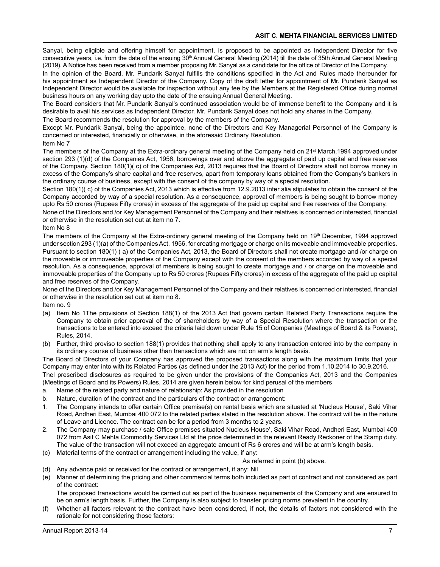Sanyal, being eligible and offering himself for appointment, is proposed to be appointed as Independent Director for five consecutive years, i.e. from the date of the ensuing 30<sup>th</sup> Annual General Meeting (2014) till the date of 35th Annual General Meeting (2019). A Notice has been received from a member proposing Mr. Sanyal as a candidate for the office of Director of the Company.

In the opinion of the Board, Mr. Pundarik Sanyal fulfills the conditions specified in the Act and Rules made thereunder for his appointment as Independent Director of the Company. Copy of the draft letter for appointment of Mr. Pundarik Sanyal as Independent Director would be available for inspection without any fee by the Members at the Registered Office during normal business hours on any working day upto the date of the ensuing Annual General Meeting.

The Board considers that Mr. Pundarik Sanyal's continued association would be of immense benefit to the Company and it is desirable to avail his services as Independent Director. Mr. Pundarik Sanyal does not hold any shares in the Company.

The Board recommends the resolution for approval by the members of the Company.

Except Mr. Pundarik Sanyal, being the appointee, none of the Directors and Key Managerial Personnel of the Company is concerned or interested, financially or otherwise, in the aforesaid Ordinary Resolution. Item No 7

The members of the Company at the Extra-ordinary general meeting of the Company held on 21<sup>st</sup> March, 1994 approved under section 293 (1)(d) of the Companies Act, 1956, borrowings over and above the aggregate of paid up capital and free reserves of the Company. Section 180(1)( c) of the Companies Act, 2013 requires that the Board of Directors shall not borrow money in excess of the Company's share capital and free reserves, apart from temporary loans obtained from the Company's bankers in the ordinary course of business, except with the consent of the company by way of a special resolution.

Section 180(1)(c) of the Companies Act, 2013 which is effective from 12.9.2013 inter alia stipulates to obtain the consent of the Company accorded by way of a special resolution. As a consequence, approval of members is being sought to borrow money upto Rs 50 crores (Rupees Fifty crores) in excess of the aggregate of the paid up capital and free reserves of the Company.

None of the Directors and /or Key Management Personnel of the Company and their relatives is concerned or interested, financial or otherwise in the resolution set out at item no 7.

#### Item No 8

The members of the Company at the Extra-ordinary general meeting of the Company held on 19<sup>th</sup> December, 1994 approved under section 293 (1)(a) of the Companies Act, 1956, for creating mortgage or charge on its moveable and immoveable properties. Pursuant to section 180(1) (a) of the Companies Act, 2013, the Board of Directors shall not create mortgage and /or charge on the moveable or immoveable properties of the Company except with the consent of the members accorded by way of a special resolution. As a consequence, approval of members is being sought to create mortgage and / or charge on the moveable and immoveable properties of the Company up to Rs 50 crores (Rupees Fifty crores) in excess of the aggregate of the paid up capital and free reserves of the Company.

None of the Directors and /or Key Management Personnel of the Company and their relatives is concerned or interested, financial or otherwise in the resolution set out at item no 8.

Item no. 9

- (a) Item No 1The provisions of Section 188(1) of the 2013 Act that govern certain Related Party Transactions require the Company to obtain prior approval of the of shareholders by way of a Special Resolution where the transaction or the transactions to be entered into exceed the criteria laid down under Rule 15 of Companies (Meetings of Board & its Powers), Rules, 2014.
- (b) Further, third proviso to section 188(1) provides that nothing shall apply to any transaction entered into by the company in its ordinary course of business other than transactions which are not on arm's length basis.

The Board of Directors of your Company has approved the proposed transactions along with the maximum limits that your Company may enter into with its Related Parties (as defined under the 2013 Act) for the period from 1.10.2014 to 30.9.2016. Thel prescribed disclosures as required to be given under the provisions of the Companies Act, 2013 and the Companies

(Meetings of Board and its Powers) Rules, 2014 are given herein below for kind perusal of the members

- a. Name of the related party and nature of relationship: As provided in the resolution
- b. Nature, duration of the contract and the particulars of the contract or arrangement:
- 1. The Company intends to offer certain Office premise(s) on rental basis which are situated at 'Nucleus House', Saki Vihar Road, Andheri East, Mumbai 400 072 to the related parties stated in the resolution above. The contract will be in the nature of Leave and Licence. The contract can be for a period from 3 months to 2 years.
- 2. The Company may purchase / sale Office premises situated Nucleus House', Saki Vihar Road, Andheri East, Mumbai 400 072 from Asit C Mehta Commodity Services Ltd at the price determined in the relevant Ready Reckoner of the Stamp duty. The value of the transaction will not exceed an aggregate amount of Rs 6 crores and will be at arm's length basis.
- (c) Material terms of the contract or arrangement including the value, if any:

As referred in point (b) above.

- (d) Any advance paid or received for the contract or arrangement, if any: Nil
- (e) Manner of determining the pricing and other commercial terms both included as part of contract and not considered as part of the contract:

The proposed transactions would be carried out as part of the business requirements of the Company and are ensured to be on arm's length basis. Further, the Company is also subject to transfer pricing norms prevalent in the country.

(f) Whether all factors relevant to the contract have been considered, if not, the details of factors not considered with the rationale for not considering those factors: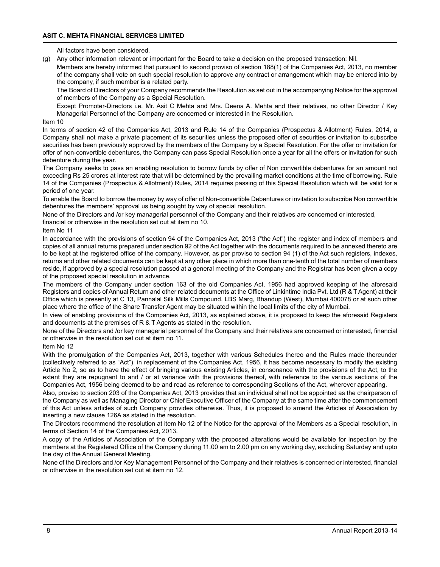All factors have been considered.

(g) Any other information relevant or important for the Board to take a decision on the proposed transaction: Nil.

Members are hereby informed that pursuant to second proviso of section 188(1) of the Companies Act, 2013, no member of the company shall vote on such special resolution to approve any contract or arrangement which may be entered into by the company, if such member is a related party.

The Board of Directors of your Company recommends the Resolution as set out in the accompanying Notice for the approval of members of the Company as a Special Resolution.

Except Promoter-Directors i.e. Mr. Asit C Mehta and Mrs. Deena A. Mehta and their relatives, no other Director / Key Managerial Personnel of the Company are concerned or interested in the Resolution.

#### Item 10

In terms of section 42 of the Companies Act, 2013 and Rule 14 of the Companies (Prospectus & Allotment) Rules, 2014, a Company shall not make a private placement of its securities unless the proposed offer of securities or invitation to subscribe securities has been previously approved by the members of the Company by a Special Resolution. For the offer or invitation for offer of non-convertible debentures, the Company can pass Special Resolution once a year for all the offers or invitation for such debenture during the year.

The Company seeks to pass an enabling resolution to borrow funds by offer of Non convertible debentures for an amount not exceeding Rs 25 crores at interest rate that will be determined by the prevailing market conditions at the time of borrowing. Rule 14 of the Companies (Prospectus & Allotment) Rules, 2014 requires passing of this Special Resolution which will be valid for a period of one year.

To enable the Board to borrow the money by way of offer of Non-convertible Debentures or invitation to subscribe Non convertible debentures the members' approval us being sought by way of special resolution.

None of the Directors and /or key managerial personnel of the Company and their relatives are concerned or interested,

financial or otherwise in the resolution set out at item no 10.

Item No 11

In accordance with the provisions of section 94 of the Companies Act, 2013 ("the Act") the register and index of members and copies of all annual returns prepared under section 92 of the Act together with the documents required to be annexed thereto are to be kept at the registered office of the company. However, as per proviso to section 94 (1) of the Act such registers, indexes, returns and other related documents can be kept at any other place in which more than one-tenth of the total number of members reside, if approved by a special resolution passed at a general meeting of the Company and the Registrar has been given a copy of the proposed special resolution in advance.

The members of the Company under section 163 of the old Companies Act, 1956 had approved keeping of the aforesaid Registers and copies of Annual Return and other related documents at the Office of Linkintime India Pvt. Ltd (R & T Agent) at their Office which is presently at C 13, Pannalal Silk Mills Compound, LBS Marg, Bhandup (West), Mumbai 400078 or at such other place where the office of the Share Transfer Agent may be situated within the local limits of the city of Mumbai.

In view of enabling provisions of the Companies Act, 2013, as explained above, it is proposed to keep the aforesaid Registers and documents at the premises of R & T Agents as stated in the resolution.

None of the Directors and /or key managerial personnel of the Company and their relatives are concerned or interested, financial or otherwise in the resolution set out at item no 11.

Item No 12

With the promulgation of the Companies Act, 2013, together with various Schedules thereo and the Rules made thereunder (collectively referred to as "Act"), in replacement of the Companies Act, 1956, it has become necessary to modify the existing Article No 2, so as to have the effect of bringing various existing Articles, in consonance with the provisions of the Act, to the extent they are repugnant to and / or at variance with the provisions thereof, with reference to the various sections of the Companies Act, 1956 being deemed to be and read as reference to corresponding Sections of the Act, wherever appearing.

Also, proviso to section 203 of the Companies Act, 2013 provides that an individual shall not be appointed as the chairperson of the Company as well as Managing Director or Chief Executive Officer of the Company at the same time after the commencement of this Act unless articles of such Company provides otherwise. Thus, it is proposed to amend the Articles of Association by inserting a new clause 126A as stated in the resolution.

The Directors recommend the resolution at item No 12 of the Notice for the approval of the Members as a Special resolution, in terms of Section 14 of the Companies Act, 2013.

A copy of the Articles of Association of the Company with the proposed alterations would be available for inspection by the members at the Registered Office of the Company during 11.00 am to 2.00 pm on any working day, excluding Saturday and upto the day of the Annual General Meeting.

None of the Directors and /or Key Management Personnel of the Company and their relatives is concerned or interested, financial or otherwise in the resolution set out at item no 12.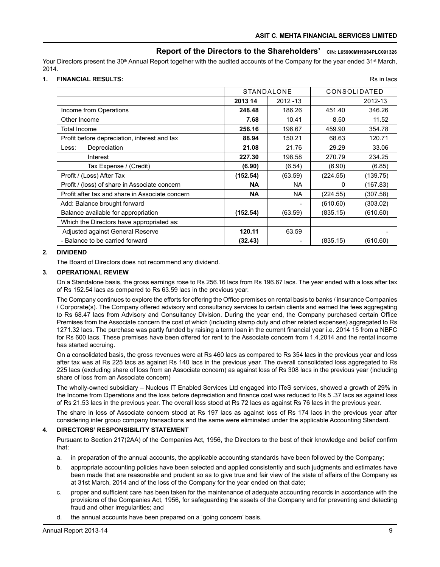# **Report of the Directors to the Shareholders' CIN: L65900MH1984PLC091326**

Your Directors present the 30<sup>th</sup> Annual Report together with the audited accounts of the Company for the year ended 31<sup>st</sup> March, 2014.

**1. FINANCIAL RESULTS: Result 3. Result 3. Results RS** in lacs

|                                                 | STANDALONE |                          |          | CONSOLIDATED             |
|-------------------------------------------------|------------|--------------------------|----------|--------------------------|
|                                                 | 2013 14    | $2012 - 13$              |          | 2012-13                  |
| Income from Operations                          | 248.48     | 186.26                   | 451.40   | 346.26                   |
| Other Income                                    | 7.68       | 10.41                    | 8.50     | 11.52                    |
| Total Income                                    | 256.16     | 196.67                   | 459.90   | 354.78                   |
| Profit before depreciation, interest and tax    | 88.94      | 150.21                   | 68.63    | 120.71                   |
| Depreciation<br>Less:                           | 21.08      | 21.76                    | 29.29    | 33.06                    |
| Interest                                        | 227.30     | 198.58                   | 270.79   | 234.25                   |
| Tax Expense / (Credit)                          | (6.90)     | (6.54)                   | (6.90)   | (6.85)                   |
| Profit / (Loss) After Tax                       | (152.54)   | (63.59)                  | (224.55) | (139.75)                 |
| Profit / (loss) of share in Associate concern   | <b>NA</b>  | <b>NA</b>                | 0        | (167.83)                 |
| Profit after tax and share in Associate concern | <b>NA</b>  | NA.                      | (224.55) | (307.58)                 |
| Add: Balance brought forward                    |            |                          | (610.60) | (303.02)                 |
| Balance available for appropriation             | (152.54)   | (63.59)                  | (835.15) | (610.60)                 |
| Which the Directors have appropriated as:       |            |                          |          |                          |
| Adjusted against General Reserve                | 120.11     | 63.59                    |          | $\overline{\phantom{0}}$ |
| - Balance to be carried forward                 | (32.43)    | $\overline{\phantom{a}}$ | (835.15) | (610.60)                 |

#### **2. DIVIDEND**

The Board of Directors does not recommend any dividend.

#### **3. OPERATIONAL REVIEW**

On a Standalone basis, the gross earnings rose to Rs 256.16 lacs from Rs 196.67 lacs. The year ended with a loss after tax of Rs 152.54 lacs as compared to Rs 63.59 lacs in the previous year.

The Company continues to explore the efforts for offering the Office premises on rental basis to banks / insurance Companies / Corporate(s). The Company offered advisory and consultancy services to certain clients and earned the fees aggregating to Rs 68.47 lacs from Advisory and Consultancy Division. During the year end, the Company purchased certain Office Premises from the Associate concern the cost of which (including stamp duty and other related expenses) aggregated to Rs 1271.32 lacs. The purchase was partly funded by raising a term loan in the current financial year i.e. 2014 15 from a NBFC for Rs 600 lacs. These premises have been offered for rent to the Associate concern from 1.4.2014 and the rental income has started accruing.

On a consolidated basis, the gross revenues were at Rs 460 lacs as compared to Rs 354 lacs in the previous year and loss after tax was at Rs 225 lacs as against Rs 140 lacs in the previous year. The overall consolidated loss aggregated to Rs 225 lacs (excluding share of loss from an Associate concern) as against loss of Rs 308 lacs in the previous year (including share of loss from an Associate concern)

The wholly-owned subsidiary – Nucleus IT Enabled Services Ltd engaged into ITeS services, showed a growth of 29% in the Income from Operations and the loss before depreciation and finance cost was reduced to Rs 5 .37 lacs as against loss of Rs 21.53 lacs in the previous year. The overall loss stood at Rs 72 lacs as against Rs 76 lacs in the previous year.

The share in loss of Associate concern stood at Rs 197 lacs as against loss of Rs 174 lacs in the previous year after considering inter group company transactions and the same were eliminated under the applicable Accounting Standard.

#### **4. DIRECTORS' RESPONSIBILITY STATEMENT**

Pursuant to Section 217(2AA) of the Companies Act, 1956, the Directors to the best of their knowledge and belief confirm that:

- a. in preparation of the annual accounts, the applicable accounting standards have been followed by the Company;
- b. appropriate accounting policies have been selected and applied consistently and such judgments and estimates have been made that are reasonable and prudent so as to give true and fair view of the state of affairs of the Company as at 31st March, 2014 and of the loss of the Company for the year ended on that date;
- c. proper and sufficient care has been taken for the maintenance of adequate accounting records in accordance with the provisions of the Companies Act, 1956, for safeguarding the assets of the Company and for preventing and detecting fraud and other irregularities; and
- d. the annual accounts have been prepared on a 'going concern' basis.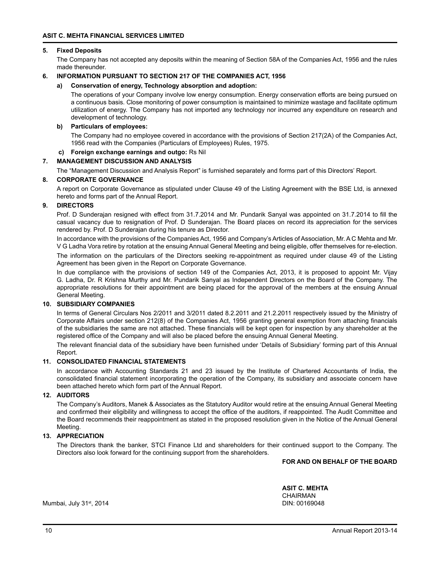#### **5. Fixed Deposits**

The Company has not accepted any deposits within the meaning of Section 58A of the Companies Act, 1956 and the rules made thereunder.

#### **6. INFORMATION PURSUANT TO SECTION 217 OF THE COMPANIES ACT, 1956**

#### **a) Conservation of energy, Technology absorption and adoption:**

The operations of your Company involve low energy consumption. Energy conservation efforts are being pursued on a continuous basis. Close monitoring of power consumption is maintained to minimize wastage and facilitate optimum utilization of energy. The Company has not imported any technology nor incurred any expenditure on research and development of technology.

#### **b) Particulars of employees:**

The Company had no employee covered in accordance with the provisions of Section 217(2A) of the Companies Act, 1956 read with the Companies (Particulars of Employees) Rules, 1975.

#### **c) Foreign exchange earnings and outgo:** Rs Nil

#### **7. MANAGEMENT DISCUSSION AND ANALYSIS**

The "Management Discussion and Analysis Report" is furnished separately and forms part of this Directors' Report.

#### **8. CORPORATE GOVERNANCE**

A report on Corporate Governance as stipulated under Clause 49 of the Listing Agreement with the BSE Ltd, is annexed hereto and forms part of the Annual Report.

#### **9. DIRECTORS**

Prof. D Sunderajan resigned with effect from 31.7.2014 and Mr. Pundarik Sanyal was appointed on 31.7.2014 to fill the casual vacancy due to resignation of Prof. D Sunderajan. The Board places on record its appreciation for the services rendered by. Prof. D Sunderajan during his tenure as Director.

In accordance with the provisions of the Companies Act, 1956 and Company's Articles of Association, Mr. A C Mehta and Mr. V G Ladha Vora retire by rotation at the ensuing Annual General Meeting and being eligible, offer themselves for re-election.

The information on the particulars of the Directors seeking re-appointment as required under clause 49 of the Listing Agreement has been given in the Report on Corporate Governance.

In due compliance with the provisions of section 149 of the Companies Act, 2013, it is proposed to appoint Mr. Vijay G. Ladha, Dr. R Krishna Murthy and Mr. Pundarik Sanyal as Independent Directors on the Board of the Company. The appropriate resolutions for their appointment are being placed for the approval of the members at the ensuing Annual General Meeting.

#### **10. SUBSIDIARY COMPANIES**

In terms of General Circulars Nos 2/2011 and 3/2011 dated 8.2.2011 and 21.2.2011 respectively issued by the Ministry of Corporate Affairs under section 212(8) of the Companies Act, 1956 granting general exemption from attaching financials of the subsidiaries the same are not attached. These financials will be kept open for inspection by any shareholder at the registered office of the Company and will also be placed before the ensuing Annual General Meeting.

The relevant financial data of the subsidiary have been furnished under 'Details of Subsidiary' forming part of this Annual Report.

#### **11. CONSOLIDATED FINANCIAL STATEMENTS**

In accordance with Accounting Standards 21 and 23 issued by the Institute of Chartered Accountants of India, the consolidated financial statement incorporating the operation of the Company, its subsidiary and associate concern have been attached hereto which form part of the Annual Report.

#### **12. AUDITORS**

The Company's Auditors, Manek & Associates as the Statutory Auditor would retire at the ensuing Annual General Meeting and confirmed their eligibility and willingness to accept the office of the auditors, if reappointed. The Audit Committee and the Board recommends their reappointment as stated in the proposed resolution given in the Notice of the Annual General Meeting.

## **13. APPRECIATION**

The Directors thank the banker, STCI Finance Ltd and shareholders for their continued support to the Company. The Directors also look forward for the continuing support from the shareholders.

#### **FOR AND ON BEHALF OF THE BOARD**

**ASIT C. MEHTA** CHAIRMAN<br>DIN: 00169048

Mumbai, July 31st, 2014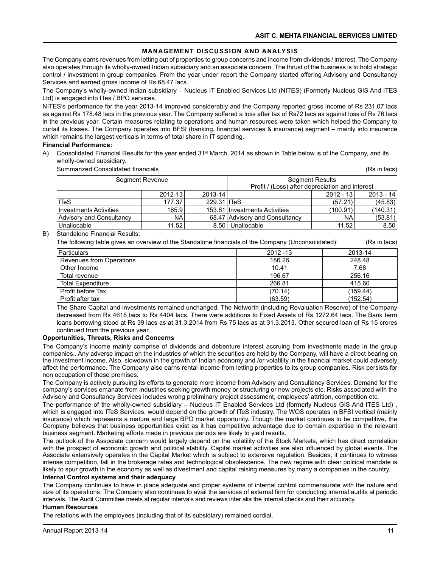#### **MANAGEMENT DISCUSSION AND ANALYSIS**

The Company earns revenues from letting out of properties to group concerns and income from dividends / interest. The Company also operates through its wholly-owned Indian subsidiary and an associate concern. The thrust of the business is to hold strategic control / investment in group companies. From the year under report the Company started offering Advisory and Consultancy Services and earned gross income of Rs 68.47 lacs.

The Company's wholly-owned Indian subsidiary – Nucleus IT Enabled Services Ltd (NITES) (Formerly Nucleus GIS And ITES Ltd) is engaged into ITes / BPO services.

NITES's performance for the year 2013-14 improved considerably and the Company reported gross income of Rs 231.07 lacs as against Rs 178.48 lacs in the previous year. The Company suffered a loss after tax of Rs72 lacs as against loss of Rs 76 lacs in the previous year. Certain measures relating to operations and human resources were taken which helped the Company to curtail its losses. The Company operates into BFSI (banking, financial services & insurance) segment – mainly into insurance which remains the largest verticals in terms of total share in IT spending.

#### **Financial Performance:**

A) Consolidated Financial Results for the year ended 31st March, 2014 as shown in Table below is of the Company, and its wholly-owned subsidiary.

Summarized Consolidated financials (Rs in lacs) and the state of the state of the state of the state of the state of the state of the state of the state of the state of the state of the state of the state of the state of t

|                          | Segment Revenue |             | <b>Segment Results</b>                          |             |             |  |
|--------------------------|-----------------|-------------|-------------------------------------------------|-------------|-------------|--|
|                          |                 |             | Profit / (Loss) after depreciation and interest |             |             |  |
|                          | $2012 - 13$     | $2013 - 14$ |                                                 | $2012 - 13$ | $2013 - 14$ |  |
| <b>ITeS</b>              | 177.37          | 229.31 ITeS |                                                 | (57.21)     | (45.83)     |  |
| Investments Activities   | 165.9           |             | 153.61 Investments Activities                   | (100.91)    | (140.31)    |  |
| Advisory and Consultancy | <b>NA</b>       |             | 68.47 Advisory and Consultancy                  | NA.         | (53.81)     |  |
| Unallocable              | 11.52           |             | 8.50 Unallocable                                | 11.52       | 8.50        |  |

#### B) Standalone Financial Results:

The following table gives an overview of the Standalone financials of the Company (Unconsolidated): (Rs in lacs)

| l Particulars            | $2012 - 13$ | 2013-14  |
|--------------------------|-------------|----------|
| Revenues from Operations | 186.26      | 248.48   |
| Other Income             | 10.41       | 7.68     |
| Total revenue            | 196.67      | 256.16   |
| <b>Total Expenditure</b> | 266.81      | 415.60   |
| Profit before Tax        | (70.14)     | (159.44) |
| Profit after tax         | (63.59)     | (152.54) |

The Share Capital and investments remained unchanged. The Networth (including Revaluation Reserve) of the Company decreased from Rs 4618 lacs to Rs 4404 lacs. There were additions to Fixed Assets of Rs 1272.64 lacs. The Bank term loans borrowing stood at Rs 39 lacs as at 31.3.2014 from Rs 75 lacs as at 31.3.2013. Other secured loan of Rs 15 crores continued from the previous year.

#### **Opportunities, Threats, Risks and Concerns**

The Company's income mainly comprise of dividends and debenture interest accruing from investments made in the group companies.. Any adverse impact on the industries of which the securities are held by the Company, will have a direct bearing on the investment income. Also, slowdown in the growth of Indian economy and /or volatility in the financial market could adversely affect the performance. The Company also earns rental income from letting properties to its group companies. Risk persists for non occupation of these premises.

The Company is actively pursuing its efforts to generate more income from Advisory and Consultancy Services. Demand for the company's services emanate from industries seeking growth money or structuring or new projects etc. Risks associated with the Advisory and Consultancy Services includes wrong preliminary project assessment, employees' attrition, competition etc.

The performance of the wholly-owned subsidiary – Nucleus IT Enabled Services Ltd (formerly Nucleus GIS And ITES Ltd) , which is engaged into ITeS Services, would depend on the growth of ITeS industry. The WOS operates in BFSI vertical (mainly insurance) which represents a mature and large BPO market opportunity. Though the market continues to be competitive, the Company believes that business opportunities exist as it has competitive advantage due to domain expertise in the relevant business segment. Marketing efforts made in previous periods are likely to yield results.

The outlook of the Associate concern would largely depend on the volatility of the Stock Markets, which has direct correlation with the prospect of economic growth and political stability. Capital market activities are also influenced by global events. The Associate extensively operates in the Capital Market which is subject to extensive regulation. Besides, it continues to witness intense competition, fall in the brokerage rates and technological obsolescence. The new regime with clear political mandate is likely to spur growth in the economy as well as divestment and capital raising measures by many a companies in the country.

#### **Internal Control systems and their adequacy**

The Company continues to have in place adequate and proper systems of internal control commensurate with the nature and size of its operations. The Company also continues to avail the services of external firm for conducting internal audits at periodic intervals. The Audit Committee meets at regular intervals and reviews inter alia the internal checks and their accuracy.

#### **Human Resources**

The relations with the employees (including that of its subsidiary) remained cordial.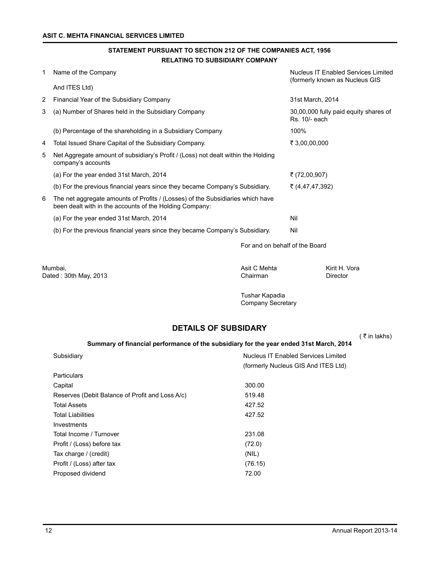# **STATEMENT PURSUANT TO SECTION 212 OF THE COMPANIES ACT, 1956 RELATING TO SUBSIDIARY COMPANY**

| 1 | Name of the Company                                                                                                                       | Nucleus IT Enabled Services Limited<br>(formerly known as Nucleus GIS |  |
|---|-------------------------------------------------------------------------------------------------------------------------------------------|-----------------------------------------------------------------------|--|
|   | And ITES Ltd)                                                                                                                             |                                                                       |  |
| 2 | Financial Year of the Subsidiary Company                                                                                                  | 31st March, 2014                                                      |  |
| 3 | (a) Number of Shares held in the Subsidiary Company                                                                                       | 30,00,000 fully paid equity shares of<br>Rs. 10/- each                |  |
|   | (b) Percentage of the shareholding in a Subsidiary Company                                                                                | 100%                                                                  |  |
| 4 | Total Issued Share Capital of the Subsidiary Company.                                                                                     | ₹ 3,00,00,000                                                         |  |
| 5 | Net Aggregate amount of subsidiary's Profit / (Loss) not dealt within the Holding<br>company's accounts                                   |                                                                       |  |
|   | (a) For the year ended 31st March, 2014                                                                                                   | ₹ (72,00,907)                                                         |  |
|   | (b) For the previous financial years since they became Company's Subsidiary.                                                              | ₹ (4,47,47,392)                                                       |  |
| 6 | The net aggregate amounts of Profits / (Losses) of the Subsidiaries which have<br>been dealt with in the accounts of the Holding Company: |                                                                       |  |
|   | (a) For the year ended 31st March, 2014                                                                                                   | Nil                                                                   |  |
|   | (b) For the previous financial years since they became Company's Subsidiary.                                                              | Nil                                                                   |  |
|   | For and on behalf of the Board                                                                                                            |                                                                       |  |

Mumbai, Asit C Mehta Kirit H. Vora Dated :  $30th$  May,  $2013$ 

Tushar Kapadia Company Secretary

# **DETAILS OF SUBSIDARY**

 $(\bar{\tau}$  in lakhs) and the contract of  $\bar{\tau}$  in lakhs)

### **Summary of financial performance of the subsidiary for the year ended 31st March, 2014**

| Subsidiary                                      | <b>Nucleus IT Enabled Services Limited</b> |
|-------------------------------------------------|--------------------------------------------|
|                                                 | (formerly Nucleus GIS And ITES Ltd)        |
| <b>Particulars</b>                              |                                            |
| Capital                                         | 300.00                                     |
| Reserves (Debit Balance of Profit and Loss A/c) | 519.48                                     |
| <b>Total Assets</b>                             | 427.52                                     |
| <b>Total Liabilities</b>                        | 427.52                                     |
| Investments                                     |                                            |
| Total Income / Turnover                         | 231.08                                     |
| Profit / (Loss) before tax                      | (72.0)                                     |
| Tax charge / (credit)                           | (NIL)                                      |
| Profit / (Loss) after tax                       | (76.15)                                    |
| Proposed dividend                               | 72.00                                      |
|                                                 |                                            |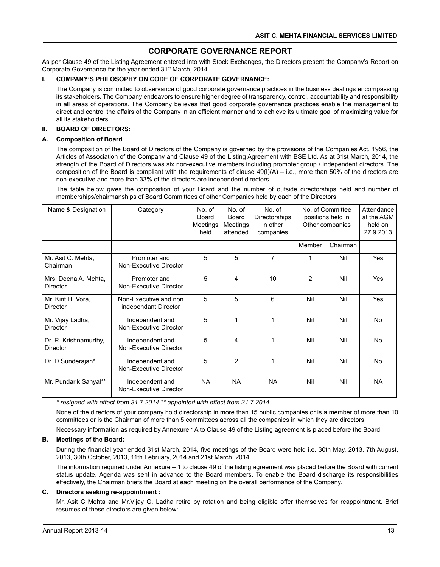# **CORPORATE GOVERNANCE REPORT**

As per Clause 49 of the Listing Agreement entered into with Stock Exchanges, the Directors present the Company's Report on Corporate Governance for the year ended 31st March, 2014.

#### **I. COMPANY'S PHILOSOPHY ON CODE OF CORPORATE GOVERNANCE:**

The Company is committed to observance of good corporate governance practices in the business dealings encompassing its stakeholders. The Company endeavors to ensure higher degree of transparency, control, accountability and responsibility in all areas of operations. The Company believes that good corporate governance practices enable the management to direct and control the affairs of the Company in an efficient manner and to achieve its ultimate goal of maximizing value for all its stakeholders.

#### **II. BOARD OF DIRECTORS:**

#### **A. Composition of Board**

The composition of the Board of Directors of the Company is governed by the provisions of the Companies Act, 1956, the Articles of Association of the Company and Clause 49 of the Listing Agreement with BSE Ltd. As at 31st March, 2014, the strength of the Board of Directors was six non-executive members including promoter group / independent directors. The composition of the Board is compliant with the requirements of clause  $49(1)(A) - i.e.,$  more than 50% of the directors are non-executive and more than 33% of the directors are independent directors.

The table below gives the composition of your Board and the number of outside directorships held and number of memberships/chairmanships of Board Committees of other Companies held by each of the Directors.

| Name & Designation                | Category                                      | No. of<br>Board<br>Meetings<br>held | No. of<br>Board<br>Meetings<br>attended | No. of<br>Directorships<br>in other<br>companies |                | No of Committee<br>positions held in<br>Other companies | Attendance<br>at the AGM<br>held on<br>27.9.2013 |
|-----------------------------------|-----------------------------------------------|-------------------------------------|-----------------------------------------|--------------------------------------------------|----------------|---------------------------------------------------------|--------------------------------------------------|
|                                   |                                               |                                     |                                         |                                                  | Member         | Chairman                                                |                                                  |
| Mr. Asit C. Mehta,<br>Chairman    | Promoter and<br>Non-Executive Director        | 5                                   | 5                                       | $\overline{7}$                                   | 1              | Nil                                                     | Yes                                              |
| Mrs. Deena A. Mehta,<br>Director  | Promoter and<br>Non-Executive Director        | 5                                   | 4                                       | 10                                               | $\overline{2}$ | Nil                                                     | Yes                                              |
| Mr. Kirit H. Vora,<br>Director    | Non-Executive and non<br>independant Director | 5                                   | 5                                       | 6                                                | Nil            | Nil                                                     | Yes                                              |
| Mr. Vijay Ladha,<br>Director      | Independent and<br>Non-Executive Director     | 5                                   | 1                                       | 1                                                | Nil            | Nil                                                     | <b>No</b>                                        |
| Dr. R. Krishnamurthy,<br>Director | Independent and<br>Non-Executive Director     | 5                                   | 4                                       | 1                                                | Nil            | Nil                                                     | <b>No</b>                                        |
| Dr. D Sunderajan*                 | Independent and<br>Non-Executive Director     | 5                                   | $\mathfrak{p}$                          | 1                                                | Nil            | Nil                                                     | No                                               |
| Mr. Pundarik Sanyal**             | Independent and<br>Non-Executive Director     | <b>NA</b>                           | <b>NA</b>                               | <b>NA</b>                                        | Nil            | Nil                                                     | <b>NA</b>                                        |

*\* resigned with effect from 31.7.2014 \*\* appointed with effect from 31.7.2014*

None of the directors of your company hold directorship in more than 15 public companies or is a member of more than 10 committees or is the Chairman of more than 5 committees across all the companies in which they are directors.

Necessary information as required by Annexure 1A to Clause 49 of the Listing agreement is placed before the Board.

#### **B. Meetings of the Board:**

During the financial year ended 31st March, 2014, five meetings of the Board were held i.e. 30th May, 2013, 7th August, 2013, 30th October, 2013, 11th February, 2014 and 21st March, 2014.

The information required under Annexure – 1 to clause 49 of the listing agreement was placed before the Board with current status update. Agenda was sent in advance to the Board members. To enable the Board discharge its responsibilities effectively, the Chairman briefs the Board at each meeting on the overall performance of the Company.

#### **C. Directors seeking re-appointment :**

Mr. Asit C Mehta and Mr.Vijay G. Ladha retire by rotation and being eligible offer themselves for reappointment. Brief resumes of these directors are given below: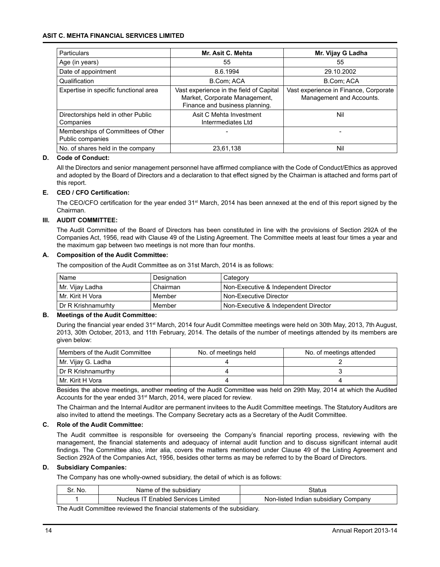#### **ASIT C. MEHTA FINANCIAL SERVICES LIMITED**

| Particulars                                            | Mr. Asit C. Mehta                                                                                          | Mr. Vijay G Ladha                                                 |
|--------------------------------------------------------|------------------------------------------------------------------------------------------------------------|-------------------------------------------------------------------|
| Age (in years)                                         | 55                                                                                                         | 55                                                                |
| Date of appointment                                    | 8.6.1994                                                                                                   | 29.10.2002                                                        |
| Qualification                                          | B.Com; ACA                                                                                                 | B.Com; ACA                                                        |
| Expertise in specific functional area                  | Vast experience in the field of Capital<br>Market, Corporate Management,<br>Finance and business planning. | Vast experience in Finance, Corporate<br>Management and Accounts. |
| Directorships held in other Public<br>Companies        | Asit C Mehta Investment<br>Interrmediates Ltd                                                              | Nil                                                               |
| Memberships of Committees of Other<br>Public companies |                                                                                                            |                                                                   |
| No. of shares held in the company                      | 23.61.138                                                                                                  | Nil                                                               |

#### **D. Code of Conduct:**

All the Directors and senior management personnel have affirmed compliance with the Code of Conduct/Ethics as approved and adopted by the Board of Directors and a declaration to that effect signed by the Chairman is attached and forms part of this report.

#### **E. CEO / CFO Certification:**

The CEO/CFO certification for the year ended  $31<sup>st</sup>$  March, 2014 has been annexed at the end of this report signed by the Chairman.

#### **III. AUDIT COMMITTEE:**

The Audit Committee of the Board of Directors has been constituted in line with the provisions of Section 292A of the Companies Act, 1956, read with Clause 49 of the Listing Agreement. The Committee meets at least four times a year and the maximum gap between two meetings is not more than four months.

#### **A. Composition of the Audit Committee:**

The composition of the Audit Committee as on 31st March, 2014 is as follows:

| Name                 | Designation | Category                             |
|----------------------|-------------|--------------------------------------|
| Mr. Vijay Ladha      | Chairman    | Non-Executive & Independent Director |
| I Mr. Kirit H Vora   | Member      | Non-Executive Director               |
| I Dr R Krishnamurhtv | Member      | Non-Executive & Independent Director |

#### **B. Meetings of the Audit Committee:**

During the financial year ended 31<sup>st</sup> March, 2014 four Audit Committee meetings were held on 30th May, 2013, 7th August, 2013, 30th October, 2013, and 11th February, 2014. The details of the number of meetings attended by its members are given below:

| Members of the Audit Committee | No. of meetings held | No. of meetings attended |
|--------------------------------|----------------------|--------------------------|
| Mr. Vijay G. Ladha             |                      |                          |
| Dr R Krishnamurthy             |                      |                          |
| l Mr. Kirit H Vora             |                      |                          |

Besides the above meetings, another meeting of the Audit Committee was held on 29th May, 2014 at which the Audited Accounts for the year ended 31<sup>st</sup> March, 2014, were placed for review.

The Chairman and the Internal Auditor are permanent invitees to the Audit Committee meetings. The Statutory Auditors are also invited to attend the meetings. The Company Secretary acts as a Secretary of the Audit Committee.

#### **C. Role of the Audit Committee:**

The Audit committee is responsible for overseeing the Company's financial reporting process, reviewing with the management, the financial statements and adequacy of internal audit function and to discuss significant internal audit findings. The Committee also, inter alia, covers the matters mentioned under Clause 49 of the Listing Agreement and Section 292A of the Companies Act, 1956, besides other terms as may be referred to by the Board of Directors.

#### **D. Subsidiary Companies:**

The Company has one wholly-owned subsidiary, the detail of which is as follows:

| No.<br>. اد | Name of the subsidiary              | Status                                     |
|-------------|-------------------------------------|--------------------------------------------|
|             | Enabled Services Limited<br>Nucleus | Non-listed Indian<br>subsidiarv<br>Company |

The Audit Committee reviewed the financial statements of the subsidiary.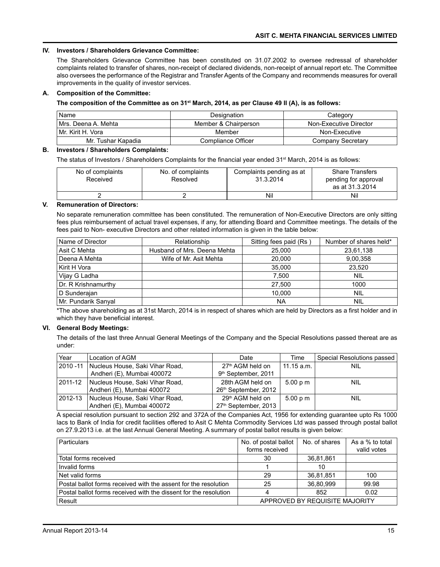#### **IV. Investors / Shareholders Grievance Committee:**

The Shareholders Grievance Committee has been constituted on 31.07.2002 to oversee redressal of shareholder complaints related to transfer of shares, non-receipt of declared dividends, non-receipt of annual report etc. The Committee also oversees the performance of the Registrar and Transfer Agents of the Company and recommends measures for overall improvements in the quality of investor services.

#### **A. Composition of the Committee:**

#### **The composition of the Committee as on 31st March, 2014, as per Clause 49 II (A), is as follows:**

| ' Name                | Designation          | Category               |
|-----------------------|----------------------|------------------------|
| l Mrs. Deena A. Mehta | Member & Chairperson | Non-Executive Director |
| l Mr. Kirit H. Vora   | Member               | Non-Executive          |
| Mr. Tushar Kapadia    | Compliance Officer   | Company Secretary      |

#### **B. Investors / Shareholders Complaints:**

The status of Investors / Shareholders Complaints for the financial year ended 31<sup>st</sup> March, 2014 is as follows:

| No of complaints<br>Received | No. of complaints<br>Resolved | Complaints pending as at<br>31.3.2014 | <b>Share Transfers</b><br>pending for approval<br>as at 31.3.2014 |
|------------------------------|-------------------------------|---------------------------------------|-------------------------------------------------------------------|
|                              |                               | Nil                                   | Nil                                                               |

#### **V. Remuneration of Directors:**

No separate remuneration committee has been constituted. The remuneration of Non-Executive Directors are only sitting fees plus reimbursement of actual travel expenses, if any, for attending Board and Committee meetings. The details of the fees paid to Non- executive Directors and other related information is given in the table below:

| Name of Director    | Relationship                | Sitting fees paid (Rs) | Number of shares held* |
|---------------------|-----------------------------|------------------------|------------------------|
| l Asit C Mehta      | Husband of Mrs. Deena Mehta | 25,000                 | 23,61,138              |
| l Deena A Mehta     | Wife of Mr. Asit Mehta      | 20,000                 | 9.00.358               |
| l Kirit H Vora      |                             | 35,000                 | 23.520                 |
| Vijay G Ladha       |                             | 7,500                  | <b>NIL</b>             |
| Dr. R Krishnamurthy |                             | 27.500                 | 1000                   |
| D Sunderajan        |                             | 10.000                 | <b>NIL</b>             |
| Mr. Pundarik Sanyal |                             | <b>NA</b>              | <b>NIL</b>             |

\*The above shareholding as at 31st March, 2014 is in respect of shares which are held by Directors as a first holder and in which they have beneficial interest.

#### **VI. General Body Meetings:**

The details of the last three Annual General Meetings of the Company and the Special Resolutions passed thereat are as under:

| Year     | Location of AGM                 | Date                             | Time                 | Special Resolutions passed |
|----------|---------------------------------|----------------------------------|----------------------|----------------------------|
| 2010 -11 | Nucleus House, Saki Vihar Road, | 27 <sup>th</sup> AGM held on     | $11.15$ a.m.         | <b>NIL</b>                 |
|          | Andheri (E), Mumbai 400072      | 9 <sup>th</sup> September, 2011  |                      |                            |
| 2011-12  | Nucleus House, Saki Vihar Road, | 28th AGM held on                 | $5.00\,\mathrm{p}$ m | <b>NIL</b>                 |
|          | Andheri (E), Mumbai 400072      | 26 <sup>th</sup> September, 2012 |                      |                            |
| 2012-13  | Nucleus House, Saki Vihar Road, | 29 <sup>th</sup> AGM held on     | 5.00 p m             | <b>NIL</b>                 |
|          | Andheri (E), Mumbai 400072      | 27 <sup>th</sup> September, 2013 |                      |                            |

A special resolution pursuant to section 292 and 372A of the Companies Act, 1956 for extending guarantee upto Rs 1000 lacs to Bank of India for credit facilities offered to Asit C Mehta Commodity Services Ltd was passed through postal ballot on 27.9.2013 i.e. at the last Annual General Meeting. A summary of postal ballot results is given below:

| Particulars                                                      | No. of postal ballot<br>forms received | No. of shares                  | As a % to total<br>valid votes |
|------------------------------------------------------------------|----------------------------------------|--------------------------------|--------------------------------|
| Total forms received                                             | 30                                     | 36,81,861                      |                                |
| Invalid forms                                                    |                                        | 10                             |                                |
| Net valid forms                                                  | 29                                     | 36.81.851                      | 100                            |
| Postal ballot forms received with the assent for the resolution  | 25                                     | 36,80,999                      | 99.98                          |
| Postal ballot forms received with the dissent for the resolution |                                        | 852                            | 0.02                           |
| Result                                                           |                                        | APPROVED BY REQUISITE MAJORITY |                                |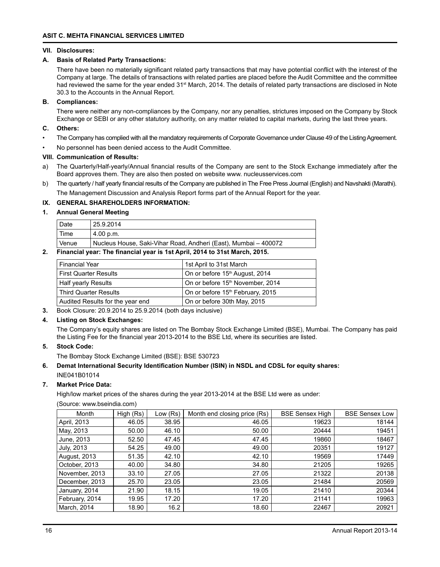#### **VII. Disclosures:**

#### **A. Basis of Related Party Transactions:**

There have been no materially significant related party transactions that may have potential conflict with the interest of the Company at large. The details of transactions with related parties are placed before the Audit Committee and the committee had reviewed the same for the year ended 31<sup>st</sup> March, 2014. The details of related party transactions are disclosed in Note 30.3 to the Accounts in the Annual Report.

### **B. Compliances:**

There were neither any non-compliances by the Company, nor any penalties, strictures imposed on the Company by Stock Exchange or SEBI or any other statutory authority, on any matter related to capital markets, during the last three years.

#### **C. Others:**

- The Company has complied with all the mandatory requirements of Corporate Governance under Clause 49 of the Listing Agreement.
- No personnel has been denied access to the Audit Committee.

#### **VIII. Communication of Results:**

- a) The Quarterly/Half-yearly/Annual financial results of the Company are sent to the Stock Exchange immediately after the Board approves them. They are also then posted on website www. nucleusservices.com
- b) The quarterly / half yearly financial results of the Company are published in The Free Press Journal (English) and Navshakti (Marathi). The Management Discussion and Analysis Report forms part of the Annual Report for the year.

### **IX. GENERAL SHAREHOLDERS INFORMATION:**

#### **1. Annual General Meeting**

| Date  | 25.9.2014                                                       |
|-------|-----------------------------------------------------------------|
| Time  | 4.00 p.m.                                                       |
| Venue | Nucleus House, Saki-Vihar Road, Andheri (East), Mumbai – 400072 |

#### **2. Financial year: The financial year is 1st April, 2014 to 31st March, 2015.**

| <b>Financial Year</b>            | 1st April to 31st March                      |
|----------------------------------|----------------------------------------------|
| <b>First Quarter Results</b>     | On or before 15 <sup>th</sup> August, 2014   |
| Half yearly Results              | On or before 15 <sup>th</sup> November, 2014 |
| Third Quarter Results            | On or before 15 <sup>th</sup> February, 2015 |
| Audited Results for the year end | On or before 30th May, 2015                  |

**3.** Book Closure: 20.9.2014 to 25.9.2014 (both days inclusive)

### **4. Listing on Stock Exchanges:**

The Company's equity shares are listed on The Bombay Stock Exchange Limited (BSE), Mumbai. The Company has paid the Listing Fee for the financial year 2013-2014 to the BSE Ltd, where its securities are listed.

#### **5. Stock Code:**

The Bombay Stock Exchange Limited (BSE): BSE 530723

#### **6. Demat International Security Identification Number (ISIN) in NSDL and CDSL for equity shares:** INE041B01014

#### **7. Market Price Data:**

High/low market prices of the shares during the year 2013-2014 at the BSE Ltd were as under:

(Source: www.bseindia.com)

| Month          | High (Rs) | Low (Rs) | Month end closing price (Rs) | <b>BSE Sensex High</b> | <b>BSE Sensex Low</b> |
|----------------|-----------|----------|------------------------------|------------------------|-----------------------|
| April, 2013    | 46.05     | 38.95    | 46.05                        | 19623                  | 18144                 |
| May, 2013      | 50.00     | 46.10    | 50.00                        | 20444                  | 19451                 |
| June, 2013     | 52.50     | 47.45    | 47.45                        | 19860                  | 18467                 |
| July, 2013     | 54.25     | 49.00    | 49.00                        | 20351                  | 19127                 |
| August, 2013   | 51.35     | 42.10    | 42.10                        | 19569                  | 17449                 |
| October, 2013  | 40.00     | 34.80    | 34.80                        | 21205                  | 19265                 |
| November, 2013 | 33.10     | 27.05    | 27.05                        | 21322                  | 20138                 |
| December, 2013 | 25.70     | 23.05    | 23.05                        | 21484                  | 20569                 |
| January, 2014  | 21.90     | 18.15    | 19.05                        | 21410                  | 20344                 |
| February, 2014 | 19.95     | 17.20    | 17.20                        | 21141                  | 19963                 |
| March, 2014    | 18.90     | 16.2     | 18.60                        | 22467                  | 20921                 |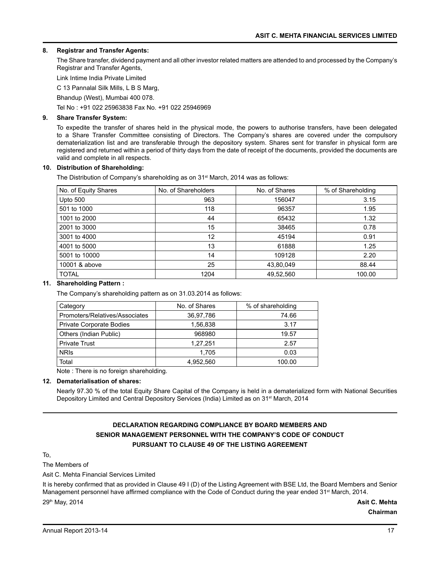#### **8. Registrar and Transfer Agents:**

The Share transfer, dividend payment and all other investor related matters are attended to and processed by the Company's Registrar and Transfer Agents,

Link Intime India Private Limited

C 13 Pannalal Silk Mills, L B S Marg,

Bhandup (West), Mumbai 400 078.

Tel No : +91 022 25963838 Fax No. +91 022 25946969

#### **9. Share Transfer System:**

To expedite the transfer of shares held in the physical mode, the powers to authorise transfers, have been delegated to a Share Transfer Committee consisting of Directors. The Company's shares are covered under the compulsory dematerialization list and are transferable through the depository system. Shares sent for transfer in physical form are registered and returned within a period of thirty days from the date of receipt of the documents, provided the documents are valid and complete in all respects.

#### **10. Distribution of Shareholding:**

The Distribution of Company's shareholding as on 31<sup>st</sup> March, 2014 was as follows:

| No. of Equity Shares | No. of Shareholders | No. of Shares | % of Shareholding |
|----------------------|---------------------|---------------|-------------------|
| Upto 500             | 963                 | 156047        | 3.15              |
| 501 to 1000          | 118                 | 96357         | 1.95              |
| 1001 to 2000         | 44                  | 65432         | 1.32              |
| 2001 to 3000         | 15                  | 38465         | 0.78              |
| 3001 to 4000         | 12                  | 45194         | 0.91              |
| 4001 to 5000         | 13                  | 61888         | 1.25              |
| 5001 to 10000        | 14                  | 109128        | 2.20              |
| 10001 & above        | 25                  | 43,80,049     | 88.44             |
| <b>TOTAL</b>         | 1204                | 49,52,560     | 100.00            |

#### **11. Shareholding Pattern :**

The Company's shareholding pattern as on 31.03.2014 as follows:

| Category                       | No. of Shares | % of shareholding |
|--------------------------------|---------------|-------------------|
| Promoters/Relatives/Associates | 36,97,786     | 74.66             |
| Private Corporate Bodies       | 1.56.838      | 3.17              |
| Others (Indian Public)         | 968980        | 19.57             |
| <b>Private Trust</b>           | 1.27.251      | 2.57              |
| <b>NRIS</b>                    | 1.705         | 0.03              |
| Total                          | 4.952.560     | 100.00            |

Note : There is no foreign shareholding.

#### **12. Dematerialisation of shares:**

Nearly 97.30 % of the total Equity Share Capital of the Company is held in a dematerialized form with National Securities Depository Limited and Central Depository Services (India) Limited as on 31<sup>st</sup> March, 2014

# **DECLARATION REGARDING COMPLIANCE BY BOARD MEMBERS AND SENIOR MANAGEMENT PERSONNEL WITH THE COMPANY'S CODE OF CONDUCT PURSUANT TO CLAUSE 49 OF THE LISTING AGREEMENT**

To,

The Members of

Asit C. Mehta Financial Services Limited

It is hereby confirmed that as provided in Clause 49 I (D) of the Listing Agreement with BSE Ltd, the Board Members and Senior Management personnel have affirmed compliance with the Code of Conduct during the year ended 31<sup>st</sup> March, 2014.

29th May, 2014 **Asit C. Mehta Chairman**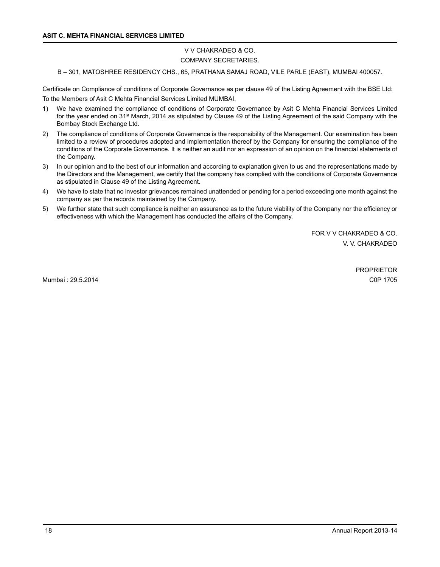# V V CHAKRADEO & CO. COMPANY SECRETARIES.

B – 301, MATOSHREE RESIDENCY CHS., 65, PRATHANA SAMAJ ROAD, VILE PARLE (EAST), MUMBAI 400057.

Certificate on Compliance of conditions of Corporate Governance as per clause 49 of the Listing Agreement with the BSE Ltd: To the Members of Asit C Mehta Financial Services Limited MUMBAI.

- 1) We have examined the compliance of conditions of Corporate Governance by Asit C Mehta Financial Services Limited for the year ended on 31st March, 2014 as stipulated by Clause 49 of the Listing Agreement of the said Company with the Bombay Stock Exchange Ltd.
- 2) The compliance of conditions of Corporate Governance is the responsibility of the Management. Our examination has been limited to a review of procedures adopted and implementation thereof by the Company for ensuring the compliance of the conditions of the Corporate Governance. It is neither an audit nor an expression of an opinion on the financial statements of the Company.
- 3) In our opinion and to the best of our information and according to explanation given to us and the representations made by the Directors and the Management, we certify that the company has complied with the conditions of Corporate Governance as stipulated in Clause 49 of the Listing Agreement.
- 4) We have to state that no investor grievances remained unattended or pending for a period exceeding one month against the company as per the records maintained by the Company.
- 5) We further state that such compliance is neither an assurance as to the future viability of the Company nor the efficiency or effectiveness with which the Management has conducted the affairs of the Company.

FOR V V CHAKRADEO & CO. V. V. CHAKRADEO

Mumbai : 29.5.2014 C0P 1705

PROPRIETOR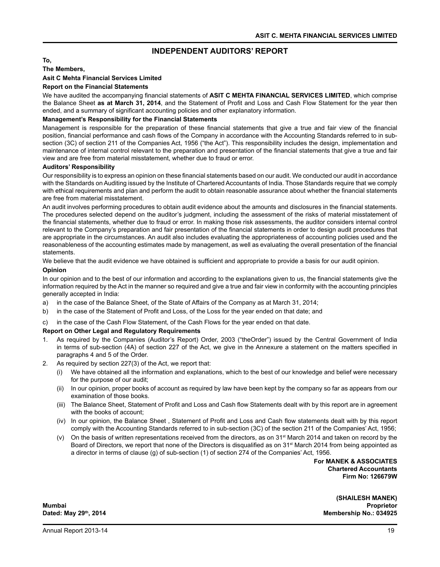# **INDEPENDENT AUDITORS' REPORT**

#### **To,**

#### **The Members,**

#### **Asit C Mehta Financial Services Limited**

#### **Report on the Financial Statements**

We have audited the accompanying financial statements of **ASIT C MEHTA FINANCIAL SERVICES LIMITED**, which comprise the Balance Sheet **as at March 31, 2014**, and the Statement of Profit and Loss and Cash Flow Statement for the year then ended, and a summary of significant accounting policies and other explanatory information.

#### **Management's Responsibility for the Financial Statements**

Management is responsible for the preparation of these financial statements that give a true and fair view of the financial position, financial performance and cash flows of the Company in accordance with the Accounting Standards referred to in subsection (3C) of section 211 of the Companies Act, 1956 ("the Act"). This responsibility includes the design, implementation and maintenance of internal control relevant to the preparation and presentation of the financial statements that give a true and fair view and are free from material misstatement, whether due to fraud or error.

#### **Auditors' Responsibility**

Our responsibility is to express an opinion on these financial statements based on our audit. We conducted our audit in accordance with the Standards on Auditing issued by the Institute of Chartered Accountants of India. Those Standards require that we comply with ethical requirements and plan and perform the audit to obtain reasonable assurance about whether the financial statements are free from material misstatement.

An audit involves performing procedures to obtain audit evidence about the amounts and disclosures in the financial statements. The procedures selected depend on the auditor's judgment, including the assessment of the risks of material misstatement of the financial statements, whether due to fraud or error. In making those risk assessments, the auditor considers internal control relevant to the Company's preparation and fair presentation of the financial statements in order to design audit procedures that are appropriate in the circumstances. An audit also includes evaluating the appropriateness of accounting policies used and the reasonableness of the accounting estimates made by management, as well as evaluating the overall presentation of the financial statements.

We believe that the audit evidence we have obtained is sufficient and appropriate to provide a basis for our audit opinion.

#### **Opinion**

In our opinion and to the best of our information and according to the explanations given to us, the financial statements give the information required by the Act in the manner so required and give a true and fair view in conformity with the accounting principles generally accepted in India:

- a) in the case of the Balance Sheet, of the State of Affairs of the Company as at March 31, 2014;
- b) in the case of the Statement of Profit and Loss, of the Loss for the year ended on that date; and
- c) in the case of the Cash Flow Statement, of the Cash Flows for the year ended on that date.

### **Report on Other Legal and Regulatory Requirements**

- 1. As required by the Companies (Auditor's Report) Order, 2003 ("theOrder") issued by the Central Government of India in terms of sub-section (4A) of section 227 of the Act, we give in the Annexure a statement on the matters specified in paragraphs 4 and 5 of the Order.
- 2. As required by section 227(3) of the Act, we report that:
	- (i) We have obtained all the information and explanations, which to the best of our knowledge and belief were necessary for the purpose of our audit;
	- (ii) In our opinion, proper books of account as required by law have been kept by the company so far as appears from our examination of those books.
	- (iii) The Balance Sheet, Statement of Profit and Loss and Cash flow Statements dealt with by this report are in agreement with the books of account;
	- (iv) In our opinion, the Balance Sheet , Statement of Profit and Loss and Cash flow statements dealt with by this report comply with the Accounting Standards referred to in sub-section (3C) of the section 211 of the Companies' Act, 1956;
	- (v) On the basis of written representations received from the directors, as on 31st March 2014 and taken on record by the Board of Directors, we report that none of the Directors is disqualified as on 31<sup>st</sup> March 2014 from being appointed as a director in terms of clause (g) of sub-section (1) of section 274 of the Companies' Act, 1956.

**For MANEK & ASSOCIATES Chartered Accountants Firm No: 126679W**

**(SHAILESH MANEK) Mumbai Proprietor Dated: May 29th, 2014 Membership No.: 034925**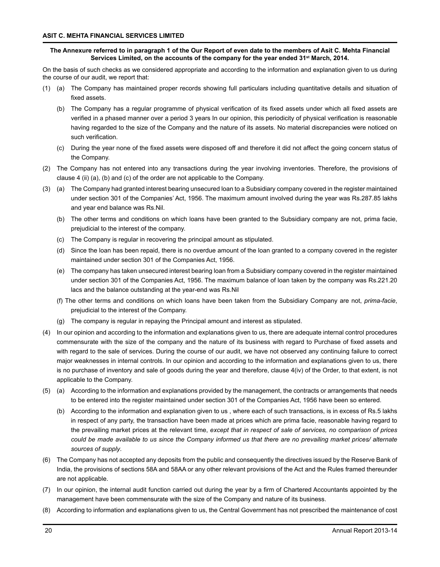#### **The Annexure referred to in paragraph 1 of the Our Report of even date to the members of Asit C. Mehta Financial Services Limited, on the accounts of the company for the year ended 31st March, 2014.**

On the basis of such checks as we considered appropriate and according to the information and explanation given to us during the course of our audit, we report that:

- (1) (a) The Company has maintained proper records showing full particulars including quantitative details and situation of fixed assets.
	- (b) The Company has a regular programme of physical verification of its fixed assets under which all fixed assets are verified in a phased manner over a period 3 years In our opinion, this periodicity of physical verification is reasonable having regarded to the size of the Company and the nature of its assets. No material discrepancies were noticed on such verification.
	- (c) During the year none of the fixed assets were disposed off and therefore it did not affect the going concern status of the Company.
- (2) The Company has not entered into any transactions during the year involving inventories. Therefore, the provisions of clause 4 (ii) (a), (b) and (c) of the order are not applicable to the Company.
- (3) (a) The Company had granted interest bearing unsecured loan to a Subsidiary company covered in the register maintained under section 301 of the Companies' Act, 1956. The maximum amount involved during the year was Rs.287.85 lakhs and year end balance was Rs.Nil.
	- (b) The other terms and conditions on which loans have been granted to the Subsidiary company are not, prima facie, prejudicial to the interest of the company.
	- (c) The Company is regular in recovering the principal amount as stipulated.
	- (d) Since the loan has been repaid, there is no overdue amount of the loan granted to a company covered in the register maintained under section 301 of the Companies Act, 1956.
	- (e) The company has taken unsecured interest bearing loan from a Subsidiary company covered in the register maintained under section 301 of the Companies Act, 1956. The maximum balance of loan taken by the company was Rs.221.20 lacs and the balance outstanding at the year-end was Rs.Nil
	- (f) The other terms and conditions on which loans have been taken from the Subsidiary Company are not, *prima-facie*, prejudicial to the interest of the Company.
	- (g) The company is regular in repaying the Principal amount and interest as stipulated.
- (4) In our opinion and according to the information and explanations given to us, there are adequate internal control procedures commensurate with the size of the company and the nature of its business with regard to Purchase of fixed assets and with regard to the sale of services. During the course of our audit, we have not observed any continuing failure to correct major weaknesses in internal controls. In our opinion and according to the information and explanations given to us, there is no purchase of inventory and sale of goods during the year and therefore, clause 4(iv) of the Order, to that extent, is not applicable to the Company.
- (5) (a) According to the information and explanations provided by the management, the contracts or arrangements that needs to be entered into the register maintained under section 301 of the Companies Act, 1956 have been so entered.
	- (b) According to the information and explanation given to us , where each of such transactions, is in excess of Rs.5 lakhs in respect of any party, the transaction have been made at prices which are prima facie, reasonable having regard to the prevailing market prices at the relevant time, *except that in respect of sale of services, no comparison of prices could be made available to us since the Company informed us that there are no prevailing market prices/ alternate sources of supply*.
- (6) The Company has not accepted any deposits from the public and consequently the directives issued by the Reserve Bank of India, the provisions of sections 58A and 58AA or any other relevant provisions of the Act and the Rules framed thereunder are not applicable.
- (7) In our opinion, the internal audit function carried out during the year by a firm of Chartered Accountants appointed by the management have been commensurate with the size of the Company and nature of its business.
- (8) According to information and explanations given to us, the Central Government has not prescribed the maintenance of cost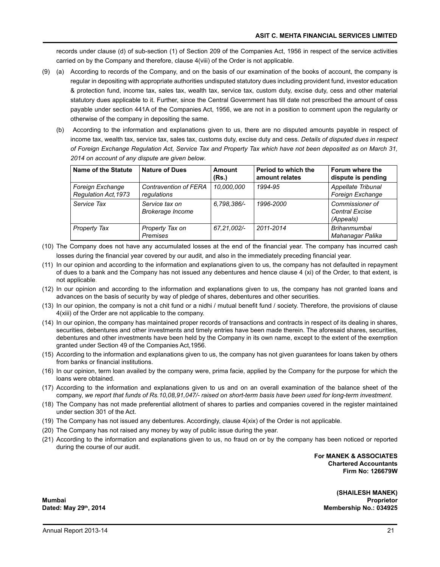records under clause (d) of sub-section (1) of Section 209 of the Companies Act, 1956 in respect of the service activities carried on by the Company and therefore, clause 4(viii) of the Order is not applicable.

- (9) (a) According to records of the Company, and on the basis of our examination of the books of account, the company is regular in depositing with appropriate authorities undisputed statutory dues including provident fund, investor education & protection fund, income tax, sales tax, wealth tax, service tax, custom duty, excise duty, cess and other material statutory dues applicable to it. Further, since the Central Government has till date not prescribed the amount of cess payable under section 441A of the Companies Act, 1956, we are not in a position to comment upon the regularity or otherwise of the company in depositing the same.
	- (b) According to the information and explanations given to us, there are no disputed amounts payable in respect of income tax, wealth tax, service tax, sales tax, customs duty, excise duty and cess. *Details of disputed dues in respect of Foreign Exchange Regulation Act, Service Tax and Property Tax which have not been deposited as on March 31, 2014 on account of any dispute are given below*.

| Name of the Statute                      | <b>Nature of Dues</b>                | Amount<br>(Rs.) | Period to which the<br>amount relates | Forum where the<br>dispute is pending                 |
|------------------------------------------|--------------------------------------|-----------------|---------------------------------------|-------------------------------------------------------|
| Foreign Exchange<br>Regulation Act, 1973 | Contravention of FERA<br>regulations | 10.000.000      | 1994-95                               | Appellate Tribunal<br>Foreign Exchange                |
| Service Tax                              | Service tax on<br>Brokerage Income   | 6.798.386/-     | 1996-2000                             | Commissioner of<br><b>Central Excise</b><br>(Appeals) |
| Property Tax                             | Property Tax on<br>Premises          | 67.21.002/-     | 2011-2014                             | <b>Brihanmumbai</b><br>Mahanagar Palika               |

- (10) The Company does not have any accumulated losses at the end of the financial year. The company has incurred cash losses during the financial year covered by our audit, and also in the immediately preceding financial year.
- (11) In our opinion and according to the information and explanations given to us, the company has not defaulted in repayment of dues to a bank and the Company has not issued any debentures and hence clause 4 (xi) of the Order, to that extent, is not applicable.
- (12) In our opinion and according to the information and explanations given to us, the company has not granted loans and advances on the basis of security by way of pledge of shares, debentures and other securities.
- (13) In our opinion, the company is not a chit fund or a nidhi / mutual benefit fund / society. Therefore, the provisions of clause 4(xiii) of the Order are not applicable to the company.
- (14) In our opinion, the company has maintained proper records of transactions and contracts in respect of its dealing in shares, securities, debentures and other investments and timely entries have been made therein. The aforesaid shares, securities, debentures and other investments have been held by the Company in its own name, except to the extent of the exemption granted under Section 49 of the Companies Act,1956.
- (15) According to the information and explanations given to us, the company has not given guarantees for loans taken by others from banks or financial institutions.
- (16) In our opinion, term loan availed by the company were, prima facie, applied by the Company for the purpose for which the loans were obtained.
- (17) According to the information and explanations given to us and on an overall examination of the balance sheet of the company, *we report that funds of Rs.10,08,91,047/- raised on short-term basis have been used for long-term investment*.
- (18) The Company has not made preferential allotment of shares to parties and companies covered in the register maintained under section 301 of the Act.
- (19) The Company has not issued any debentures. Accordingly, clause 4(xix) of the Order is not applicable.
- (20) The Company has not raised any money by way of public issue during the year.
- (21) According to the information and explanations given to us, no fraud on or by the company has been noticed or reported during the course of our audit.

**For MANEK & ASSOCIATES Chartered Accountants Firm No: 126679W**

**(SHAILESH MANEK) Mumbai Proprietor Dated: May 29th, 2014 Membership No.: 034925**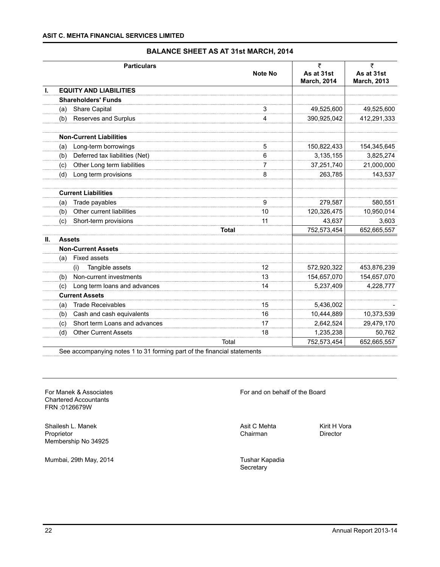# **BALANCE SHEET AS AT 31st MARCH, 2014**

|    | <b>Particulars</b>                    | <b>Note No</b> | ₹<br>As at 31st<br><b>March, 2014</b> | ₹<br>As at 31st<br><b>March, 2013</b> |
|----|---------------------------------------|----------------|---------------------------------------|---------------------------------------|
| Ι. | <b>EQUITY AND LIABILITIES</b>         |                |                                       |                                       |
|    | <b>Shareholders' Funds</b>            |                |                                       |                                       |
|    | Share Capital<br>(a)                  | 3              | 49,525,600                            | 49,525,600                            |
|    | Reserves and Surplus<br>(b)           | 4              | 390,925,042                           | 412,291,333                           |
|    | <b>Non-Current Liabilities</b>        |                |                                       |                                       |
|    | Long-term borrowings<br>(a)           | 5              | 150,822,433                           | 154,345,645                           |
|    | Deferred tax liabilities (Net)<br>(b) | 6              | 3,135,155                             | 3,825,274                             |
|    | Other Long term liabilities<br>(c)    | 7              | 37,251,740                            | 21,000,000                            |
|    | Long term provisions<br>(d)           | 8              | 263.785                               | 143.537                               |
|    | <b>Current Liabilities</b>            |                |                                       |                                       |
|    | Trade payables<br>(a)                 | 9              | 279,587                               | 580.551                               |
|    | Other current liabilities<br>(b)      | 10             | 120,326,475                           | 10,950,014                            |
|    | Short-term provisions<br>(c)          | 11             | 43,637                                | 3,603                                 |
|    |                                       | Total          | 752,573,454                           | 652,665,557                           |
| Ш. | <b>Assets</b>                         |                |                                       |                                       |
|    | <b>Non-Current Assets</b>             |                |                                       |                                       |
|    | <b>Fixed assets</b><br>(a)            |                |                                       |                                       |
|    | Tangible assets<br>(i)                | 12             | 572,920,322                           | 453,876,239                           |
|    | Non-current investments<br>(b)        | 13             | 154,657,070                           | 154,657,070                           |
|    | Long term loans and advances<br>(c)   | 14             | 5,237,409                             | 4,228,777                             |
|    | <b>Current Assets</b>                 |                |                                       |                                       |
|    | <b>Trade Receivables</b><br>(a)       | 15             | 5,436,002                             |                                       |
|    | Cash and cash equivalents<br>(b)      | 16             | 10,444,889                            | 10,373,539                            |
|    | Short term Loans and advances<br>(c)  | 17             | 2,642,524                             | 29,479,170                            |
|    | <b>Other Current Assets</b><br>(d)    | 18             | 1,235,238                             | 50,762                                |
|    |                                       | Total          | 752,573,454                           | 652,665,557                           |

See accompanying notes 1 to 31 forming part of the financial statements

For Manek & Associates Chartered Accountants FRN :0126679W

Shailesh L. Manek Proprietor Membership No 34925

Mumbai, 29th May, 2014 **Tushar Kapadia** 

For and on behalf of the Board

Asit C Mehta Chairman

Kirit H Vora Director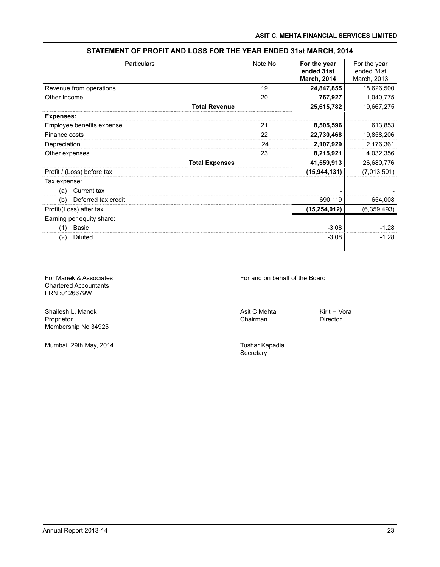| Particulars                | Note No               | For the year<br>ended 31st<br><b>March, 2014</b> | For the year<br>ended 31st<br>March, 2013 |
|----------------------------|-----------------------|--------------------------------------------------|-------------------------------------------|
| Revenue from operations    | 19                    | 24,847,855                                       | 18,626,500                                |
| Other Income               | 20                    | 767,927                                          | 1,040,775                                 |
|                            | Total Revenue         | 25,615,782                                       | 19,667,275                                |
| <b>Expenses:</b>           |                       |                                                  |                                           |
| Employee benefits expense  | 21                    | 8,505,596                                        | 613,853                                   |
| Finance costs              | 22                    | 22,730,468                                       | 19,858,206                                |
| Depreciation               | 24                    | 2,107,929                                        | 2,176,361                                 |
| Other expenses             | 23                    | 8,215,921                                        | 4,032,356                                 |
|                            | <b>Total Expenses</b> | 41,559,913                                       | 26,680,776                                |
| Profit / (Loss) before tax |                       | (15, 944, 131)                                   | (7,013,501)                               |
| Tax expense:               |                       |                                                  |                                           |
| (a) Current tax            |                       |                                                  |                                           |
| (b) Deferred tax credit    |                       | 690,119                                          | 654,008                                   |
| Profit/(Loss) after tax    |                       | (15, 254, 012)                                   | (6,359,493)                               |
| Earning per equity share:  |                       |                                                  |                                           |
| Basic<br>(1)               |                       | $-3.08$                                          | $-1.28$                                   |
| <b>Diluted</b><br>(2)      |                       | $-3.08$                                          | $-1.28$                                   |
|                            |                       |                                                  |                                           |

### **STATEMENT OF PROFIT AND LOSS FOR THE YEAR ENDED 31st MARCH, 2014**

For Manek & Associates Chartered Accountants FRN :0126679W

Shailesh L. Manek Proprietor Membership No 34925

Mumbai, 29th May, 2014 **Tushar Kapadia** 

For and on behalf of the Board

Asit C Mehta Chairman

Kirit H Vora Director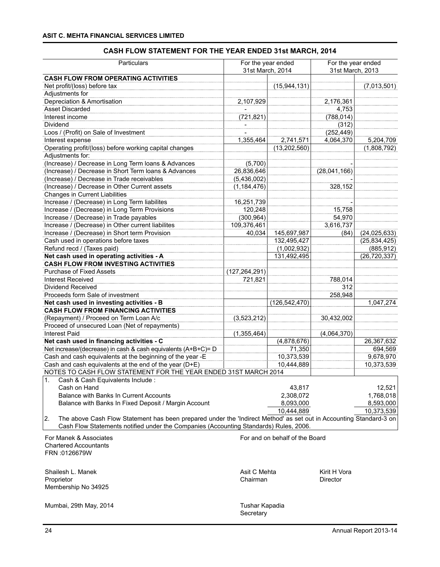| Particulars                                                                                                                                                                                                       | For the year ended |                                | For the year ended |                |
|-------------------------------------------------------------------------------------------------------------------------------------------------------------------------------------------------------------------|--------------------|--------------------------------|--------------------|----------------|
|                                                                                                                                                                                                                   | 31st March, 2014   |                                | 31st March, 2013   |                |
| <b>CASH FLOW FROM OPERATING ACTIVITIES</b>                                                                                                                                                                        |                    |                                |                    |                |
| Net profit/(loss) before tax                                                                                                                                                                                      |                    | (15, 944, 131)                 |                    | (7,013,501)    |
| Adjustments for                                                                                                                                                                                                   |                    |                                |                    |                |
| Depreciation & Amortisation                                                                                                                                                                                       | 2,107,929          |                                | 2,176,361          |                |
| <b>Asset Discarded</b>                                                                                                                                                                                            |                    |                                | 4,753              |                |
| Interest income                                                                                                                                                                                                   | (721, 821)         |                                | (788, 014)         |                |
| Dividend                                                                                                                                                                                                          |                    |                                | (312)              |                |
| Loos / (Profit) on Sale of Investment                                                                                                                                                                             |                    |                                | (252, 449)         |                |
| Interest expense                                                                                                                                                                                                  | 1,355,464          | 2,741,571                      | 4,064,370          | 5,204,709      |
| Operating profit/(loss) before working capital changes                                                                                                                                                            |                    | (13, 202, 560)                 |                    | (1,808,792)    |
| Adjustments for:                                                                                                                                                                                                  |                    |                                |                    |                |
| (Increase) / Decrease in Long Term loans & Advances                                                                                                                                                               | (5,700)            |                                |                    |                |
| (Increase) / Decrease in Short Term Ioans & Advances                                                                                                                                                              | 26,836,646         |                                | (28,041,166)       |                |
| (Increase) / Decrease in Trade receivables                                                                                                                                                                        | (5,436,002)        |                                |                    |                |
| (Increase) / Decrease in Other Current assets                                                                                                                                                                     | (1, 184, 476)      |                                | 328,152            |                |
| Changes in Current Liabilities                                                                                                                                                                                    |                    |                                |                    |                |
| Increase / (Decrease) in Long Term liabilites                                                                                                                                                                     | 16,251,739         |                                |                    |                |
| Increase / (Decrease) in Long Term Provisions                                                                                                                                                                     | 120,248            |                                | 15,758             |                |
| Increase / (Decrease) in Trade payables                                                                                                                                                                           | (300, 964)         |                                | 54,970             |                |
| Increase / (Decrease) in Other current liabilites                                                                                                                                                                 | 109,376,461        |                                | 3,616,737          |                |
| Increase / (Decrease) in Short term Provision                                                                                                                                                                     | 40,034             | 145,697,987                    | (84)               | (24, 025, 633) |
| Cash used in operations before taxes                                                                                                                                                                              |                    | 132,495,427                    |                    | (25, 834, 425) |
| Refund recd / (Taxes paid)                                                                                                                                                                                        |                    | (1,002,932)                    |                    | (885, 912)     |
| Net cash used in operating activities - A                                                                                                                                                                         |                    | 131,492,495                    |                    | (26, 720, 337) |
| <b>CASH FLOW FROM INVESTING ACTIVITIES</b>                                                                                                                                                                        |                    |                                |                    |                |
| <b>Purchase of Fixed Assets</b>                                                                                                                                                                                   | (127, 264, 291)    |                                |                    |                |
| Interest Received                                                                                                                                                                                                 | 721,821            |                                | 788,014            |                |
| Dividend Received                                                                                                                                                                                                 |                    |                                | 312                |                |
| Proceeds form Sale of investment                                                                                                                                                                                  |                    |                                | 258,948            |                |
| Net cash used in investing activities - B                                                                                                                                                                         |                    | (126, 542, 470)                |                    | 1,047,274      |
| <b>CASH FLOW FROM FINANCING ACTIVITIES</b>                                                                                                                                                                        |                    |                                |                    |                |
| (Repayment) / Proceed on Term Loan A/c                                                                                                                                                                            | (3,523,212)        |                                | 30,432,002         |                |
| Proceed of unsecured Loan (Net of repayments)                                                                                                                                                                     |                    |                                |                    |                |
| <b>Interest Paid</b>                                                                                                                                                                                              | (1, 355, 464)      |                                | (4,064,370)        |                |
| Net cash used in financing activities - C                                                                                                                                                                         |                    | (4,878,676)                    |                    | 26,367,632     |
| Net increase/(decrease) in cash & cash equivalents (A+B+C)= D                                                                                                                                                     |                    | 71,350                         |                    | 694,569        |
| Cash and cash equivalents at the beginning of the year -E                                                                                                                                                         |                    | 10,373,539                     |                    | 9,678,970      |
|                                                                                                                                                                                                                   |                    |                                |                    |                |
| Cash and cash equivalents at the end of the year (D+E)<br>NOTES TO CASH FLOW STATEMENT FOR THE YEAR ENDED 31ST MARCH 2014                                                                                         |                    | 10,444,889                     |                    | 10,373,539     |
| Cash & Cash Equivalents Include :<br>1.                                                                                                                                                                           |                    |                                |                    |                |
| Cash on Hand                                                                                                                                                                                                      |                    |                                |                    |                |
|                                                                                                                                                                                                                   |                    | 43,817                         |                    | 12,521         |
| Balance with Banks In Current Accounts                                                                                                                                                                            |                    | 2,308,072                      |                    | 1,768,018      |
| Balance with Banks In Fixed Deposit / Margin Account                                                                                                                                                              |                    | 8,093,000                      |                    | 8,593,000      |
| 2.<br>The above Cash Flow Statement has been prepared under the 'Indirect Method' as set out in Accounting Standard-3 on<br>Cash Flow Statements notified under the Companies (Accounting Standards) Rules, 2006. |                    | 10,444,889                     |                    | 10,373,539     |
| For Manek & Associates                                                                                                                                                                                            |                    | For and on behalf of the Board |                    |                |
| <b>Chartered Accountants</b>                                                                                                                                                                                      |                    |                                |                    |                |
| FRN :0126679W                                                                                                                                                                                                     |                    |                                |                    |                |
|                                                                                                                                                                                                                   |                    |                                |                    |                |
|                                                                                                                                                                                                                   |                    |                                |                    |                |
| Shailesh L. Manek                                                                                                                                                                                                 | Asit C Mehta       |                                | Kirit H Vora       |                |
| Proprietor                                                                                                                                                                                                        | Chairman           |                                | Director           |                |

# **CASH FLOW STATEMENT FOR THE YEAR ENDED 31st MARCH, 2014**

Mumbai, 29th May, 2014 **Tushar Kapadia** 

Membership No 34925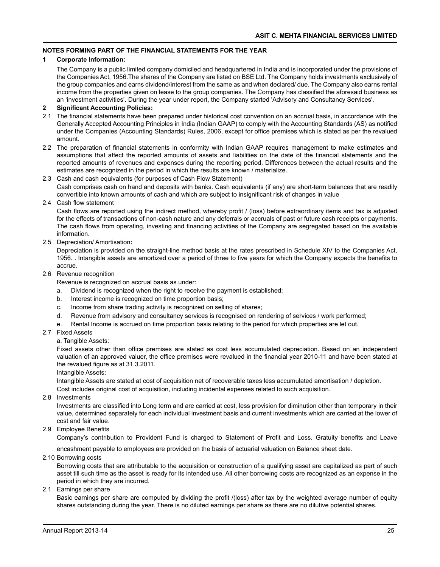#### **1 Corporate Information:**

The Company is a public limited company domiciled and headquartered in India and is incorporated under the provisions of the Companies Act, 1956.The shares of the Company are listed on BSE Ltd. The Company holds investments exclusively of the group companies and earns dividend/interest from the same as and when declared/ due. The Company also earns rental income from the properties given on lease to the group companies. The Company has classified the aforesaid business as an 'investment activities'. During the year under report, the Company started 'Advisory and Consultancy Services'.

#### **2 Significant Accounting Policies:**

- 2.1 The financial statements have been prepared under historical cost convention on an accrual basis, in accordance with the Generally Accepted Accounting Principles in India (Indian GAAP) to comply with the Accounting Standards (AS) as notified under the Companies (Accounting Standards) Rules, 2006, except for office premises which is stated as per the revalued amount.
- 2.2 The preparation of financial statements in conformity with Indian GAAP requires management to make estimates and assumptions that affect the reported amounts of assets and liabilities on the date of the financial statements and the reported amounts of revenues and expenses during the reporting period. Differences between the actual results and the estimates are recognized in the period in which the results are known / materialize.
- 2.3 Cash and cash equivalents (for purposes of Cash Flow Statement) Cash comprises cash on hand and deposits with banks. Cash equivalents (if any) are short-term balances that are readily convertible into known amounts of cash and which are subject to insignificant risk of changes in value
- 2.4 Cash flow statement

Cash flows are reported using the indirect method, whereby profit / (loss) before extraordinary items and tax is adjusted for the effects of transactions of non-cash nature and any deferrals or accruals of past or future cash receipts or payments. The cash flows from operating, investing and financing activities of the Company are segregated based on the available information.

2.5 Depreciation/ Amortisation**:**

Depreciation is provided on the straight-line method basis at the rates prescribed in Schedule XIV to the Companies Act, 1956. . Intangible assets are amortized over a period of three to five years for which the Company expects the benefits to accrue.

#### 2.6 Revenue recognition

Revenue is recognized on accrual basis as under:

a. Dividend is recognized when the right to receive the payment is established;

- b. Interest income is recognized on time proportion basis;
- c. Income from share trading activity is recognized on selling of shares;
- d. Revenue from advisory and consultancy services is recognised on rendering of services / work performed;
- e. Rental Income is accrued on time proportion basis relating to the period for which properties are let out.

#### 2.7 Fixed Assets

#### a. Tangible Assets:

Fixed assets other than office premises are stated as cost less accumulated depreciation. Based on an independent valuation of an approved valuer, the office premises were revalued in the financial year 2010-11 and have been stated at the revalued figure as at 31.3.2011.

#### Intangible Assets:

Intangible Assets are stated at cost of acquisition net of recoverable taxes less accumulated amortisation / depletion. Cost includes original cost of acquisition, including incidental expenses related to such acquisition.

2.8 Investments

Investments are classified into Long term and are carried at cost, less provision for diminution other than temporary in their value, determined separately for each individual investment basis and current investments which are carried at the lower of cost and fair value.

2.9 Employee Benefits

Company's contribution to Provident Fund is charged to Statement of Profit and Loss. Gratuity benefits and Leave

encashment payable to employees are provided on the basis of actuarial valuation on Balance sheet date.

2.10 Borrowing costs

Borrowing costs that are attributable to the acquisition or construction of a qualifying asset are capitalized as part of such asset till such time as the asset is ready for its intended use. All other borrowing costs are recognized as an expense in the period in which they are incurred.

2.1 Earnings per share

Basic earnings per share are computed by dividing the profit /(loss) after tax by the weighted average number of equity shares outstanding during the year. There is no diluted earnings per share as there are no dilutive potential shares.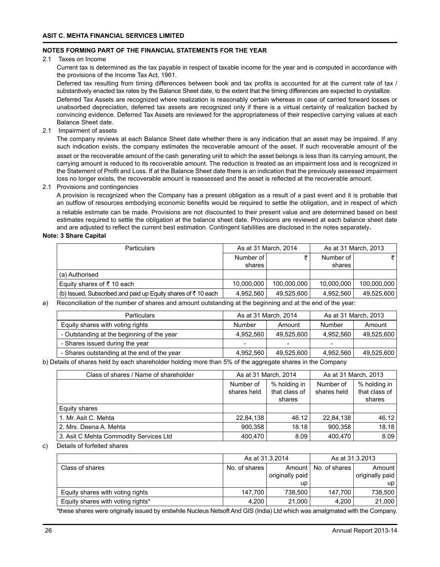#### 2.1 Taxes on Income

Current tax is determined as the tax payable in respect of taxable income for the year and is computed in accordance with the provisions of the Income Tax Act, 1961.

Deferred tax resulting from timing differences between book and tax profits is accounted for at the current rate of tax / substantively enacted tax rates by the Balance Sheet date, to the extent that the timing differences are expected to crystallize. Deferred Tax Assets are recognized where realization is reasonably certain whereas in case of carried forward losses or unabsorbed depreciation, deferred tax assets are recognized only if there is a virtual certainty of realization backed by convincing evidence. Deferred Tax Assets are reviewed for the appropriateness of their respective carrying values at each Balance Sheet date.

2.1 Impairment of assets

The company reviews at each Balance Sheet date whether there is any indication that an asset may be impaired. If any such indication exists, the company estimates the recoverable amount of the asset. If such recoverable amount of the asset or the recoverable amount of the cash generating unit to which the asset belongs is less than its carrying amount, the carrying amount is reduced to its recoverable amount. The reduction is treated as an impairment loss and is recognized in the Statement of Profit and Loss. If at the Balance Sheet date there is an indication that the previously assessed impairment loss no longer exists, the recoverable amount is reassessed and the asset is reflected at the recoverable amount.

#### 2.1 Provisions and contingencies

A provision is recognized when the Company has a present obligation as a result of a past event and it is probable that an outflow of resources embodying economic benefits would be required to settle the obligation, and in respect of which a reliable estimate can be made. Provisions are not discounted to their present value and are determined based on best estimates required to settle the obligation at the balance sheet date. Provisions are reviewed at each balance sheet date and are adjusted to reflect the current best estimation. Contingent liabilities are disclosed in the notes separately**.**

#### **Note: 3 Share Capital**

| <b>Particulars</b>                                                       | As at 31 March, 2014 |             | As at 31 March, 2013 |             |
|--------------------------------------------------------------------------|----------------------|-------------|----------------------|-------------|
|                                                                          | Number of            |             | Number of            |             |
|                                                                          | shares               |             | shares               |             |
| (a) Authorised                                                           |                      |             |                      |             |
| Equity shares of ₹10 each                                                | 10.000.000           | 100.000.000 | 10.000.000           | 100,000,000 |
| (b) Issued, Subscribed and paid up Equity shares of $\bar{\tau}$ 10 each | 4.952.560            | 49.525.600  | 4.952.560            | 49.525.600  |

a) Reconciliation of the number of shares and amount outstanding at the beginning and at the end of the year:

| <b>Particulars</b>                          | As at 31 March, 2014 |            | As at 31 March, 2013     |            |
|---------------------------------------------|----------------------|------------|--------------------------|------------|
| Equity shares with voting rights            | Number               | Amount     | Number                   | Amount     |
| - Outstanding at the beginning of the year  | 4.952.560            | 49.525.600 | 4.952.560                | 49,525,600 |
| - Shares issued during the year             | -                    |            | $\overline{\phantom{0}}$ |            |
| - Shares outstanding at the end of the year | 4.952.560            | 49.525.600 | 4.952.560                | 49,525,600 |

b) Details of shares held by each shareholder holding more than 5% of the aggregate shares in the Company

| Class of shares / Name of shareholder  | As at 31 March, 2014 |               | As at 31 March, 2013 |               |
|----------------------------------------|----------------------|---------------|----------------------|---------------|
|                                        | Number of            | % holding in  | Number of            | % holding in  |
|                                        | shares held          | that class of | shares held          | that class of |
|                                        |                      | shares        |                      | shares        |
| Equity shares                          |                      |               |                      |               |
| 1. Mr. Asit C. Mehta                   | 22,84,138            | 46.12         | 22,84,138            | 46.12         |
| l 2. Mrs. Deena A. Mehta               | 900,358              | 18.18         | 900,358              | 18.18         |
| 3. Asit C Mehta Commodity Services Ltd | 400.470              | 8.09          | 400.470              | 8.09          |

#### c) Details of forfeited shares

|                                   | As at 31.3.2014 |                 | As at 31.3.2013        |                 |
|-----------------------------------|-----------------|-----------------|------------------------|-----------------|
| Class of shares                   | No. of shares   |                 | Amount   No. of shares | Amount          |
|                                   |                 | originally paid |                        | originally paid |
|                                   |                 | up              |                        | up              |
| Equity shares with voting rights  | 147.700         | 738.500         | 147.700                | 738,500         |
| Equity shares with voting rights* | 4.200           | 21.000          | 4.200                  | 21,000          |

\*these shares were originally issued by erstwhile Nucleus Netsoft And GIS (India) Ltd which was amalgmated with the Company.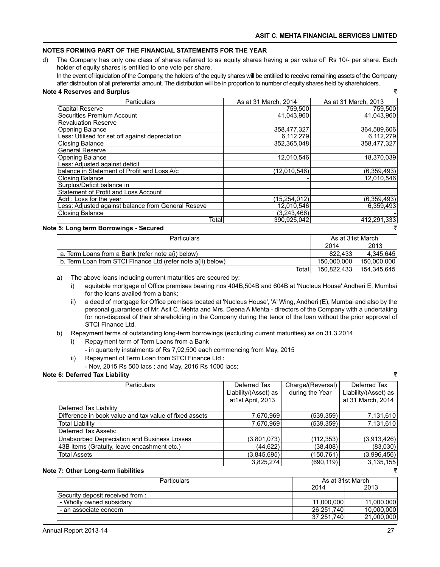d) The Company has only one class of shares referred to as equity shares having a par value of` Rs 10/- per share. Each holder of equity shares is entitled to one vote per share.

In the event of liquidation of the Company, the holders of the equity shares will be entitiled to receive remaining assets of the Company after distribution of all preferential amount. The distribution will be in proportion to number of equity shares held by shareholders. **Note 4 Reserves and Surplus** `

| Particulars                                        | As at 31 March, 2014 | As at 31 March, 2013 |
|----------------------------------------------------|----------------------|----------------------|
| Capital Reserve                                    | 759,500              | 759,500              |
| Securities Premium Account                         | 41,043,960           | 41,043,960           |
| <b>Revaluation Reserve</b>                         |                      |                      |
| Opening Balance                                    | 358,477,327          | 364,589,606          |
| Less: Utilised for set off against depreciation    | 6,112,279            | 6,112,279            |
| Closing Balance                                    | 352.365.048          | 358,477,327          |
| <b>General Reserve</b>                             |                      |                      |
| Opening Balance                                    | 12.010.546           | 18,370,039           |
| Less: Adjusted against deficit                     |                      |                      |
| balance in Statement of Profit and Loss A/c        | (12,010,546)         | (6,359,493)          |
| <b>Closing Balance</b>                             |                      | 12.010.546           |
| Surplus/Deficit balance in                         |                      |                      |
| Statement of Profit and Loss Account               |                      |                      |
| Add: Loss for the vear                             | (15,254,012)         | (6,359,493)          |
| Less: Adjusted against balance from General Reseve | 12,010,546           | 6,359,493            |
| <b>Closing Balance</b>                             | (3,243,466)          |                      |
| Total                                              | 390.925.042          | 412.291.333          |

### **Note 5: Long term Borrowings - Secured** `

| Particulars                                                 | As at 31st March |             |
|-------------------------------------------------------------|------------------|-------------|
|                                                             | 2014             | 2013        |
| a. Term Loans from a Bank (refer note a(i) below)           | 822.433          | 4.345.645   |
| b. Term Loan from STCI Finance Ltd (refer note a(ii) below) | 150,000,000      | 150.000.000 |
| <b>Total</b>                                                | 150.822.433      | 154.345.645 |

a) The above loans including current maturities are secured by:

i) equitable mortgage of Office premises bearing nos 404B,504B and 604B at 'Nucleus House' Andheri E, Mumbai for the loans availed from a bank;

- ii) a deed of mortgage for Office premises located at 'Nucleus House', 'A' Wing, Andheri (E), Mumbai and also by the personal guarantees of Mr. Asit C. Mehta and Mrs. Deena A Mehta - directors of the Company with a undertaking for non-disposal of their shareholding in the Company during the tenor of the loan without the prior approval of STCI Finance Ltd.
- b) Repayment terms of outstanding long-term borrowings (excluding current maturities) as on 31.3.2014
	- i) Repayment term of Term Loans from a Bank
		- in quarterly instalments of Rs 7,92,500 each commencing from May, 2015
	- ii) Repayment of Term Loan from STCI Finance Ltd :
	- Nov, 2015 Rs 500 lacs ; and May, 2016 Rs 1000 lacs;

### **Note 6: Deferred Tax Liability** `

| <b>Particulars</b>                                     | Deferred Tax         | Charge/(Reversal) | Deferred Tax         |
|--------------------------------------------------------|----------------------|-------------------|----------------------|
|                                                        | Liability/(Asset) as | during the Year   | Liability/(Asset) as |
|                                                        | at1st April, 2013    |                   | at 31 March, 2014    |
| Deferred Tax Liability                                 |                      |                   |                      |
| Difference in book value and tax value of fixed assets | 7,670,969            | (539,359)         | 7,131,610            |
| Total Liability                                        | 7.670.969            | (539, 359)        | 7,131,610            |
| Deferred Tax Assets:                                   |                      |                   |                      |
| Unabsorbed Depreciation and Business Losses            | (3,801,073)          | (112, 353)        | (3,913,426)          |
| 43B items (Gratuity, leave encashment etc.)            | (44, 622)            | (38, 408)         | (83,030)             |
| <b>Total Assets</b>                                    | (3,845,695)          | (150,761)         | (3,996,456)          |
|                                                        | 3.825.274            | (690, 119)        | 3,135,155            |

#### **Note 7: Other Long-term liabilities** `

| <b>Particulars</b>              | As at 31st March |            |
|---------------------------------|------------------|------------|
|                                 | 2014             | 2013       |
| Security deposit received from: |                  |            |
| - Wholly owned subsidary        | 11.000.000       | 11.000.000 |
| - an associate concern          | 26.251.740       | 10.000.000 |
|                                 | 37.251.740       | 21,000,000 |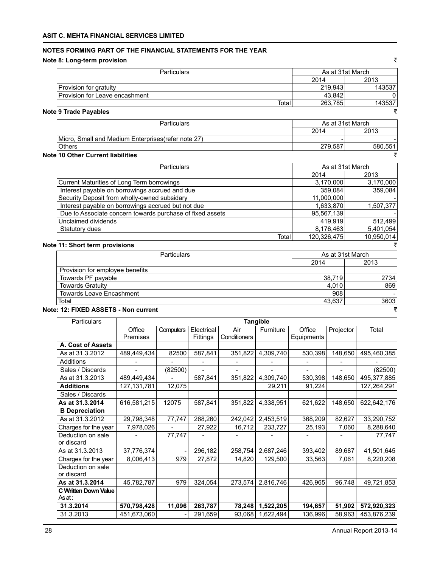# **Note 8: Long-term provision** `

| <b>Particulars</b>             |       | As at 31st March |        |
|--------------------------------|-------|------------------|--------|
|                                |       | 2014             | 2013   |
| Provision for gratuity         |       | 219,943          | 143537 |
| Provision for Leave encashment |       | 43.842           |        |
|                                | Total | 263.785          | 143537 |

| Particulars                                        | As at 31st March |         |
|----------------------------------------------------|------------------|---------|
|                                                    | 2014             | 2013    |
| Micro. Small and Medium Enterprises refer note 27) |                  |         |
| <b>Others</b>                                      | 279.587          | 580.551 |

#### **Note 10 Other Current liabilities** `

| <b>Particulars</b>                                        | As at 31st March |            |
|-----------------------------------------------------------|------------------|------------|
|                                                           | 2014             | 2013       |
| Current Maturities of Long Term borrowings                | 3,170,000        | 3,170,000  |
| Interest payable on borrowings accrued and due            | 359.084          | 359,084    |
| Security Deposit from wholly-owned subsidary              | 11,000,000       |            |
| Interest payable on borrowings accrued but not due        | 1,633,870        | 1,507,377  |
| Due to Associate concern towards purchase of fixed assets | 95,567,139       |            |
| Unclaimed dividends                                       | 419.919          | 512,499    |
| Statutory dues                                            | 8,176,463        | 5,401,054  |
| Total                                                     | 120.326.475      | 10,950,014 |

# **Note 11: Short term provisions** `

| <b>Particulars</b>              | As at 31st March |      |
|---------------------------------|------------------|------|
|                                 | 2014             | 2013 |
| Provision for employee benefits |                  |      |
| Towards PF payable              | 38,719           | 2734 |
| <b>Towards Gratuity</b>         | 4.010            | 869  |
| <b>Towards Leave Encashment</b> | 908              |      |
| Total                           | 43.637           | 3603 |

# **Note: 12: FIXED ASSETS - Non current** `

| <b>Particulars</b>              | Tangible      |                  |            |              |           |            |           |             |
|---------------------------------|---------------|------------------|------------|--------------|-----------|------------|-----------|-------------|
|                                 | Office        | <b>Computers</b> | Electrical | Air          | Furniture | Office     | Projector | Total       |
|                                 | Premises      |                  | Fittings   | Conditioners |           | Equipments |           |             |
| A. Cost of Assets               |               |                  |            |              |           |            |           |             |
| As at 31.3.2012                 | 489,449,434   | 82500            | 587,841    | 351,822      | 4,309,740 | 530,398    | 148,650   | 495,460,385 |
| Additions                       |               |                  |            |              |           |            |           |             |
| Sales / Discards                |               | (82500)          |            |              |           |            |           | (82500)     |
| As at 31.3.2013                 | 489,449,434   |                  | 587,841    | 351,822      | 4,309,740 | 530,398    | 148,650   | 495,377,885 |
| <b>Additions</b>                | 127, 131, 781 | 12,075           |            |              | 29,211    | 91,224     |           | 127,264,291 |
| Sales / Discards                |               |                  |            |              |           |            |           |             |
| As at 31.3.2014                 | 616,581,215   | 12075            | 587,841    | 351,822      | 4,338,951 | 621,622    | 148,650   | 622,642,176 |
| <b>B</b> Depreciation           |               |                  |            |              |           |            |           |             |
| As at 31.3.2012                 | 29,798,348    | 77,747           | 268,260    | 242,042      | 2,453,519 | 368,209    | 82,627    | 33,290,752  |
| Charges for the year            | 7,978,026     |                  | 27,922     | 16,712       | 233,727   | 25,193     | 7,060     | 8,288,640   |
| Deduction on sale<br>or discard |               | 77,747           |            |              |           |            |           | 77,747      |
| As at 31.3.2013                 | 37,776,374    |                  | 296,182    | 258,754      | 2,687,246 | 393,402    | 89,687    | 41,501,645  |
| Charges for the year            | 8,006,413     | 979              | 27,872     | 14,820       | 129,500   | 33,563     | 7,061     | 8,220,208   |
| Deduction on sale               |               |                  |            |              |           |            |           |             |
| or discard                      |               |                  |            |              |           |            |           |             |
| As at 31.3.2014                 | 45,782,787    | 979              | 324,054    | 273,574      | 2,816,746 | 426,965    | 96,748    | 49,721,853  |
| C Written Down Value<br>As at:  |               |                  |            |              |           |            |           |             |
| 31.3.2014                       | 570,798,428   | 11,096           | 263,787    | 78,248       | 1,522,205 | 194,657    | 51,902    | 572,920,323 |
| 31.3.2013                       | 451,673,060   |                  | 291,659    | 93,068       | 1,622,494 | 136,996    | 58,963    | 453,876,239 |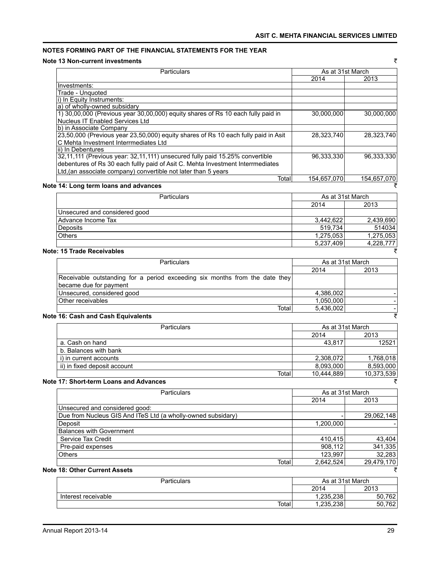# **Note 13 Non-current investments** `

| <b>Particulars</b>                                                                 | As at 31st March |             |
|------------------------------------------------------------------------------------|------------------|-------------|
|                                                                                    | 2014             | 2013        |
| Investments:                                                                       |                  |             |
| Trade - Unguoted                                                                   |                  |             |
| (i) In Equity Instruments:                                                         |                  |             |
| a) of wholly-owned subsidary                                                       |                  |             |
| 1) 30,00,000 (Previous year 30,00,000) equity shares of Rs 10 each fully paid in   | 30,000,000       | 30,000,000  |
| Nucleus IT Enabled Services Ltd                                                    |                  |             |
| b) in Associate Company                                                            |                  |             |
| 23,50,000 (Previous year 23,50,000) equity shares of Rs 10 each fully paid in Asit | 28.323.740       | 28.323.740  |
| IC Mehta Investment Interrmediates Ltd                                             |                  |             |
| lii) In Debentures                                                                 |                  |             |
| 32,11,111 (Previous year: 32,11,111) unsecured fully paid 15.25% convertible       | 96.333.330       | 96.333.330  |
| debentures of Rs 30 each fullly paid of Asit C. Mehta Investment Interrmediates    |                  |             |
| Ltd. (an associate company) convertible not later than 5 years                     |                  |             |
| Total                                                                              | 154.657.070      | 154.657.070 |

### **Note 14: Long term loans and advances** `

| <b>Particulars</b>            | As at 31st March |           |
|-------------------------------|------------------|-----------|
|                               | 2014             | 2013      |
| Unsecured and considered good |                  |           |
| Advance Income Tax            | 3,442,622        | 2,439,690 |
| l Deposits                    | 519.734          | 514034    |
| <b>Others</b>                 | 1,275,053        | 1,275,053 |
|                               | 5,237,409        | 4.228.777 |

# **Note: 15 Trade Receivables** `

| <b>Particulars</b>                                                          |           | As at 31st March |
|-----------------------------------------------------------------------------|-----------|------------------|
|                                                                             | 2014      | 2013             |
| Receivable outstanding for a period exceeding six months from the date they |           |                  |
| became due for payment                                                      |           |                  |
| Unsecured, considered good                                                  | 4,386,002 |                  |
| Other receivables                                                           | 1.050.000 |                  |
| Total                                                                       | 5.436.002 |                  |
| Note 16: Cash and Cash Equivalents                                          |           |                  |

| <b>Particulars</b>           | As at 31st March |            |
|------------------------------|------------------|------------|
|                              | 2014             | 2013       |
| a. Cash on hand              | 43.817           | 12521      |
| b. Balances with bank        |                  |            |
| i) in current accounts       | 2,308,072        | 1,768,018  |
| ii) in fixed deposit account | 8,093,000        | 8,593,000  |
| Total                        | 10,444,889       | 10,373,539 |

# **Note 17: Short-term Loans and Advances** `

| <b>Particulars</b>                                           |       | As at 31st March |            |
|--------------------------------------------------------------|-------|------------------|------------|
|                                                              |       | 2014             | 2013       |
| Unsecured and considered good:                               |       |                  |            |
| Due from Nucleus GIS And ITeS Ltd (a wholly-owned subsidary) |       |                  | 29.062.148 |
| Deposit                                                      |       | 1.200.000        |            |
| <b>Balances with Government</b>                              |       |                  |            |
| Service Tax Credit                                           |       | 410.415          | 43,404     |
| Pre-paid expenses                                            |       | 908.112          | 341,335    |
| <b>Others</b>                                                |       | 123.997          | 32,283     |
|                                                              | Total | 2,642,524        | 29,479,170 |
| <b>Note 18: Other Current Assets</b>                         |       |                  |            |

| <b>Particulars</b>  | As at 31st March |           |
|---------------------|------------------|-----------|
|                     | 2014             | 2013      |
| Interest receivable | 1.235.238        | 762<br>50 |
| Total               | 1,235,238        | 762<br>50 |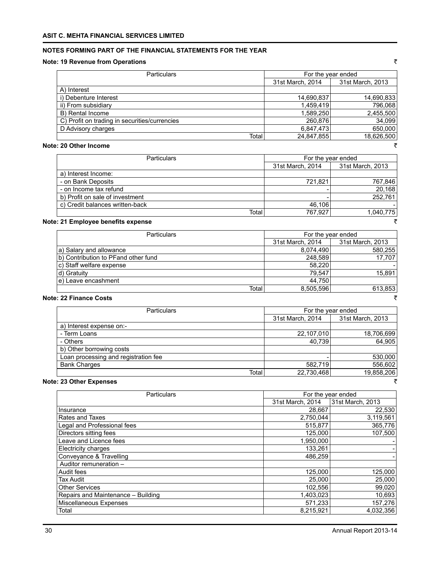# **Note: 19 Revenue from Operations** `

| Particulars                                   | For the year ended |                  |  |
|-----------------------------------------------|--------------------|------------------|--|
|                                               | 31st March, 2014   | 31st March, 2013 |  |
| A) Interest                                   |                    |                  |  |
| i) Debenture Interest                         | 14,690,837         | 14,690,833       |  |
| ii) From subsidiary                           | 1.459.419          | 796.068          |  |
| B) Rental Income                              | 1,589,250          | 2,455,500        |  |
| C) Profit on trading in securities/currencies | 260.876            | 34,099           |  |
| D Advisory charges                            | 6,847,473          | 650,000          |  |
| Total                                         | 24,847,855         | 18,626,500       |  |

#### **Note: 20 Other Income** `

| <b>Particulars</b>              | For the year ended |                  |  |
|---------------------------------|--------------------|------------------|--|
|                                 | 31st March, 2014   | 31st March, 2013 |  |
| a) Interest Income:             |                    |                  |  |
| - on Bank Deposits              | 721.821            | 767,846          |  |
| - on Income tax refund          |                    | 20,168           |  |
| b) Profit on sale of investment |                    | 252,761          |  |
| c) Credit balances written-back | 46.106             |                  |  |
| Total                           | 767.927            | 1,040,775        |  |

# **Note: 21 Employee benefits expense** `

| Particulars                         | For the year ended |                  |
|-------------------------------------|--------------------|------------------|
|                                     | 31st March, 2014   | 31st March, 2013 |
| a) Salary and allowance             | 8,074,490          | 580,255          |
| b) Contribution to PFand other fund | 248.589            | 17,707           |
| c) Staff welfare expense            | 58.220             |                  |
| d) Gratuity                         | 79.547             | 15,891           |
| e) Leave encashment                 | 44.750             |                  |
| Total                               | 8,505,596          | 613,853          |

# **Note: 22 Finance Costs** `

| <b>Particulars</b>                   | For the year ended |                  |  |
|--------------------------------------|--------------------|------------------|--|
|                                      | 31st March, 2014   | 31st March, 2013 |  |
| a) Interest expense on:-             |                    |                  |  |
| - Term Loans                         | 22,107,010         | 18,706,699       |  |
| - Others                             | 40.739             | 64,905           |  |
| b) Other borrowing costs             |                    |                  |  |
| Loan processing and registration fee |                    | 530,000          |  |
| <b>Bank Charges</b>                  | 582.719            | 556,602          |  |
| Total                                | 22,730,468         | 19.858.206       |  |

#### **Note: 23 Other Expenses** `

| Particulars                        | For the year ended |                  |
|------------------------------------|--------------------|------------------|
|                                    | 31st March, 2014   | 31st March, 2013 |
| Insurance                          | 28,667             | 22,530           |
| Rates and Taxes                    | 2,750,044          | 3,119,561        |
| Legal and Professional fees        | 515,877            | 365,776          |
| Directors sitting fees             | 125,000            | 107.500          |
| Leave and Licence fees             | 1,950,000          |                  |
| Electricity charges                | 133.261            |                  |
| Conveyance & Travelling            | 486.259            |                  |
| Auditor remuneration -             |                    |                  |
| Audit fees                         | 125.000            | 125,000          |
| <b>Tax Audit</b>                   | 25.000             | 25,000           |
| <b>Other Services</b>              | 102,556            | 99,020           |
| Repairs and Maintenance - Building | 1,403,023          | 10,693           |
| Miscellaneous Expenses             | 571,233            | 157,276          |
| Total                              | 8,215,921          | 4,032,356        |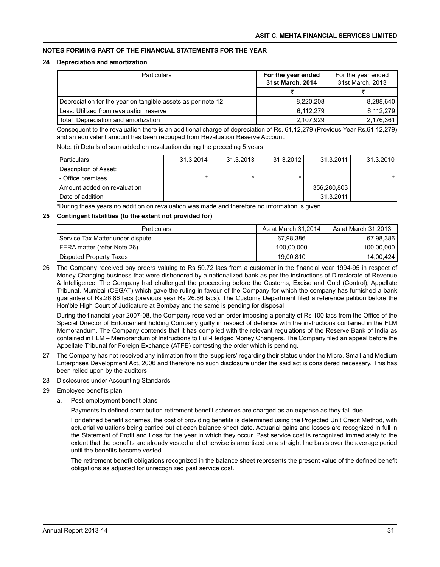#### **24 Depreciation and amortization**

| <b>Particulars</b>                                          | For the year ended<br>31st March, 2014 | For the year ended<br>31st March, 2013 |  |
|-------------------------------------------------------------|----------------------------------------|----------------------------------------|--|
|                                                             |                                        |                                        |  |
| Depreciation for the year on tangible assets as per note 12 | 8,220,208                              | 8,288,640                              |  |
| Less: Utilized from revaluation reserve                     | 6.112.279                              | 6.112.279                              |  |
| Total Depreciation and amortization                         | 2.107.929                              | 2,176,361                              |  |

Consequent to the revaluation there is an additional charge of depreciation of Rs. 61,12,279 (Previous Year Rs.61,12,279) and an equivalent amount has been recouped from Revaluation Reserve Account.

Note: (i) Details of sum added on revaluation during the preceding 5 years

| Particulars                 | 31.3.2014 | 31.3.2013 | 31.3.2012 | 31.3.2011   | 31.3.2010 |
|-----------------------------|-----------|-----------|-----------|-------------|-----------|
| Description of Asset:       |           |           |           |             |           |
| l - Office premises         |           |           |           |             |           |
| Amount added on revaluation |           |           |           | 356.280.803 |           |
| Date of addition            |           |           |           | 31.3.2011   |           |

\*During these years no addition on revaluation was made and therefore no information is given

### **25 Contingent liabilities (to the extent not provided for)**

| <b>Particulars</b>               | As at March 31.2014 | As at March 31.2013 |
|----------------------------------|---------------------|---------------------|
| Service Tax Matter under dispute | 67.98.386           | 67.98.386           |
| FERA matter (refer Note 26)      | 100.00.000          | 100.00.000          |
| Disputed Property Taxes          | 19.00.810           | 14.00.424           |

26 The Company received pay orders valuing to Rs 50.72 lacs from a customer in the financial year 1994-95 in respect of Money Changing business that were dishonored by a nationalized bank as per the instructions of Directorate of Revenue & Intelligence. The Company had challenged the proceeding before the Customs, Excise and Gold (Control), Appellate Tribunal, Mumbai (CEGAT) which gave the ruling in favour of the Company for which the company has furnished a bank guarantee of Rs.26.86 lacs (previous year Rs 26.86 lacs). The Customs Department filed a reference petition before the Hon'ble High Court of Judicature at Bombay and the same is pending for disposal.

During the financial year 2007-08, the Company received an order imposing a penalty of Rs 100 lacs from the Office of the Special Director of Enforcement holding Company guilty in respect of defiance with the instructions contained in the FLM Memorandum. The Company contends that it has complied with the relevant regulations of the Reserve Bank of India as contained in FLM – Memorandum of Instructions to Full-Fledged Money Changers. The Company filed an appeal before the Appellate Tribunal for Foreign Exchange (ATFE) contesting the order which is pending.

- 27 The Company has not received any intimation from the 'suppliers' regarding their status under the Micro, Small and Medium Enterprises Development Act, 2006 and therefore no such disclosure under the said act is considered necessary. This has been relied upon by the auditors
- 28 Disclosures under Accounting Standards
- 29 Employee benefits plan
	- a. Post-employment benefit plans

Payments to defined contribution retirement benefit schemes are charged as an expense as they fall due.

For defined benefit schemes, the cost of providing benefits is determined using the Projected Unit Credit Method, with actuarial valuations being carried out at each balance sheet date. Actuarial gains and losses are recognized in full in the Statement of Profit and Loss for the year in which they occur. Past service cost is recognized immediately to the extent that the benefits are already vested and otherwise is amortized on a straight line basis over the average period until the benefits become vested.

The retirement benefit obligations recognized in the balance sheet represents the present value of the defined benefit obligations as adjusted for unrecognized past service cost.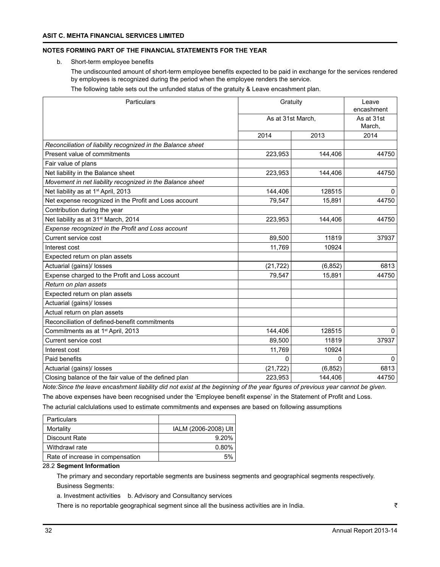b. Short-term employee benefits

The undiscounted amount of short-term employee benefits expected to be paid in exchange for the services rendered by employees is recognized during the period when the employee renders the service.

The following table sets out the unfunded status of the gratuity & Leave encashment plan.

| Particulars                                                 |           | Gratuity          |          |
|-------------------------------------------------------------|-----------|-------------------|----------|
|                                                             |           | As at 31st March, |          |
|                                                             | 2014      | 2013              | 2014     |
| Reconciliation of liability recognized in the Balance sheet |           |                   |          |
| Present value of commitments                                | 223,953   | 144,406           | 44750    |
| Fair value of plans                                         |           |                   |          |
| Net liability in the Balance sheet                          | 223,953   | 144,406           | 44750    |
| Movement in net liability recognized in the Balance sheet   |           |                   |          |
| Net liability as at 1 <sup>st</sup> April, 2013             | 144,406   | 128515            | 0        |
| Net expense recognized in the Profit and Loss account       | 79,547    | 15,891            | 44750    |
| Contribution during the year                                |           |                   |          |
| Net liability as at 31 <sup>st</sup> March, 2014            | 223,953   | 144,406           | 44750    |
| Expense recognized in the Profit and Loss account           |           |                   |          |
| Current service cost                                        | 89,500    | 11819             | 37937    |
| Interest cost                                               | 11,769    | 10924             |          |
| Expected return on plan assets                              |           |                   |          |
| Actuarial (gains)/ losses                                   | (21, 722) | (6, 852)          | 6813     |
| Expense charged to the Profit and Loss account              | 79,547    | 15,891            | 44750    |
| Return on plan assets                                       |           |                   |          |
| Expected return on plan assets                              |           |                   |          |
| Actuarial (gains)/ losses                                   |           |                   |          |
| Actual return on plan assets                                |           |                   |          |
| Reconciliation of defined-benefit commitments               |           |                   |          |
| Commitments as at 1 <sup>st</sup> April, 2013               | 144,406   | 128515            | 0        |
| Current service cost                                        | 89,500    | 11819             | 37937    |
| Interest cost                                               | 11,769    | 10924             |          |
| Paid benefits                                               | $\Omega$  | $\Omega$          | $\Omega$ |
| Actuarial (gains)/ losses                                   | (21, 722) | (6, 852)          | 6813     |
| Closing balance of the fair value of the defined plan       | 223,953   | 144,406           | 44750    |

*Note:Since the leave encashment liability did not exist at the beginning of the year figures of previous year cannot be given.*

The above expenses have been recognised under the 'Employee benefit expense' in the Statement of Profit and Loss.

The acturial calclulations used to estimate commitments and expenses are based on following assumptions

| IALM (2006-2008) UIt |
|----------------------|
| 9.20%                |
| $0.80\%$             |
| 5%                   |
|                      |

#### 28.2 **Segment Information**

The primary and secondary reportable segments are business segments and geographical segments respectively. Business Segments:

a. Investment activities b. Advisory and Consultancy services

There is no reportable geographical segment since all the business activities are in India.  $\bar{\tau}$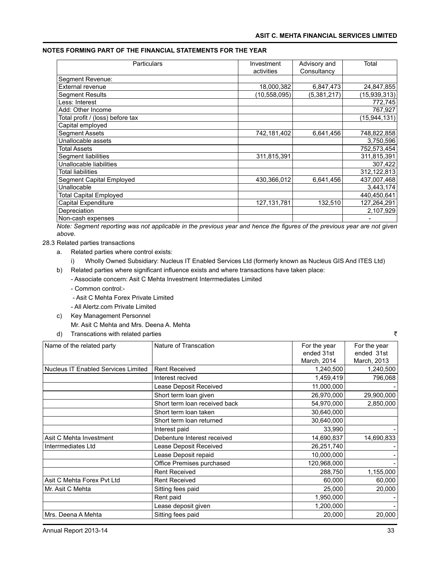| Particulars                      | Investment<br>activities | Advisory and<br>Consultancy | Total          |
|----------------------------------|--------------------------|-----------------------------|----------------|
| Segment Revenue:                 |                          |                             |                |
| External revenue                 | 18,000,382               | 6,847,473                   | 24,847,855     |
| <b>Segment Results</b>           | (10,558,095)             | (5,381,217)                 | (15,939,313)   |
| Less: Interest                   |                          |                             | 772,745        |
| Add: Other Income                |                          |                             | 767,927        |
| Total profit / (loss) before tax |                          |                             | (15, 944, 131) |
| Capital employed                 |                          |                             |                |
| <b>Segment Assets</b>            | 742,181,402              | 6,641,456                   | 748,822,858    |
| Unallocable assets               |                          |                             | 3,750,596      |
| <b>Total Assets</b>              |                          |                             | 752,573,454    |
| Segment liabilities              | 311,815,391              |                             | 311,815,391    |
| Unallocable liabilities          |                          |                             | 307,422        |
| <b>Total liabilities</b>         |                          |                             | 312, 122, 813  |
| Segment Capital Employed         | 430,366,012              | 6,641,456                   | 437,007,468    |
| Unallocable                      |                          |                             | 3,443,174      |
| <b>Total Capital Employed</b>    |                          |                             | 440,450,641    |
| <b>Capital Expenditure</b>       | 127, 131, 781            | 132,510                     | 127,264,291    |
| Depreciation                     |                          |                             | 2,107,929      |
| Non-cash expenses                |                          |                             |                |

*Note: Segment reporting was not applicable in the previous year and hence the figures of the previous year are not given above.*

#### 28.3 Related parties transactions

- a. Related parties where control exists:
	- i) Wholly Owned Subsidiary: Nucleus IT Enabled Services Ltd (formerly known as Nucleus GIS And ITES Ltd)
- b) Related parties where significant influence exists and where transactions have taken place:
	- Associate concern: Asit C Mehta Investment Interrmediates Limited
		- Common control:-
		- Asit C Mehta Forex Private Limited
	- All Alertz.com Private Limited
- c) Key Management Personnel
	- Mr. Asit C Mehta and Mrs. Deena A. Mehta
- d) Transcations with related parties `

Name of the related party Nature of Transcation For the year For the year ended 31st March, 2014 For the year ended 31st March, 2013 Nucleus IT Enabled Services Limited Rent Received 1, 2000 1,240,500 1,240,500 Interest recived 1,459,419 796,068 Lease Deposit Received 11,000,000 Short term loan given 26,970,000 29,900,000 Short term loan received back 654,970,000 54,970,000 2,850,000 Short term loan taken 30,640,000 Short term loan returned 30,640,000 Interest paid 33,990 Asit C Mehta Investment Debenture Interest received 14,690,837 14,690,833 Interrmediates Ltd Lease Deposit Received 26,251,740 Lease Deposit repaid and the state of the 10,000,000  $\sim$  10,000,000  $\sim$ Office Premises purchased 120,968,000 Point Received 288,750 1,155,000 Asit C Mehta Forex Pvt Ltd **Rent Received 60,000** 60,000 **60,000** 60,000 60,000 Mr. Asit C Mehta **Sitting fees paid** 25,000 20,000 20,000 20,000 Rent paid 1,950,000 Lease deposit given 1,200,000  $\vert$  1,200,000 Mrs. Deena A Mehta **Sitting fees paid** 20,000 20,000 20,000 20,000 20,000 20,000 20,000 20,000 20,000 20,000 20,000 20,000 20,000 20,000 20,000 20,000 20,000 20,000 20,000 20,000 20,000 20,000 20,000 20,000 20,000 20,000 2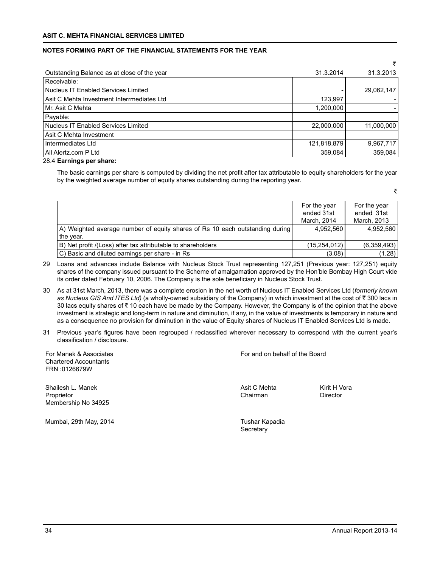|                                             |             | ₹          |
|---------------------------------------------|-------------|------------|
| Outstanding Balance as at close of the year | 31.3.2014   | 31.3.2013  |
| Receivable:                                 |             |            |
| Nucleus IT Enabled Services Limited         |             | 29,062,147 |
| Asit C Mehta Investment Interrmediates Ltd  | 123.997     |            |
| l Mr. Asit C Mehta                          | 1,200,000   |            |
| Payable:                                    |             |            |
| Nucleus IT Enabled Services Limited         | 22,000,000  | 11,000,000 |
| Asit C Mehta Investment                     |             |            |
| Interrmediates Ltd                          | 121,818,879 | 9,967,717  |
| All Alertz.com P Ltd                        | 359,084     | 359,084    |
|                                             |             |            |

#### 28.4 **Earnings per share:**

The basic earnings per share is computed by dividing the net profit after tax attributable to equity shareholders for the year by the weighted average number of equity shares outstanding during the reporting year.

|                                                                              | For the year<br>ended 31st<br>March, 2014 | For the year<br>ended 31st<br>March, 2013 |
|------------------------------------------------------------------------------|-------------------------------------------|-------------------------------------------|
| A) Weighted average number of equity shares of Rs 10 each outstanding during | 4.952.560                                 | 4,952,560                                 |
| the year.                                                                    |                                           |                                           |
| B) Net profit /(Loss) after tax attributable to shareholders                 | (15, 254, 012)                            | (6,359,493)                               |
| C) Basic and diluted earnings per share - in Rs                              | (3.08)                                    | (1.28)                                    |

29 Loans and advances include Balance with Nucleus Stock Trust representing 127,251 (Previous year: 127,251) equity shares of the company issued pursuant to the Scheme of amalgamation approved by the Hon'ble Bombay High Court vide its order dated February 10, 2006. The Company is the sole beneficiary in Nucleus Stock Trust.

30 As at 31st March, 2013, there was a complete erosion in the net worth of Nucleus IT Enabled Services Ltd (*formerly known*  as Nucleus GIS And ITES Ltd) (a wholly-owned subsidiary of the Company) in which investment at the cost of ₹ 300 lacs in 30 lacs equity shares of ` 10 each have be made by the Company. However, the Company is of the opinion that the above investment is strategic and long-term in nature and diminution, if any, in the value of investments is temporary in nature and as a consequence no provision for diminution in the value of Equity shares of Nucleus IT Enabled Services Ltd is made.

31 Previous year's figures have been regrouped / reclassified wherever necessary to correspond with the current year's classification / disclosure.

For Manek & Associates Chartered Accountants FRN :0126679W For and on behalf of the Board Shailesh L. Manek Proprietor Membership No 34925 Asit C Mehta Chairman

Kirit H Vora **Director** 

Mumbai, 29th May, 2014 Tushar Kapadia **Secretary** 

₹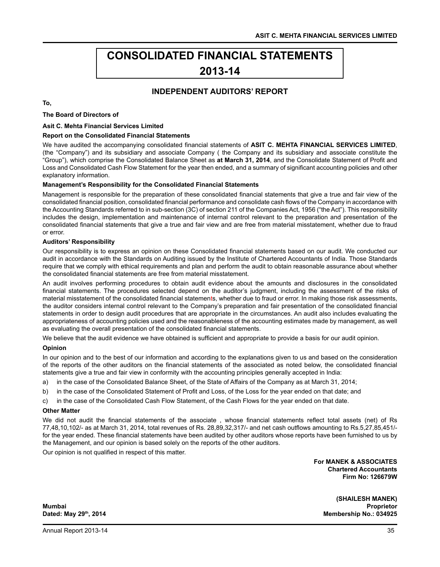# **CONSOLIDATED FINANCIAL STATEMENTS 2013-14**

# **INDEPENDENT AUDITORS' REPORT**

### **To,**

#### **The Board of Directors of**

#### **Asit C. Mehta Financial Services Limited**

#### **Report on the Consolidated Financial Statements**

We have audited the accompanying consolidated financial statements of **ASIT C. MEHTA FINANCIAL SERVICES LIMITED**, (the "Company") and its subsidiary and associate Company ( the Company and its subsidiary and associate constitute the "Group"), which comprise the Consolidated Balance Sheet as **at March 31, 2014**, and the Consolidate Statement of Profit and Loss and Consolidated Cash Flow Statement for the year then ended, and a summary of significant accounting policies and other explanatory information.

#### **Management's Responsibility for the Consolidated Financial Statements**

Management is responsible for the preparation of these consolidated financial statements that give a true and fair view of the consolidated financial position, consolidated financial performance and consolidate cash flows of the Company in accordance with the Accounting Standards referred to in sub-section (3C) of section 211 of the Companies Act, 1956 ("the Act"). This responsibility includes the design, implementation and maintenance of internal control relevant to the preparation and presentation of the consolidated financial statements that give a true and fair view and are free from material misstatement, whether due to fraud or error.

#### **Auditors' Responsibility**

Our responsibility is to express an opinion on these Consolidated financial statements based on our audit. We conducted our audit in accordance with the Standards on Auditing issued by the Institute of Chartered Accountants of India. Those Standards require that we comply with ethical requirements and plan and perform the audit to obtain reasonable assurance about whether the consolidated financial statements are free from material misstatement.

An audit involves performing procedures to obtain audit evidence about the amounts and disclosures in the consolidated financial statements. The procedures selected depend on the auditor's judgment, including the assessment of the risks of material misstatement of the consolidated financial statements, whether due to fraud or error. In making those risk assessments, the auditor considers internal control relevant to the Company's preparation and fair presentation of the consolidated financial statements in order to design audit procedures that are appropriate in the circumstances. An audit also includes evaluating the appropriateness of accounting policies used and the reasonableness of the accounting estimates made by management, as well as evaluating the overall presentation of the consolidated financial statements.

We believe that the audit evidence we have obtained is sufficient and appropriate to provide a basis for our audit opinion.

#### **Opinion**

In our opinion and to the best of our information and according to the explanations given to us and based on the consideration of the reports of the other auditors on the financial statements of the associated as noted below, the consolidated financial statements give a true and fair view in conformity with the accounting principles generally accepted in India:

- a) in the case of the Consolidated Balance Sheet, of the State of Affairs of the Company as at March 31, 2014;
- b) in the case of the Consolidated Statement of Profit and Loss, of the Loss for the year ended on that date; and
- c) in the case of the Consolidated Cash Flow Statement, of the Cash Flows for the year ended on that date.

#### **Other Matter**

We did not audit the financial statements of the associate , whose financial statements reflect total assets (net) of Rs 77,48,10,102/- as at March 31, 2014, total revenues of Rs. 28,89,32,317/- and net cash outflows amounting to Rs.5,27,85,451/ for the year ended. These financial statements have been audited by other auditors whose reports have been furnished to us by the Management, and our opinion is based solely on the reports of the other auditors.

Our opinion is not qualified in respect of this matter.

**For MANEK & ASSOCIATES Chartered Accountants Firm No: 126679W**

**(SHAILESH MANEK) Mumbai Proprietor Dated: May 29th, 2014 Membership No.: 034925**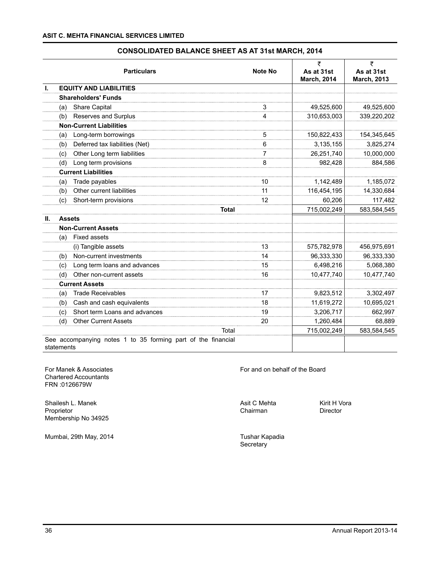|    | <b>Particulars</b>                                                         | Note No | ₹<br>As at 31st<br><b>March, 2014</b> | ₹<br>As at 31st<br><b>March, 2013</b> |
|----|----------------------------------------------------------------------------|---------|---------------------------------------|---------------------------------------|
| Ι. | <b>EQUITY AND LIABILITIES</b>                                              |         |                                       |                                       |
|    | <b>Shareholders' Funds</b>                                                 |         |                                       |                                       |
|    | Share Capital<br>(a)                                                       | 3       | 49,525,600                            | 49,525,600                            |
|    | Reserves and Surplus<br>(b)                                                | 4       | 310,653,003                           | 339,220,202                           |
|    | <b>Non-Current Liabilities</b>                                             |         |                                       |                                       |
|    | Long-term borrowings<br>(a)                                                | 5       | 150,822,433                           | 154,345,645                           |
|    | Deferred tax liabilities (Net)<br>(b)                                      | 6       | 3,135,155                             | 3,825,274                             |
|    | Other Long term liabilities<br>(c)                                         | 7       | 26.251.740                            | 10,000,000                            |
|    | Long term provisions<br>(d)                                                | 8       | 982,428                               | 884,586                               |
|    | <b>Current Liabilities</b>                                                 |         |                                       |                                       |
|    | Trade payables<br>(a)                                                      | 10      | 1,142,489                             | 1,185,072                             |
|    | Other current liabilities<br>(b)                                           | 11      | 116,454,195                           | 14,330,684                            |
|    | Short-term provisions<br>(c)                                               | 12      | 60,206                                | 117,482                               |
|    | Total                                                                      |         | 715,002,249                           | 583,584,545                           |
| Ш. | <b>Assets</b>                                                              |         |                                       |                                       |
|    | <b>Non-Current Assets</b>                                                  |         |                                       |                                       |
|    | <b>Fixed assets</b><br>(a)                                                 |         |                                       |                                       |
|    | (i) Tangible assets                                                        | 13      | 575,782,978                           | 456,975,691                           |
|    | Non-current investments<br>(b)                                             | 14      | 96,333,330                            | 96,333,330                            |
|    | Long term loans and advances<br>(c)                                        | 15      | 6,498,216                             | 5,068,380                             |
|    | (d)<br>Other non-current assets                                            | 16      | 10,477,740                            | 10,477,740                            |
|    | <b>Current Assets</b>                                                      |         |                                       |                                       |
|    | <b>Trade Receivables</b><br>(a)                                            | 17      | 9,823,512                             | 3,302,497                             |
|    | Cash and cash equivalents<br>(b)                                           | 18      | 11,619,272                            | 10,695,021                            |
|    | Short term Loans and advances<br>(c)                                       | 19      | 3,206,717                             | 662,997                               |
|    | <b>Other Current Assets</b><br>(d)                                         | 20      | 1,260,484                             | 68,889                                |
|    | Total                                                                      |         | 715,002,249                           | 583,584,545                           |
|    | See accompanying notes 1 to 35 forming part of the financial<br>statements |         |                                       |                                       |

### **CONSOLIDATED BALANCE SHEET AS AT 31st MARCH, 2014**

For Manek & Associates Chartered Accountants FRN :0126679W

Shailesh L. Manek Proprietor Membership No 34925

Mumbai, 29th May, 2014 **Tushar Kapadia** 

For and on behalf of the Board

Asit C Mehta Chairman

Kirit H Vora Director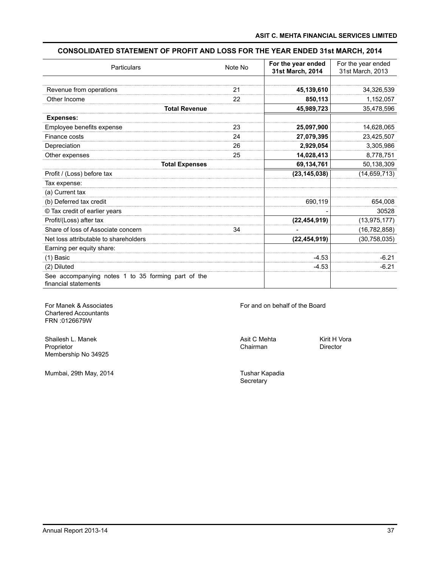# **CONSOLIDATED STATEMENT OF PROFIT AND LOSS FOR THE YEAR ENDED 31st MARCH, 2014**

| Particulars                                                                | Note No | For the year ended<br>31st March, 2014 | For the year ended<br>31st March, 2013 |
|----------------------------------------------------------------------------|---------|----------------------------------------|----------------------------------------|
| Revenue from operations                                                    | 21      | 45,139,610                             | 34,326,539                             |
| Other Income                                                               | 22      | 850,113                                | 1,152,057                              |
| <b>Total Revenue</b>                                                       |         | 45,989,723                             | 35,478,596                             |
| <b>Expenses:</b>                                                           |         |                                        |                                        |
| Employee benefits expense                                                  | 23      | 25,097,900                             | 14,628,065                             |
| Finance costs                                                              | 24      | 27,079,395                             | 23,425,507                             |
| Depreciation                                                               | 26      | 2,929,054                              | 3,305,986                              |
| Other expenses                                                             | 25      | 14,028,413                             | 8,778,751                              |
| <b>Total Expenses</b>                                                      |         | 69,134,761                             | 50,138,309                             |
| Profit / (Loss) before tax                                                 |         | (23, 145, 038)                         | (14, 659, 713)                         |
| Tax expense:                                                               |         |                                        |                                        |
| (a) Current tax                                                            |         |                                        |                                        |
| (b) Deferred tax credit                                                    |         | 690,119                                | 654,008                                |
| © Tax credit of earlier years                                              |         |                                        | 30528                                  |
| Profit/(Loss) after tax                                                    |         | (22, 454, 919)                         | (13, 975, 177)                         |
| Share of loss of Associate concern                                         | 34      |                                        | (16, 782, 858)                         |
| Net loss attributable to shareholders                                      |         | (22, 454, 919)                         | (30, 758, 035)                         |
| Earning per equity share:                                                  |         |                                        |                                        |
| (1) Basic                                                                  |         | -4.53                                  | -6 21                                  |
| (2) Diluted                                                                |         | $-4.53$                                | $-6.21$                                |
| See accompanying notes 1 to 35 forming part of the<br>financial statements |         |                                        |                                        |

For Manek & Associates Chartered Accountants FRN :0126679W

Shailesh L. Manek Proprietor Membership No 34925

Mumbai, 29th May, 2014 **Tushar Kapadia** 

For and on behalf of the Board

Asit C Mehta Chairman

Kirit H Vora Director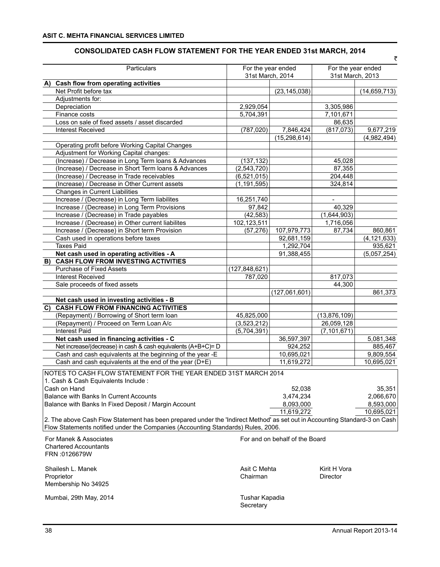|    |                                                                                                                            |                    |                                |                          | ₹              |
|----|----------------------------------------------------------------------------------------------------------------------------|--------------------|--------------------------------|--------------------------|----------------|
|    | Particulars                                                                                                                | For the year ended |                                | For the year ended       |                |
|    |                                                                                                                            | 31st March, 2014   |                                | 31st March, 2013         |                |
| A) | Cash flow from operating activities                                                                                        |                    |                                |                          |                |
|    | Net Profit before tax                                                                                                      |                    | (23, 145, 038)                 |                          | (14, 659, 713) |
|    | Adiustments for:                                                                                                           |                    |                                |                          |                |
|    | Depreciation                                                                                                               | 2,929,054          |                                | 3,305,986                |                |
|    | Finance costs                                                                                                              | 5,704,391          |                                | 7,101,671                |                |
|    | Loss on sale of fixed assets / asset discarded                                                                             |                    |                                | 86,635                   |                |
|    | <b>Interest Received</b>                                                                                                   | (787, 020)         | 7,846,424                      | (817, 073)               | 9,677,219      |
|    |                                                                                                                            |                    | (15, 298, 614)                 |                          | (4,982,494)    |
|    | Operating profit before Working Capital Changes                                                                            |                    |                                |                          |                |
|    | Adjustment for Working Capital changes:                                                                                    |                    |                                |                          |                |
|    | (Increase) / Decrease in Long Term loans & Advances                                                                        | (137, 132)         |                                | 45,028                   |                |
|    | (Increase) / Decrease in Short Term loans & Advances                                                                       | (2,543,720)        |                                | 87,355                   |                |
|    | (Increase) / Decrease in Trade receivables                                                                                 | (6,521,015)        |                                | 204,448                  |                |
|    | (Increase) / Decrease in Other Current assets                                                                              | (1, 191, 595)      |                                | 324,814                  |                |
|    | Changes in Current Liabilities                                                                                             |                    |                                |                          |                |
|    | Increase / (Decrease) in Long Term liabilites                                                                              | 16,251,740         |                                | $\overline{\phantom{a}}$ |                |
|    | Increase / (Decrease) in Long Term Provisions                                                                              | 97,842             |                                | 40,329                   |                |
|    | Increase / (Decrease) in Trade payables                                                                                    | (42, 583)          |                                | (1,644,903)              |                |
|    | Increase / (Decrease) in Other current liabilites                                                                          | 102,123,511        |                                | 1,716,056                |                |
|    | Increase / (Decrease) in Short term Provision                                                                              | (57, 276)          | 107,979,773                    | 87,734                   | 860,861        |
|    | Cash used in operations before taxes                                                                                       |                    | 92,681,159                     |                          | (4, 121, 633)  |
|    | <b>Taxes Paid</b>                                                                                                          |                    | 1,292,704                      |                          | 935,621        |
|    | Net cash used in operating activities - A                                                                                  |                    | 91,388,455                     |                          | (5,057,254)    |
| B) | <b>CASH FLOW FROM INVESTING ACTIVITIES</b>                                                                                 |                    |                                |                          |                |
|    | Purchase of Fixed Assets                                                                                                   | (127, 848, 621)    |                                |                          |                |
|    | <b>Interest Received</b>                                                                                                   | 787,020            |                                | 817,073                  |                |
|    | Sale proceeds of fixed assets                                                                                              |                    |                                | 44,300                   |                |
|    |                                                                                                                            |                    | (127,061,601)                  |                          | 861,373        |
|    | Net cash used in investing activities - B                                                                                  |                    |                                |                          |                |
| C) | <b>CASH FLOW FROM FINANCING ACTIVITIES</b>                                                                                 |                    |                                |                          |                |
|    | (Repayment) / Borrowing of Short term loan                                                                                 | 45,825,000         |                                | (13, 876, 109)           |                |
|    | (Repayment) / Proceed on Term Loan A/c                                                                                     | (3,523,212)        |                                | 26,059,128               |                |
|    | <b>Interest Paid</b>                                                                                                       | (5,704,391)        |                                | (7, 101, 671)            |                |
|    | Net cash used in financing activities - C                                                                                  |                    | 36,597,397                     |                          | 5,081,348      |
|    | Net increase/(decrease) in cash & cash equivalents (A+B+C)= D                                                              |                    | 924,252                        |                          | 885,467        |
|    | Cash and cash equivalents at the beginning of the year -E                                                                  |                    | 10,695,021                     |                          | 9,809,554      |
|    | Cash and cash equivalents at the end of the year (D+E)                                                                     |                    | 11,619,272                     |                          | 10,695,021     |
|    | NOTES TO CASH FLOW STATEMENT FOR THE YEAR ENDED 31ST MARCH 2014                                                            |                    |                                |                          |                |
|    | 1. Cash & Cash Equivalents Include:                                                                                        |                    |                                |                          |                |
|    | Cash on Hand                                                                                                               |                    | 52,038                         |                          | 35,351         |
|    | Balance with Banks In Current Accounts                                                                                     |                    | 3,474,234                      |                          | 2,066,670      |
|    | Balance with Banks In Fixed Deposit / Margin Account                                                                       |                    | 8,093,000                      |                          | 8,593,000      |
|    |                                                                                                                            |                    | 11,619,272                     |                          | 10,695,021     |
|    | 2. The above Cash Flow Statement has been prepared under the 'Indirect Method' as set out in Accounting Standard-3 on Cash |                    |                                |                          |                |
|    | Flow Statements notified under the Companies (Accounting Standards) Rules, 2006.                                           |                    |                                |                          |                |
|    |                                                                                                                            |                    |                                |                          |                |
|    | For Manek & Associates                                                                                                     |                    | For and on behalf of the Board |                          |                |
|    | <b>Chartered Accountants</b>                                                                                               |                    |                                |                          |                |
|    | FRN :0126679W                                                                                                              |                    |                                |                          |                |
|    |                                                                                                                            |                    |                                |                          |                |
|    | Shailesh L. Manek                                                                                                          | Asit C Mehta       |                                | Kirit H Vora             |                |
|    | Proprietor                                                                                                                 | Chairman           |                                | Director                 |                |
|    | Membership No 34925                                                                                                        |                    |                                |                          |                |

Mumbai, 29th May, 2014 **Tushar Kapadia** 

Secretary

 $\overline{a}$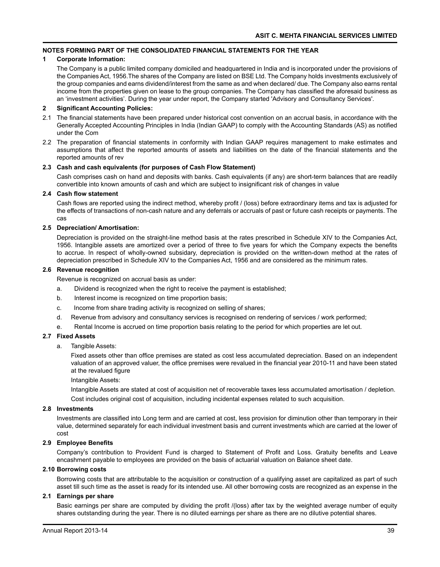#### **1 Corporate Information:**

The Company is a public limited company domiciled and headquartered in India and is incorporated under the provisions of the Companies Act, 1956.The shares of the Company are listed on BSE Ltd. The Company holds investments exclusively of the group companies and earns dividend/interest from the same as and when declared/ due. The Company also earns rental income from the properties given on lease to the group companies. The Company has classified the aforesaid business as an 'investment activities'. During the year under report, the Company started 'Advisory and Consultancy Services'.

#### **2 Significant Accounting Policies:**

- 2.1 The financial statements have been prepared under historical cost convention on an accrual basis, in accordance with the Generally Accepted Accounting Principles in India (Indian GAAP) to comply with the Accounting Standards (AS) as notified under the Com
- 2.2 The preparation of financial statements in conformity with Indian GAAP requires management to make estimates and assumptions that affect the reported amounts of assets and liabilities on the date of the financial statements and the reported amounts of rev

#### **2.3 Cash and cash equivalents (for purposes of Cash Flow Statement)**

Cash comprises cash on hand and deposits with banks. Cash equivalents (if any) are short-term balances that are readily convertible into known amounts of cash and which are subject to insignificant risk of changes in value

#### **2.4 Cash flow statement**

Cash flows are reported using the indirect method, whereby profit / (loss) before extraordinary items and tax is adjusted for the effects of transactions of non-cash nature and any deferrals or accruals of past or future cash receipts or payments. The cas

#### **2.5 Depreciation/ Amortisation:**

Depreciation is provided on the straight-line method basis at the rates prescribed in Schedule XIV to the Companies Act, 1956. Intangible assets are amortized over a period of three to five years for which the Company expects the benefits to accrue. In respect of wholly-owned subsidary, depreciation is provided on the written-down method at the rates of depreciation prescribed in Schedule XIV to the Companies Act, 1956 and are considered as the minimum rates.

#### **2.6 Revenue recognition**

Revenue is recognized on accrual basis as under:

- a. Dividend is recognized when the right to receive the payment is established;
- b. Interest income is recognized on time proportion basis;
- c. Income from share trading activity is recognized on selling of shares;
- d. Revenue from advisory and consultancy services is recognised on rendering of services / work performed;
- e. Rental Income is accrued on time proportion basis relating to the period for which properties are let out.

#### **2.7 Fixed Assets**

a. Tangible Assets:

Fixed assets other than office premises are stated as cost less accumulated depreciation. Based on an independent valuation of an approved valuer, the office premises were revalued in the financial year 2010-11 and have been stated at the revalued figure

Intangible Assets:

Intangible Assets are stated at cost of acquisition net of recoverable taxes less accumulated amortisation / depletion.

Cost includes original cost of acquisition, including incidental expenses related to such acquisition.

#### **2.8 Investments**

Investments are classified into Long term and are carried at cost, less provision for diminution other than temporary in their value, determined separately for each individual investment basis and current investments which are carried at the lower of cost

#### **2.9 Employee Benefits**

Company's contribution to Provident Fund is charged to Statement of Profit and Loss. Gratuity benefits and Leave encashment payable to employees are provided on the basis of actuarial valuation on Balance sheet date.

#### **2.10 Borrowing costs**

Borrowing costs that are attributable to the acquisition or construction of a qualifying asset are capitalized as part of such asset till such time as the asset is ready for its intended use. All other borrowing costs are recognized as an expense in the

#### **2.1 Earnings per share**

Basic earnings per share are computed by dividing the profit /(loss) after tax by the weighted average number of equity shares outstanding during the year. There is no diluted earnings per share as there are no dilutive potential shares.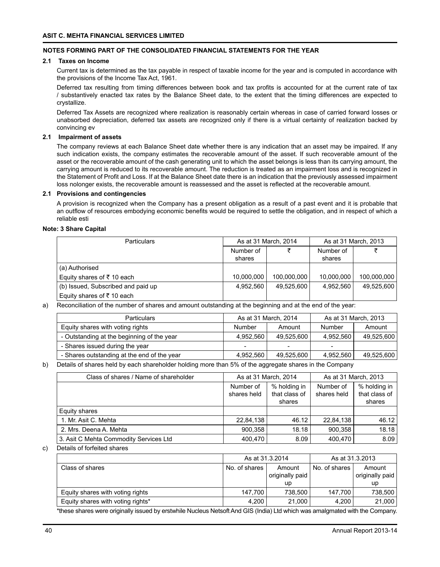#### **2.1 Taxes on Income**

Current tax is determined as the tax payable in respect of taxable income for the year and is computed in accordance with the provisions of the Income Tax Act, 1961.

Deferred tax resulting from timing differences between book and tax profits is accounted for at the current rate of tax / substantively enacted tax rates by the Balance Sheet date, to the extent that the timing differences are expected to crystallize.

Deferred Tax Assets are recognized where realization is reasonably certain whereas in case of carried forward losses or unabsorbed depreciation, deferred tax assets are recognized only if there is a virtual certainty of realization backed by convincing ev

#### **2.1 Impairment of assets**

The company reviews at each Balance Sheet date whether there is any indication that an asset may be impaired. If any such indication exists, the company estimates the recoverable amount of the asset. If such recoverable amount of the asset or the recoverable amount of the cash generating unit to which the asset belongs is less than its carrying amount, the carrying amount is reduced to its recoverable amount. The reduction is treated as an impairment loss and is recognized in the Statement of Profit and Loss. If at the Balance Sheet date there is an indication that the previously assessed impairment loss nolonger exists, the recoverable amount is reassessed and the asset is reflected at the recoverable amount.

#### **2.1 Provisions and contingencies**

A provision is recognized when the Company has a present obligation as a result of a past event and it is probable that an outflow of resources embodying economic benefits would be required to settle the obligation, and in respect of which a reliable esti

#### **Note: 3 Share Capital**

| <b>Particulars</b>                 | As at 31 March, 2014 |             | As at 31 March, 2013 |             |
|------------------------------------|----------------------|-------------|----------------------|-------------|
|                                    | Number of<br>shares  |             | Number of<br>shares  | ₹           |
| (a) Authorised                     |                      |             |                      |             |
| Equity shares of ₹10 each          | 10.000.000           | 100.000.000 | 10.000.000           | 100.000.000 |
| (b) Issued, Subscribed and paid up | 4.952.560            | 49.525.600  | 4.952.560            | 49.525.600  |
| Equity shares of ₹10 each          |                      |             |                      |             |

a) Reconciliation of the number of shares and amount outstanding at the beginning and at the end of the year:

| <b>Particulars</b>                          | As at 31 March, 2014 |            |                          | As at 31 March, 2013 |
|---------------------------------------------|----------------------|------------|--------------------------|----------------------|
| Equity shares with voting rights            | Number               | Amount     | Number                   | Amount               |
| - Outstanding at the beginning of the year  | 4.952.560            | 49.525.600 | 4.952.560                | 49,525,600           |
| - Shares issued during the year             | -                    |            | $\overline{\phantom{0}}$ |                      |
| - Shares outstanding at the end of the year | 4.952.560            | 49.525.600 | 4,952,560                | 49,525,600           |

b) Details of shares held by each shareholder holding more than 5% of the aggregate shares in the Company

| Class of shares / Name of shareholder  | As at 31 March, 2014      |               | As at 31 March, 2013 |               |
|----------------------------------------|---------------------------|---------------|----------------------|---------------|
|                                        | % holding in<br>Number of |               | Number of            | % holding in  |
|                                        | shares held               | that class of | shares held          | that class of |
|                                        |                           | shares        |                      | shares        |
| Equity shares                          |                           |               |                      |               |
| 1. Mr. Asit C. Mehta                   | 22,84,138                 | 46.12         | 22,84,138            | 46.12         |
| 2. Mrs. Deena A. Mehta                 | 900.358                   | 18.18         | 900.358              | 18.18         |
| 3. Asit C Mehta Commodity Services Ltd | 400.470                   | 8.09          | 400.470              | 8.09          |

c) Details of forfeited shares

|                                   | As at 31.3.2014 |                 |               | As at 31.3.2013 |
|-----------------------------------|-----------------|-----------------|---------------|-----------------|
| Class of shares                   | No. of shares   | Amount          | No. of shares | Amount          |
|                                   |                 | originally paid |               | originally paid |
|                                   |                 | up              |               | up              |
| Equity shares with voting rights  | 147.700         | 738.500         | 147.700       | 738,500         |
| Equity shares with voting rights* | 4,200           | 21.000          | 4.200         | 21,000          |

\*these shares were originally issued by erstwhile Nucleus Netsoft And GIS (India) Ltd which was amalgmated with the Company.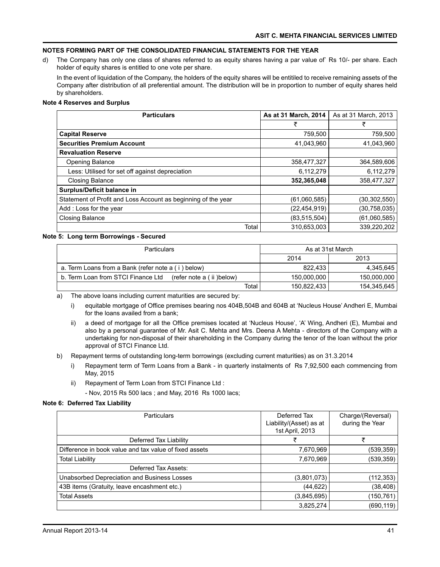d) The Company has only one class of shares referred to as equity shares having a par value of` Rs 10/- per share. Each holder of equity shares is entitled to one vote per share.

In the event of liquidation of the Company, the holders of the equity shares will be entitiled to receive remaining assets of the Company after distribution of all preferential amount. The distribution will be in proportion to number of equity shares held by shareholders.

#### **Note 4 Reserves and Surplus**

| <b>Particulars</b>                                            | As at 31 March, 2014 | As at 31 March, 2013 |
|---------------------------------------------------------------|----------------------|----------------------|
|                                                               | ₹                    |                      |
| <b>Capital Reserve</b>                                        | 759,500              | 759,500              |
| <b>Securities Premium Account</b>                             | 41,043,960           | 41,043,960           |
| <b>Revaluation Reserve</b>                                    |                      |                      |
| Opening Balance                                               | 358,477,327          | 364,589,606          |
| Less: Utilised for set off against depreciation               | 6,112,279            | 6,112,279            |
| <b>Closing Balance</b>                                        | 352,365,048          | 358,477,327          |
| Surplus/Deficit balance in                                    |                      |                      |
| Statement of Profit and Loss Account as beginning of the year | (61,060,585)         | (30, 302, 550)       |
| Add: Loss for the year                                        | (22, 454, 919)       | (30,758,035)         |
| <b>Closing Balance</b>                                        | (83, 515, 504)       | (61,060,585)         |
| Total                                                         | 310.653.003          | 339,220,202          |

#### **Note 5: Long term Borrowings - Secured**

| As at 31st March<br><b>Particulars</b>                          |             |             |
|-----------------------------------------------------------------|-------------|-------------|
|                                                                 | 2014        | 2013        |
| a. Term Loans from a Bank (refer note a (i) below)              | 822.433     | 4,345,645   |
| b. Term Loan from STCI Finance Ltd<br>(refer note a (ii) below) | 150.000.000 | 150,000,000 |
| Total                                                           | 150,822,433 | 154,345,645 |

a) The above loans including current maturities are secured by:

- i) equitable mortgage of Office premises bearing nos 404B,504B and 604B at 'Nucleus House' Andheri E, Mumbai for the loans availed from a bank;
- ii) a deed of mortgage for all the Office premises located at 'Nucleus House', 'A' Wing, Andheri (E), Mumbai and also by a personal guarantee of Mr. Asit C. Mehta and Mrs. Deena A Mehta - directors of the Company with a undertaking for non-disposal of their shareholding in the Company during the tenor of the loan without the prior approval of STCI Finance Ltd.
- b) Repayment terms of outstanding long-term borrowings (excluding current maturities) as on 31.3.2014
	- i) Repayment term of Term Loans from a Bank in quarterly instalments of Rs 7,92,500 each commencing from May, 2015
	- ii) Repayment of Term Loan from STCI Finance Ltd :

- Nov, 2015 Rs 500 lacs ; and May, 2016 Rs 1000 lacs;

#### **Note 6: Deferred Tax Liability**

| <b>Particulars</b>                                     | Deferred Tax<br>Liability/(Asset) as at<br>1st April, 2013 | Charge/(Reversal)<br>during the Year |
|--------------------------------------------------------|------------------------------------------------------------|--------------------------------------|
| Deferred Tax Liability                                 | ₹                                                          |                                      |
| Difference in book value and tax value of fixed assets | 7,670,969                                                  | (539,359)                            |
| <b>Total Liability</b>                                 | 7,670,969                                                  | (539, 359)                           |
| Deferred Tax Assets:                                   |                                                            |                                      |
| Unabsorbed Depreciation and Business Losses            | (3,801,073)                                                | (112,353)                            |
| 43B items (Gratuity, leave encashment etc.)            | (44, 622)                                                  | (38,408)                             |
| <b>Total Assets</b>                                    | (3,845,695)                                                | (150,761)                            |
|                                                        | 3,825,274                                                  | (690,119)                            |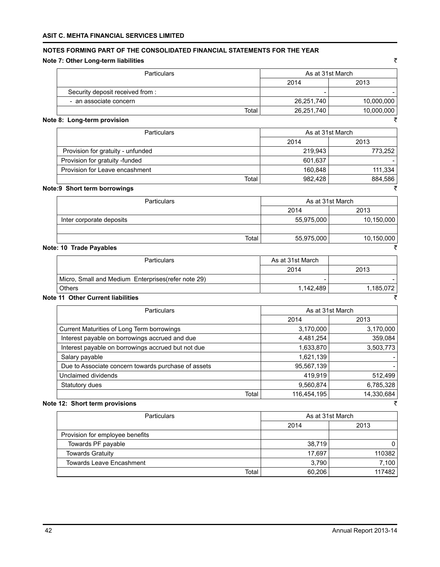| Note 7: Other Long-term liabilities |                    |                  | ₹                |  |  |
|-------------------------------------|--------------------|------------------|------------------|--|--|
|                                     | <b>Particulars</b> | As at 31st March |                  |  |  |
|                                     |                    | 2014             | 2013             |  |  |
| Security deposit received from :    |                    |                  |                  |  |  |
| - an associate concern              |                    | 26,251,740       | 10,000,000       |  |  |
|                                     | Total              | 26,251,740       | 10,000,000       |  |  |
| Note 8: Long-term provision         |                    |                  | ₹                |  |  |
|                                     | <b>Particulars</b> |                  | As at 31st March |  |  |
|                                     |                    | 2014             | 2013             |  |  |
| Provision for gratuity - unfunded   |                    | 219,943          | 773.252          |  |  |
| Provision for gratuity -funded      |                    | 601,637          |                  |  |  |
| Provision for Leave encashment      |                    | 160.848          | 111.334          |  |  |

#### **Note:9 Short term borrowings** `

| <b>Particulars</b>       |       | As at 31st March |            |  |  |
|--------------------------|-------|------------------|------------|--|--|
|                          |       | 2014             | 2013       |  |  |
| Inter corporate deposits |       | 55,975,000       | 10,150,000 |  |  |
|                          |       |                  |            |  |  |
|                          | Total | 55,975,000       | 10,150,000 |  |  |
| Note: 10 Trade Payables  |       |                  |            |  |  |

Total 982,428 884,586

| Particulars                                         | As at 31st March |           |
|-----------------------------------------------------|------------------|-----------|
|                                                     | 2014             | 2013      |
| Micro, Small and Medium Enterprises (refer note 29) |                  |           |
| Others                                              | 1.142.489        | 1.185.072 |

# **Note 11 Other Current liabilities** `

| <b>Particulars</b>                                  | As at 31st March |            |
|-----------------------------------------------------|------------------|------------|
|                                                     | 2014             | 2013       |
| Current Maturities of Long Term borrowings          | 3,170,000        | 3,170,000  |
| Interest payable on borrowings accrued and due      | 4,481,254        | 359,084    |
| Interest payable on borrowings accrued but not due  | 1,633,870        | 3,503,773  |
| Salary payable                                      | 1,621,139        |            |
| Due to Associate concern towards purchase of assets | 95,567,139       |            |
| Unclaimed dividends                                 | 419,919          | 512,499    |
| Statutory dues                                      | 9,560,874        | 6,785,328  |
| Total                                               | 116.454.195      | 14,330,684 |

# **Note 12: Short term provisions** `

| <b>Particulars</b>              | As at 31st March |        |  |
|---------------------------------|------------------|--------|--|
|                                 | 2013<br>2014     |        |  |
| Provision for employee benefits |                  |        |  |
| Towards PF payable              | 38.719           | 0      |  |
| <b>Towards Gratuity</b>         | 17.697           | 110382 |  |
| <b>Towards Leave Encashment</b> | 3,790            | 7.100  |  |
| Total                           | 60.206           | 117482 |  |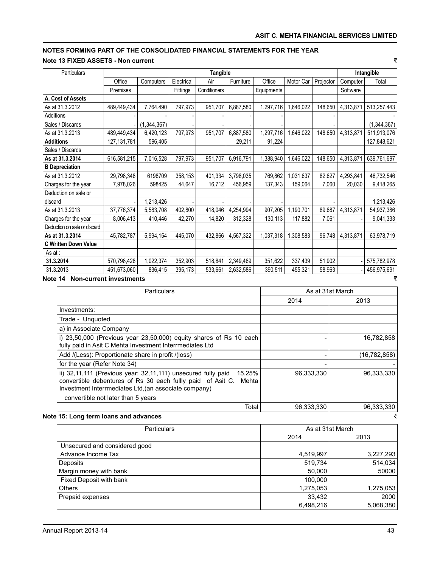# **Note 13 FIXED ASSETS - Non current** `

| Particulars                                    | Tangible      |               |            |              |           |            | Intangible |           |           |               |
|------------------------------------------------|---------------|---------------|------------|--------------|-----------|------------|------------|-----------|-----------|---------------|
|                                                | Office        | Computers     | Electrical | Air          | Furniture | Office     | Motor Car  | Projector | Computer  | Total         |
|                                                | Premises      |               | Fittings   | Conditioners |           | Equipments |            |           | Software  |               |
| A. Cost of Assets                              |               |               |            |              |           |            |            |           |           |               |
| As at 31.3.2012                                | 489,449,434   | 7.764.490     | 797,973    | 951,707      | 6,887,580 | 1,297,716  | .646,022   | 148,650   | 4,313,871 | 513,257,443   |
| Additions                                      |               |               |            |              |           |            |            |           |           |               |
| Sales / Discards                               |               | (1, 344, 367) |            |              |           |            |            |           |           | (1, 344, 367) |
| As at 31.3.2013                                | 489,449,434   | 6,420,123     | 797,973    | 951,707      | 6,887,580 | 1,297,716  | 1,646,022  | 148,650   | 4,313,871 | 511,913,076   |
| <b>Additions</b>                               | 127, 131, 781 | 596,405       |            |              | 29,211    | 91,224     |            |           |           | 127,848,621   |
| Sales / Discards                               |               |               |            |              |           |            |            |           |           |               |
| As at 31.3.2014                                | 616,581,215   | 7,016,528     | 797,973    | 951,707      | 6,916,791 | 1,388,940  | 1,646,022  | 148,650   | 4,313,871 | 639,761,697   |
| <b>B</b> Depreciation                          |               |               |            |              |           |            |            |           |           |               |
| As at 31.3.2012                                | 29,798,348    | 6198709       | 358,153    | 401,334      | 3,798,035 | 769,862    | 1,031,637  | 82,627    | 4,293,841 | 46,732,546    |
| Charges for the year                           | 7,978,026     | 598425        | 44,647     | 16,712       | 456,959   | 137,343    | 159,064    | 7,060     | 20,030    | 9,418,265     |
| Deduction on sale or                           |               |               |            |              |           |            |            |           |           |               |
| discard                                        |               | 1,213,426     |            |              |           |            |            |           |           | 1,213,426     |
| As at 31.3.2013                                | 37,776,374    | 5,583,708     | 402,800    | 418,046      | 4,254,994 | 907,205    | 1,190,701  | 89,687    | 4,313,871 | 54,937,386    |
| Charges for the year                           | 8,006,413     | 410,446       | 42,270     | 14,820       | 312,328   | 130,113    | 117,882    | 7,061     |           | 9,041,333     |
| Deduction on sale or discard                   |               |               |            |              |           |            |            |           |           |               |
| As at 31.3.2014                                | 45,782,787    | 5,994,154     | 445,070    | 432,866      | 4,567,322 | 1,037,318  | 1,308,583  | 96,748    | 4,313,871 | 63,978,719    |
| <b>C Written Down Value</b>                    |               |               |            |              |           |            |            |           |           |               |
| As at :                                        |               |               |            |              |           |            |            |           |           |               |
| 31.3.2014                                      | 570,798,428   | 1,022,374     | 352,903    | 518,841      | 2,349,469 | 351,622    | 337,439    | 51,902    |           | 575,782,978   |
| 31.3.2013                                      | 451,673,060   | 836,415       | 395,173    | 533.661      | 2,632,586 | 390.511    | 455.321    | 58,963    |           | 456,975,691   |
| ₹<br>Note 14<br><b>Non-current investments</b> |               |               |            |              |           |            |            |           |           |               |

| Particulars                                                                                                                                                                                           |            | As at 31st March |
|-------------------------------------------------------------------------------------------------------------------------------------------------------------------------------------------------------|------------|------------------|
|                                                                                                                                                                                                       | 2014       | 2013             |
| Investments:                                                                                                                                                                                          |            |                  |
| Trade - Unguoted                                                                                                                                                                                      |            |                  |
| a) in Associate Company                                                                                                                                                                               |            |                  |
| i) 23,50,000 (Previous year 23,50,000) equity shares of Rs 10 each<br>fully paid in Asit C Mehta Investment Interrmediates Ltd                                                                        |            | 16.782.858       |
| Add /(Less): Proportionate share in profit /(loss)                                                                                                                                                    |            | (16,782,858)     |
| for the year (Refer Note 34)                                                                                                                                                                          |            |                  |
| ii) 32,11,111 (Previous year: 32,11,111) unsecured fully paid<br>15.25%<br>convertible debentures of Rs 30 each fullly paid of Asit C. Mehta<br>Investment Interrmediates Ltd. (an associate company) | 96.333.330 | 96.333.330       |
| convertible not later than 5 years                                                                                                                                                                    |            |                  |
| Total                                                                                                                                                                                                 | 96.333.330 | 96,333,330       |

# **Note 15: Long term loans and advances** `

| <b>Particulars</b>            | As at 31st March |           |  |
|-------------------------------|------------------|-----------|--|
|                               | 2014             | 2013      |  |
| Unsecured and considered good |                  |           |  |
| Advance Income Tax            | 4,519,997        | 3,227,293 |  |
| Deposits                      | 519,734          | 514,034   |  |
| Margin money with bank        | 50,000           | 50000     |  |
| Fixed Deposit with bank       | 100,000          |           |  |
| <b>Others</b>                 | 1,275,053        | 1,275,053 |  |
| Prepaid expenses              | 33,432           | 2000      |  |
|                               | 6,498,216        | 5,068,380 |  |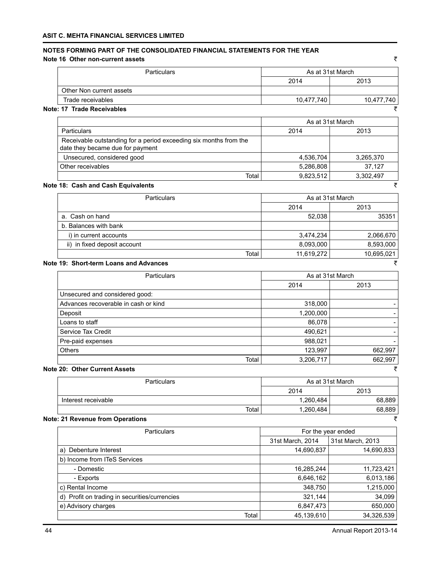| Note 16 Other non-current assets                                                                      |                  | ₹                  |
|-------------------------------------------------------------------------------------------------------|------------------|--------------------|
| Particulars                                                                                           |                  | As at 31st March   |
|                                                                                                       | 2014             | 2013               |
| Other Non current assets                                                                              |                  |                    |
| Trade receivables                                                                                     | 10,477,740       | 10,477,740         |
| Note: 17 Trade Receivables                                                                            |                  |                    |
|                                                                                                       |                  | As at 31st March   |
| Particulars                                                                                           | 2014             | 2013               |
| Receivable outstanding for a period exceeding six months from the<br>date they became due for payment |                  |                    |
| Unsecured, considered good                                                                            | 4,536,704        | 3,265,370          |
| Other receivables                                                                                     | 5,286,808        | 37,127             |
| Total                                                                                                 | 9,823,512        | 3,302,497          |
| Note 18: Cash and Cash Equivalents                                                                    |                  | ₹                  |
| Particulars                                                                                           |                  | As at 31st March   |
|                                                                                                       | 2014             | 2013               |
| a. Cash on hand                                                                                       | 52,038           | 35351              |
| b. Balances with bank                                                                                 |                  |                    |
| i) in current accounts                                                                                | 3,474,234        | 2,066,670          |
| ii) in fixed deposit account                                                                          | 8,093,000        | 8,593,000          |
| Total                                                                                                 | 11,619,272       | 10,695,021         |
| Note 19: Short-term Loans and Advances                                                                |                  | ₹                  |
| Particulars                                                                                           |                  | As at 31st March   |
|                                                                                                       | 2014             | 2013               |
| Unsecured and considered good:                                                                        |                  |                    |
| Advances recoverable in cash or kind                                                                  | 318,000          |                    |
| Deposit                                                                                               | 1,200,000        |                    |
| Loans to staff                                                                                        | 86,078           |                    |
| Service Tax Credit                                                                                    | 490,621          |                    |
| Pre-paid expenses                                                                                     | 988,021          |                    |
| Others                                                                                                | 123,997          | 662,997            |
| Total                                                                                                 | 3,206,717        | 662,997            |
| <b>Note 20: Other Current Assets</b>                                                                  |                  | ₹                  |
| Particulars                                                                                           |                  | As at 31st March   |
|                                                                                                       | 2014             | 2013               |
| Interest receivable                                                                                   | 1,260,484        | 68,889             |
| Total                                                                                                 | 1,260,484        | 68,889             |
| Note: 21 Revenue from Operations                                                                      |                  | ₹                  |
| Particulars                                                                                           |                  | For the year ended |
|                                                                                                       | 31st March, 2014 | 31st March, 2013   |
| a) Debenture Interest                                                                                 | 14,690,837       | 14,690,833         |
| b) Income from ITeS Services                                                                          |                  |                    |
| - Domestic                                                                                            | 16,285,244       | 11,723,421         |
| - Exports                                                                                             | 6,646,162        | 6,013,186          |
| c) Rental Income                                                                                      | 348,750          | 1,215,000          |
| d) Profit on trading in securities/currencies                                                         | 321,144          | 34,099             |
| e) Advisory charges                                                                                   | 6,847,473        | 650,000            |

44 Annual Report 2013-14

Total 45,139,610 34,326,539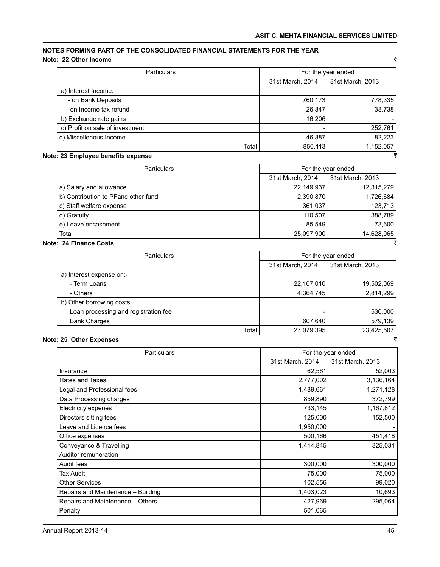# **Note: 22 Other Income** ` **NOTES FORMING PART OF THE CONSOLIDATED FINANCIAL STATEMENTS FOR THE YEAR**

| <b>Particulars</b>              | For the year ended                   |           |  |
|---------------------------------|--------------------------------------|-----------|--|
|                                 | 31st March, 2013<br>31st March, 2014 |           |  |
| a) Interest Income:             |                                      |           |  |
| - on Bank Deposits              | 760,173                              | 778,335   |  |
| - on Income tax refund          | 26,847                               | 38,738    |  |
| b) Exchange rate gains          | 16,206                               |           |  |
| c) Profit on sale of investment |                                      | 252,761   |  |
| d) Miscellenous Income          | 46,887                               | 82,223    |  |
| Total                           | 850,113                              | 1,152,057 |  |

# **Note: 23 Employee benefits expense** `

| <b>Particulars</b>                  | For the year ended                   |            |  |
|-------------------------------------|--------------------------------------|------------|--|
|                                     | 31st March, 2013<br>31st March, 2014 |            |  |
| a) Salary and allowance             | 22,149,937                           | 12,315,279 |  |
| b) Contribution to PFand other fund | 2,390,870                            | 1,726,684  |  |
| c) Staff welfare expense            | 361,037                              | 123,713    |  |
| d) Gratuity                         | 110.507                              | 388,789    |  |
| e) Leave encashment                 | 85.549                               | 73,600     |  |
| Total                               | 25.097.900                           | 14,628,065 |  |

# **Note: 24 Finance Costs** `

| <b>Particulars</b>                   | For the year ended                   |            |  |  |
|--------------------------------------|--------------------------------------|------------|--|--|
|                                      | 31st March, 2013<br>31st March, 2014 |            |  |  |
| a) Interest expense on:-             |                                      |            |  |  |
| - Term Loans                         | 22,107,010                           | 19,502,069 |  |  |
| - Others                             | 4,364,745                            | 2,814,299  |  |  |
| b) Other borrowing costs             |                                      |            |  |  |
| Loan processing and registration fee |                                      | 530,000    |  |  |
| <b>Bank Charges</b>                  | 607,640                              | 579,139    |  |  |
| Total                                | 27.079.395                           | 23,425,507 |  |  |

# **Note: 25 Other Expenses** `

| Particulars                        | For the year ended |                  |  |  |
|------------------------------------|--------------------|------------------|--|--|
|                                    | 31st March, 2014   | 31st March, 2013 |  |  |
| Insurance                          | 62,561             | 52,003           |  |  |
| Rates and Taxes                    | 2,777,002          | 3,136,164        |  |  |
| Legal and Professional fees        | 1,489,661          | 1,271,128        |  |  |
| Data Processing charges            | 859,890            | 372,799          |  |  |
| Electricity expenes                | 733,145            | 1,167,812        |  |  |
| Directors sitting fees             | 125,000            | 152,500          |  |  |
| Leave and Licence fees             | 1,950,000          |                  |  |  |
| Office expenses                    | 500,166            | 451,418          |  |  |
| Conveyance & Travelling            | 1,414,845          | 325,031          |  |  |
| Auditor remuneration -             |                    |                  |  |  |
| Audit fees                         | 300,000            | 300,000          |  |  |
| Tax Audit                          | 75,000             | 75,000           |  |  |
| <b>Other Services</b>              | 102,556            | 99,020           |  |  |
| Repairs and Maintenance - Building | 1,403,023          | 10,693           |  |  |
| Repairs and Maintenance - Others   | 427,969            | 295,064          |  |  |
| Penalty                            | 501,065            |                  |  |  |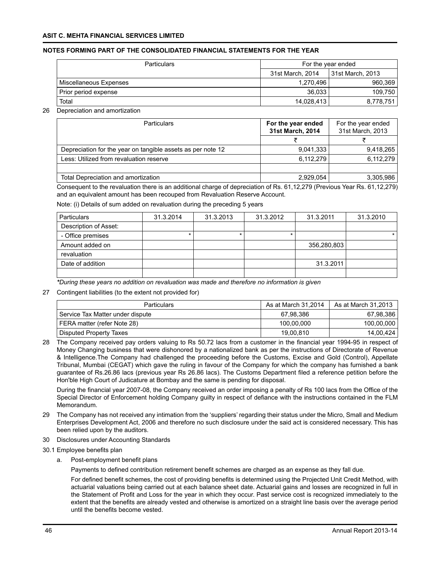| <b>Particulars</b>     | For the year ended                   |           |  |  |
|------------------------|--------------------------------------|-----------|--|--|
|                        | 31st March, 2013<br>31st March, 2014 |           |  |  |
| Miscellaneous Expenses | 1,270,496                            | 960,369   |  |  |
| Prior period expense   | 36.033                               | 109.750   |  |  |
| Total                  | 14,028,413                           | 8,778,751 |  |  |

#### 26 Depreciation and amortization

| <b>Particulars</b>                                          | For the year ended<br>31st March, 2014 | For the year ended<br>31st March, 2013 |  |  |
|-------------------------------------------------------------|----------------------------------------|----------------------------------------|--|--|
|                                                             |                                        |                                        |  |  |
| Depreciation for the year on tangible assets as per note 12 | 9.041.333                              | 9,418,265                              |  |  |
| Less: Utilized from revaluation reserve                     | 6,112,279                              | 6,112,279                              |  |  |
|                                                             |                                        |                                        |  |  |
| Total Depreciation and amortization                         | 2,929,054                              | 3,305,986                              |  |  |

Consequent to the revaluation there is an additional charge of depreciation of Rs. 61,12,279 (Previous Year Rs. 61,12,279) and an equivalent amount has been recouped from Revaluation Reserve Account.

|  |  |  | Note: (i) Details of sum added on revaluation during the preceding 5 years |  |  |  |  |  |  |  |  |  |  |
|--|--|--|----------------------------------------------------------------------------|--|--|--|--|--|--|--|--|--|--|
|--|--|--|----------------------------------------------------------------------------|--|--|--|--|--|--|--|--|--|--|

| l Particulars         | 31.3.2014 | 31.3.2013 | 31.3.2012 | 31.3.2011   | 31.3.2010 |
|-----------------------|-----------|-----------|-----------|-------------|-----------|
| Description of Asset: |           |           |           |             |           |
| - Office premises     |           | $\star$   |           |             |           |
| Amount added on       |           |           |           | 356,280,803 |           |
| revaluation           |           |           |           |             |           |
| Date of addition      |           |           |           | 31.3.2011   |           |
|                       |           |           |           |             |           |

*\*During these years no addition on revaluation was made and therefore no information is given*

#### 27 Contingent liabilities (to the extent not provided for)

| <b>Particulars</b>               | As at March 31.2014 | As at March 31.2013 |
|----------------------------------|---------------------|---------------------|
| Service Tax Matter under dispute | 67.98.386           | 67.98.386           |
| FERA matter (refer Note 28)      | 100.00.000          | 100.00.000          |
| Disputed Property Taxes          | 19.00.810           | 14.00.424           |

28 The Company received pay orders valuing to Rs 50.72 lacs from a customer in the financial year 1994-95 in respect of Money Changing business that were dishonored by a nationalized bank as per the instructions of Directorate of Revenue & Intelligence.The Company had challenged the proceeding before the Customs, Excise and Gold (Control), Appellate Tribunal, Mumbai (CEGAT) which gave the ruling in favour of the Company for which the company has furnished a bank guarantee of Rs.26.86 lacs (previous year Rs 26.86 lacs). The Customs Department filed a reference petition before the Hon'ble High Court of Judicature at Bombay and the same is pending for disposal.

During the financial year 2007-08, the Company received an order imposing a penalty of Rs 100 lacs from the Office of the Special Director of Enforcement holding Company guilty in respect of defiance with the instructions contained in the FLM Memorandum.

- 29 The Company has not received any intimation from the 'suppliers' regarding their status under the Micro, Small and Medium Enterprises Development Act, 2006 and therefore no such disclosure under the said act is considered necessary. This has been relied upon by the auditors.
- 30 Disclosures under Accounting Standards
- 30.1 Employee benefits plan
	- a. Post-employment benefit plans

Payments to defined contribution retirement benefit schemes are charged as an expense as they fall due.

For defined benefit schemes, the cost of providing benefits is determined using the Projected Unit Credit Method, with actuarial valuations being carried out at each balance sheet date. Actuarial gains and losses are recognized in full in the Statement of Profit and Loss for the year in which they occur. Past service cost is recognized immediately to the extent that the benefits are already vested and otherwise is amortized on a straight line basis over the average period until the benefits become vested.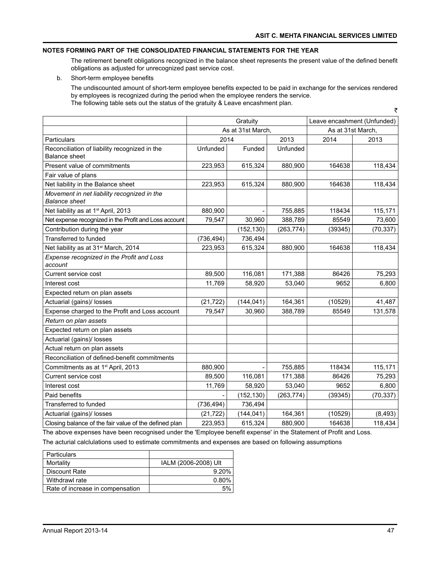The retirement benefit obligations recognized in the balance sheet represents the present value of the defined benefit obligations as adjusted for unrecognized past service cost.

b. Short-term employee benefits

The undiscounted amount of short-term employee benefits expected to be paid in exchange for the services rendered by employees is recognized during the period when the employee renders the service. The following table sets out the status of the gratuity & Leave encashment plan.  $\bar{\tau}$ 

|                                                                       | Gratuity          |            |            |                   | Leave encashment (Unfunded) |  |  |
|-----------------------------------------------------------------------|-------------------|------------|------------|-------------------|-----------------------------|--|--|
|                                                                       | As at 31st March. |            |            | As at 31st March, |                             |  |  |
| <b>Particulars</b>                                                    | 2014              |            | 2013       | 2014              | 2013                        |  |  |
| Reconciliation of liability recognized in the<br><b>Balance sheet</b> | Unfunded          | Funded     | Unfunded   |                   |                             |  |  |
| Present value of commitments                                          | 223,953           | 615,324    | 880,900    | 164638            | 118,434                     |  |  |
| Fair value of plans                                                   |                   |            |            |                   |                             |  |  |
| Net liability in the Balance sheet                                    | 223,953           | 615,324    | 880,900    | 164638            | 118,434                     |  |  |
| Movement in net liability recognized in the<br><b>Balance sheet</b>   |                   |            |            |                   |                             |  |  |
| Net liability as at 1 <sup>st</sup> April, 2013                       | 880,900           |            | 755,885    | 118434            | 115,171                     |  |  |
| Net expense recognized in the Profit and Loss account                 | 79,547            | 30,960     | 388,789    | 85549             | 73,600                      |  |  |
| Contribution during the year                                          |                   | (152, 130) | (263, 774) | (39345)           | (70, 337)                   |  |  |
| Transferred to funded                                                 | (736, 494)        | 736,494    |            |                   |                             |  |  |
| Net liability as at 31 <sup>st</sup> March, 2014                      | 223,953           | 615,324    | 880,900    | 164638            | 118,434                     |  |  |
| Expense recognized in the Profit and Loss<br>account                  |                   |            |            |                   |                             |  |  |
| Current service cost                                                  | 89,500            | 116,081    | 171,388    | 86426             | 75,293                      |  |  |
| Interest cost                                                         | 11,769            | 58,920     | 53,040     | 9652              | 6,800                       |  |  |
| Expected return on plan assets                                        |                   |            |            |                   |                             |  |  |
| Actuarial (gains)/ losses                                             | (21, 722)         | (144, 041) | 164,361    | (10529)           | 41,487                      |  |  |
| Expense charged to the Profit and Loss account                        | 79,547            | 30,960     | 388,789    | 85549             | 131,578                     |  |  |
| Return on plan assets                                                 |                   |            |            |                   |                             |  |  |
| Expected return on plan assets                                        |                   |            |            |                   |                             |  |  |
| Actuarial (gains)/ losses                                             |                   |            |            |                   |                             |  |  |
| Actual return on plan assets                                          |                   |            |            |                   |                             |  |  |
| Reconciliation of defined-benefit commitments                         |                   |            |            |                   |                             |  |  |
| Commitments as at 1 <sup>st</sup> April, 2013                         | 880,900           |            | 755,885    | 118434            | 115,171                     |  |  |
| Current service cost                                                  | 89,500            | 116,081    | 171,388    | 86426             | 75,293                      |  |  |
| Interest cost                                                         | 11,769            | 58,920     | 53,040     | 9652              | 6,800                       |  |  |
| Paid benefits                                                         |                   | (152, 130) | (263, 774) | (39345)           | (70, 337)                   |  |  |
| Transferred to funded                                                 | (736, 494)        | 736,494    |            |                   |                             |  |  |
| Actuarial (gains)/ losses                                             | (21, 722)         | (144, 041) | 164,361    | (10529)           | (8, 493)                    |  |  |
| Closing balance of the fair value of the defined plan                 | 223,953           | 615,324    | 880,900    | 164638            | 118,434                     |  |  |

The above expenses have been recognised under the 'Employee benefit expense' in the Statement of Profit and Loss.

The acturial calclulations used to estimate commitments and expenses are based on following assumptions

| Particulars                      |                      |
|----------------------------------|----------------------|
| Mortality                        | IALM (2006-2008) UIt |
| Discount Rate                    | 9.20%                |
| Withdrawl rate                   | $0.80\%$             |
| Rate of increase in compensation | 5%                   |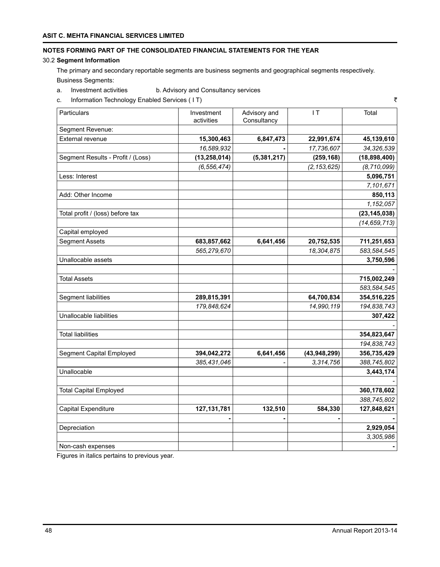### 30.2 **Segment Information**

The primary and secondary reportable segments are business segments and geographical segments respectively. Business Segments:

- a. Investment activities b. Advisory and Consultancy services
- c. Information Technology Enabled Services ( I T) `

| Particulars                       | Investment<br>activities | Advisory and<br>Consultancy | $\mathsf{I}$ T | Total          |
|-----------------------------------|--------------------------|-----------------------------|----------------|----------------|
| Segment Revenue:                  |                          |                             |                |                |
| External revenue                  | 15,300,463               | 6,847,473                   | 22,991,674     | 45,139,610     |
|                                   | 16,589,932               |                             | 17,736,607     | 34,326,539     |
| Segment Results - Profit / (Loss) | (13, 258, 014)           | (5, 381, 217)               | (259, 168)     | (18, 898, 400) |
|                                   | (6, 556, 474)            |                             | (2, 153, 625)  | (8, 710, 099)  |
| Less: Interest                    |                          |                             |                | 5,096,751      |
|                                   |                          |                             |                | 7,101,671      |
| Add: Other Income                 |                          |                             |                | 850,113        |
|                                   |                          |                             |                | 1,152,057      |
| Total profit / (loss) before tax  |                          |                             |                | (23, 145, 038) |
|                                   |                          |                             |                | (14, 659, 713) |
| Capital employed                  |                          |                             |                |                |
| <b>Segment Assets</b>             | 683,857,662              | 6,641,456                   | 20,752,535     | 711,251,653    |
|                                   | 565,279,670              |                             | 18,304,875     | 583,584,545    |
| Unallocable assets                |                          |                             |                | 3,750,596      |
|                                   |                          |                             |                |                |
| <b>Total Assets</b>               |                          |                             |                | 715,002,249    |
|                                   |                          |                             |                | 583,584,545    |
| Segment liabilities               | 289,815,391              |                             | 64,700,834     | 354,516,225    |
|                                   | 179,848,624              |                             | 14,990,119     | 194,838,743    |
| Unallocable liabilities           |                          |                             |                | 307,422        |
|                                   |                          |                             |                |                |
| <b>Total liabilities</b>          |                          |                             |                | 354,823,647    |
|                                   |                          |                             |                | 194,838,743    |
| Segment Capital Employed          | 394,042,272              | 6,641,456                   | (43,948,299)   | 356,735,429    |
|                                   | 385,431,046              |                             | 3,314,756      | 388,745,802    |
| Unallocable                       |                          |                             |                | 3,443,174      |
|                                   |                          |                             |                |                |
| <b>Total Capital Employed</b>     |                          |                             |                | 360,178,602    |
|                                   |                          |                             |                | 388,745,802    |
| Capital Expenditure               | 127, 131, 781            | 132,510                     | 584,330        | 127,848,621    |
|                                   |                          |                             |                |                |
| Depreciation                      |                          |                             |                | 2,929,054      |
|                                   |                          |                             |                | 3.305.986      |
| Non-cash expenses                 |                          |                             |                |                |

Figures in italics pertains to previous year.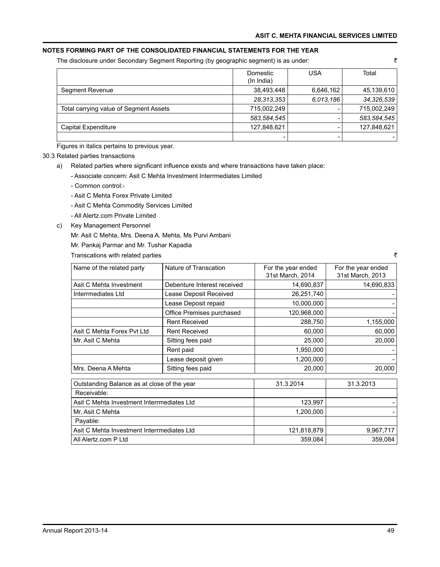The disclosure under Secondary Segment Reporting (by geographic segment) is as under:  $\bar{\tau}$ 

|                                        | Domestic<br>(In India) | <b>USA</b> | Total       |
|----------------------------------------|------------------------|------------|-------------|
| Segment Revenue                        | 38,493,448             | 6,646,162  | 45,139,610  |
|                                        | 28, 313, 353           | 6.013.186  | 34,326,539  |
| Total carrying value of Segment Assets | 715,002,249            |            | 715,002,249 |
|                                        | 583,584,545            |            | 583,584,545 |
| Capital Expenditure                    | 127,848,621            |            | 127,848,621 |
|                                        |                        |            |             |

Figures in italics pertains to previous year.

#### 30.3 Related parties transactions

- a) Related parties where significant influence exists and where transactions have taken place:
	- Associate concern: Asit C Mehta Investment Interrmediates Limited
	- Common control:-
	- Asit C Mehta Forex Private Limited
	- Asit C Mehta Commodity Services Limited
	- All Alertz.com Private Limited
- c) Key Management Personnel
	- Mr. Asit C Mehta, Mrs. Deena A. Mehta, Ms Purvi Ambani
	- Mr. Pankaj Parmar and Mr. Tushar Kapadia

Transcations with related parties  $\bar{\tau}$ 

Name of the related party  $\parallel$  Nature of Transcation  $\parallel$  For the year ended 31st March, 2014 For the year ended 31st March, 2013 Asit C Mehta Investment Debenture Interest received 14,690,837 14,690,833 Interrmediates Ltd <br>
Lease Deposit Received 26,251,740 Lease Deposit repaid and the 10,000,000 Office Premises purchased 120,968,000 Rent Received 288,750 288,750 1,155,000 Asit C Mehta Forex Pvt Ltd Rent Received **60,000** 60,000 60,000 Mr. Asit C Mehta **Sitting fees paid** C New 1980 25,000 20,000 20,000 20,000 Rent paid 1,950,000 Lease deposit given  $\vert$  1,200,000 Mrs. Deena A Mehta Sitting fees paid  $\vert$  20,000 | 20,000 20,000 Outstanding Balance as at close of the year **31.3.2014** 31.3.2013 Receivable: Asit C Mehta Investment Interrmediates Ltd 123,997 Mr. Asit C Mehta 1,200,000 - Payable:

Asit C Mehta Investment Interrmediates Ltd 121,818,879 9,967,717 All Alertz.com P Ltd 359,084 359,084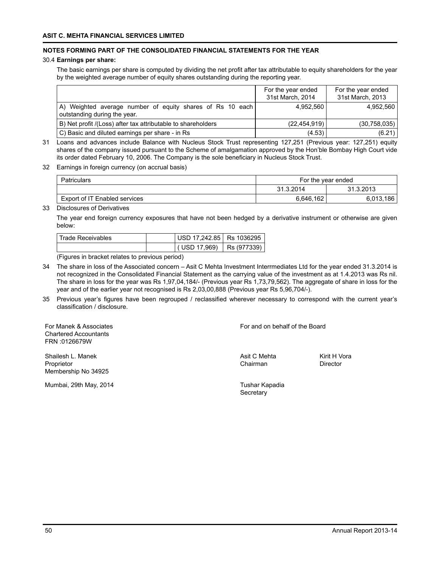#### 30.4 **Earnings per share:**

The basic earnings per share is computed by dividing the net profit after tax attributable to equity shareholders for the year by the weighted average number of equity shares outstanding during the reporting year.

|                                                                                           | For the year ended | For the year ended |
|-------------------------------------------------------------------------------------------|--------------------|--------------------|
|                                                                                           | 31st March, 2014   | 31st March, 2013   |
| A) Weighted average number of equity shares of Rs 10 each<br>outstanding during the year. | 4,952,560          | 4.952.560          |
| B) Net profit /(Loss) after tax attributable to shareholders                              | (22, 454, 919)     | (30, 758, 035)     |
| C) Basic and diluted earnings per share - in Rs                                           | (4.53)             | (6.21)             |

31 Loans and advances include Balance with Nucleus Stock Trust representing 127,251 (Previous year: 127,251) equity shares of the company issued pursuant to the Scheme of amalgamation approved by the Hon'ble Bombay High Court vide its order dated February 10, 2006. The Company is the sole beneficiary in Nucleus Stock Trust.

32 Earnings in foreign currency (on accrual basis)

| Patriculars                   | For the year ended |           |  |
|-------------------------------|--------------------|-----------|--|
|                               | 31.3.2014          | 31.3.2013 |  |
| Export of IT Enabled services | 6.646.162          | 6.013.186 |  |

33 Disclosures of Derivatives

The year end foreign currency exposures that have not been hedged by a derivative instrument or otherwise are given below:

| Trade Receivables | USD 17.242.85 Rs 1036295         |  |
|-------------------|----------------------------------|--|
|                   | $($ USD 17,969) $\,$ Rs (977339) |  |

(Figures in bracket relates to previous period)

- 34 The share in loss of the Associated concern Asit C Mehta Investment Interrmediates Ltd for the year ended 31.3.2014 is not recognized in the Consolidated Financial Statement as the carrying value of the investment as at 1.4.2013 was Rs nil. The share in loss for the year was Rs 1,97,04,184/- (Previous year Rs 1,73,79,562). The aggregate of share in loss for the year and of the earlier year not recognised is Rs 2,03,00,888 (Previous year Rs 5,96,704/-).
- 35 Previous year's figures have been regrouped / reclassified wherever necessary to correspond with the current year's classification / disclosure.

For Manek & Associates Chartered Accountants FRN :0126679W

Shailesh L. Manek Proprietor Membership No 34925

Mumbai, 29th May, 2014 **Tushar Kapadia** 

For and on behalf of the Board

Asit C Mehta Chairman

Kirit H Vora Director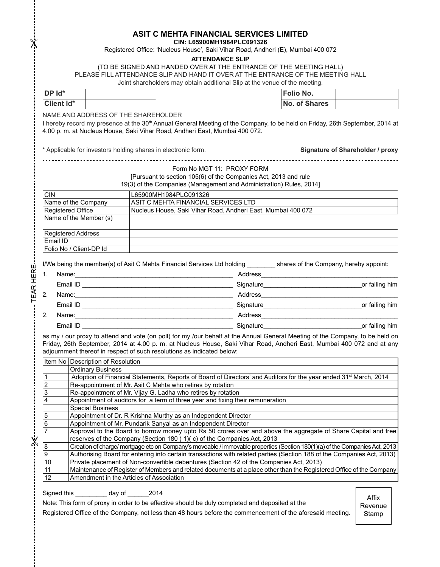### **ASIT C MEHTA FINANCIAL SERVICES LIMITED**

**CIN: L65900MH1984PLC091326**

Registered Office: 'Nucleus House', Saki Vihar Road, Andheri (E), Mumbai 400 072

**ATTENDANCE SLIP**

(TO BE SIGNED AND HANDED OVER AT THE ENTRANCE OF THE MEETING HALL)

PLEASE FILL ATTENDANCE SLIP AND HAND IT OVER AT THE ENTRANCE OF THE MEETING HALL

Joint shareholders may obtain additional Slip at the venue of the meeting.

| DP Id*            |  | <b>Folio No.</b> |
|-------------------|--|------------------|
| <b>Client Id*</b> |  | No. of Sh        |

¥

X

-- TEAR HERE

NAME AND ADDRESS OF THE SHAREHOLDER

I hereby record my presence at the 30<sup>th</sup> Annual General Meeting of the Company, to be held on Friday, 26th September, 2014 at 4.00 p. m. at Nucleus House, Saki Vihar Road, Andheri East, Mumbai 400 072.

\* Applicable for investors holding shares in electronic form. **Signature of Shareholder / proxy**

**Client Id\* No. of Shares**

Form No MGT 11: PROXY FORM [Pursuant to section 105(6) of the Companies Act, 2013 and rule 19(3) of the Companies (Management and Administration) Rules, 2014]

| <b>CIN</b>              | L65900MH1984PLC091326                                        |
|-------------------------|--------------------------------------------------------------|
| Name of the Company     | ASIT C MEHTA FINANCIAL SERVICES LTD                          |
| Registered Office       | Nucleus House, Saki Vihar Road, Andheri East, Mumbai 400 072 |
| Name of the Member (s)  |                                                              |
|                         |                                                              |
| Registered Address      |                                                              |
| Email ID                |                                                              |
| Folio No / Client-DP Id |                                                              |

I/We being the member(s) of Asit C Mehta Financial Services Ltd holding shares of the Company, hereby appoint:

| HER<br>H                                                            | 1.                                                                                                                                    | <b>I</b> in the being the member(3) of Asit O mema Financial Octrices Ltd Holding Theory Shares of the Ochipany, hereby appoint.<br>Name: 2008. 2008. 2010. 2010. 2010. 2010. 2010. 2010. 2010. 2010. 2010. 2010. 2010. 2010. 2010. 2010. 2010. 20<br>Address and the control of the control of the control of the control of the control of the control of the control of the control of the control of the control of the control of the control of the control of the control of |  |                |
|---------------------------------------------------------------------|---------------------------------------------------------------------------------------------------------------------------------------|-------------------------------------------------------------------------------------------------------------------------------------------------------------------------------------------------------------------------------------------------------------------------------------------------------------------------------------------------------------------------------------------------------------------------------------------------------------------------------------|--|----------------|
|                                                                     |                                                                                                                                       |                                                                                                                                                                                                                                                                                                                                                                                                                                                                                     |  | or failing him |
| EAR<br>2.                                                           |                                                                                                                                       |                                                                                                                                                                                                                                                                                                                                                                                                                                                                                     |  |                |
|                                                                     |                                                                                                                                       |                                                                                                                                                                                                                                                                                                                                                                                                                                                                                     |  |                |
| 2.                                                                  |                                                                                                                                       | Name: Name: 2008 - 2008 - 2008 - 2008 - 2008 - 2008 - 2008 - 2008 - 2008 - 2008 - 2008 - 2008 - 2008 - 2008 - 2008 - 2008 - 2008 - 2008 - 2008 - 2008 - 2008 - 2008 - 2008 - 2008 - 2008 - 2008 - 2008 - 2008 - 2008 - 2008 -                                                                                                                                                                                                                                                       |  |                |
|                                                                     |                                                                                                                                       |                                                                                                                                                                                                                                                                                                                                                                                                                                                                                     |  |                |
|                                                                     |                                                                                                                                       | Item No   Description of Resolution                                                                                                                                                                                                                                                                                                                                                                                                                                                 |  |                |
|                                                                     |                                                                                                                                       | Friday, 26th September, 2014 at 4.00 p.m. at Nucleus House, Saki Vihar Road, Andheri East, Mumbai 400 072 and at any<br>adjournment thereof in respect of such resolutions as indicated below:                                                                                                                                                                                                                                                                                      |  |                |
|                                                                     |                                                                                                                                       | <b>Ordinary Business</b>                                                                                                                                                                                                                                                                                                                                                                                                                                                            |  |                |
|                                                                     |                                                                                                                                       | Adoption of Financial Statements, Reports of Board of Directors' and Auditors for the year ended 31 <sup>st</sup> March, 2014                                                                                                                                                                                                                                                                                                                                                       |  |                |
|                                                                     | 2                                                                                                                                     | Re-appointment of Mr. Asit C Mehta who retires by rotation                                                                                                                                                                                                                                                                                                                                                                                                                          |  |                |
|                                                                     | 3                                                                                                                                     | Re-appointment of Mr. Vijay G. Ladha who retires by rotation                                                                                                                                                                                                                                                                                                                                                                                                                        |  |                |
|                                                                     | 4                                                                                                                                     | Appointment of auditors for a term of three year and fixing their remuneration                                                                                                                                                                                                                                                                                                                                                                                                      |  |                |
|                                                                     |                                                                                                                                       | <b>Special Business</b>                                                                                                                                                                                                                                                                                                                                                                                                                                                             |  |                |
| 5<br>Appointment of Dr. R Krishna Murthy as an Independent Director |                                                                                                                                       |                                                                                                                                                                                                                                                                                                                                                                                                                                                                                     |  |                |
|                                                                     | 6                                                                                                                                     | Appointment of Mr. Pundarik Sanyal as an Independent Director                                                                                                                                                                                                                                                                                                                                                                                                                       |  |                |
| $\mathbf{I}$                                                        |                                                                                                                                       | Approval to the Board to borrow money upto Rs 50 crores over and above the aggregate of Share Capital and free<br>reserves of the Company (Section 180 (1)(c) of the Companies Act, 2013                                                                                                                                                                                                                                                                                            |  |                |
| $\dot{\mathsf{x}}$                                                  | $\circ$<br>Creation of charged mestages ato on Company's may sable Limmauphle proportion (Soction 190(1)(a) of the Companies Act 2012 |                                                                                                                                                                                                                                                                                                                                                                                                                                                                                     |  |                |

|    | Item No Description of Resolution                                                                                             |  |  |
|----|-------------------------------------------------------------------------------------------------------------------------------|--|--|
|    | <b>Ordinary Business</b>                                                                                                      |  |  |
|    | Adoption of Financial Statements, Reports of Board of Directors' and Auditors for the year ended 31 <sup>st</sup> March, 2014 |  |  |
|    | Re-appointment of Mr. Asit C Mehta who retires by rotation                                                                    |  |  |
|    | Re-appointment of Mr. Vijay G. Ladha who retires by rotation                                                                  |  |  |
|    | Appointment of auditors for a term of three year and fixing their remuneration                                                |  |  |
|    | <b>Special Business</b>                                                                                                       |  |  |
| 5  | Appointment of Dr. R Krishna Murthy as an Independent Director                                                                |  |  |
| 6  | Appointment of Mr. Pundarik Sanyal as an Independent Director                                                                 |  |  |
|    | Approval to the Board to borrow money upto Rs 50 crores over and above the aggregate of Share Capital and free                |  |  |
|    | reserves of the Company (Section 180 (1) (c) of the Companies Act, 2013                                                       |  |  |
| 8  | Creation of charge/mortgage etc on Company's moveable / immovable properties (Section 180(1)(a) of the Companies Act, 2013    |  |  |
| 9  | Authorising Board for entering into certain transactions with related parties (Section 188 of the Companies Act, 2013)        |  |  |
| 10 | Private placement of Non-convertible debentures (Section 42 of the Companies Act, 2013)                                       |  |  |
| 11 | Maintenance of Register of Members and related documents at a place other than the Registered Office of the Company           |  |  |
| 12 | Amendment in the Articles of Association                                                                                      |  |  |
|    |                                                                                                                               |  |  |

Signed this \_\_\_\_\_\_\_\_\_ day of \_\_\_\_\_\_ 2014

Note: This form of proxy in order to be effective should be duly completed and deposited at the Registered Office of the Company, not less than 48 hours before the commencement of the aforesaid meeting.

Affix Revenue Stamp